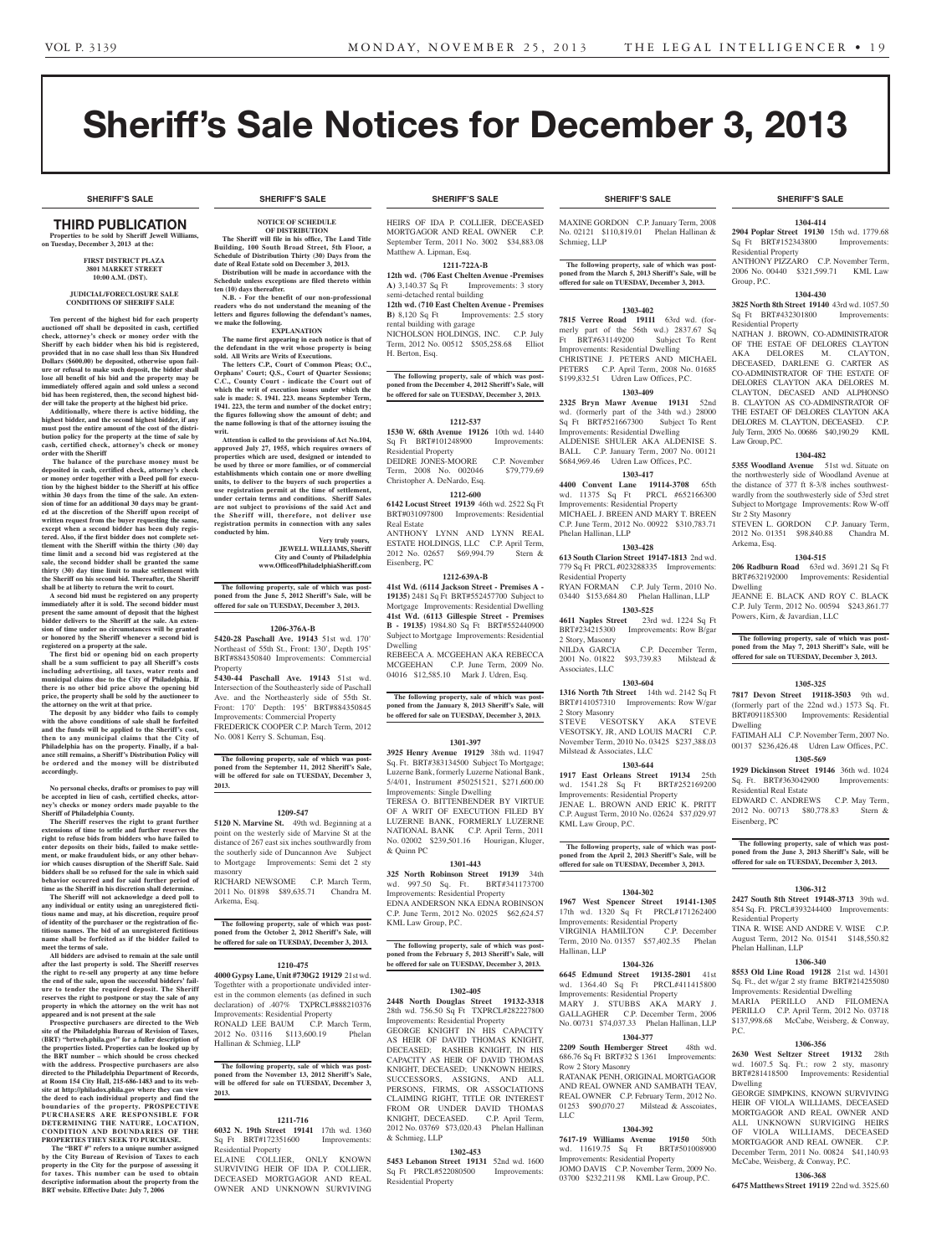# Sheriff's Sale Notices for December 3, 2013

**SHERIFF'S SALE SHERIFF'S SALE SHERIFF'S SALE SHERIFF'S SALE SHERIFF'S SALE**

#### **SHERIFF'S SALE SHERIFF'S SALE SHERIFF'S SALE SHERIFF'S SALE SHERIFF'S SALE**

## **THIRD PUBLICATION**

**Properties to be sold by Sheriff Jewell Williams, on Tuesday, December 3, 2013 at the:** 

#### **First District Plaza 3801 Market Street 10:00 A.M. (DST).**

#### **JUDICIAL/FORECLOSURE SALE CONDITIONS OF SHERIFF SALE**

**Ten percent of the highest bid for each property auctioned off shall be deposited in cash, certified check, attorney's check or money order with the Sheriff by each bidder when his bid is registered, provided that in no case shall less than Six Hundred Dollars (\$600.00) be deposited, otherwise upon fail-ure or refusal to make such deposit, the bidder shall lose all benefit of his bid and the property may be immediately offered again and sold unless a second bid has been registered, then, the second highest bidder will take the property at the highest bid price.**

**Additionally, where there is active bidding, the highest bidder, and the second highest bidder, if any must post the entire amount of the cost of the distri-bution policy for the property at the time of sale by cash, certified check, attorney's check or money order with the Sheriff**

 **The balance of the purchase money must be deposited in cash, certified check, attorney's check or money order together with a Deed poll for execution by the highest bidder to the Sheriff at his office within 30 days from the time of the sale. An extension of time for an additional 30 days may be granted at the discretion of the Sheriff upon receipt of written request from the buyer requesting the same, except when a second bidder has been duly registered. Also, if the first bidder does not complete settlement with the Sheriff within the thirty (30) day time limit and a second bid was registered at the sale, the second bidder shall be granted the same thirty (30) day time limit to make settlement with the Sheriff on his second bid. Thereafter, the Sheriff shall be at liberty to return the writ to court.**

**A second bid must be registered on any property immediately after it is sold. The second bidder must present the same amount of deposit that the highest bidder delivers to the Sheriff at the sale. An extension of time under no circumstances will be granted or honored by the Sheriff whenever a second bid is registered on a property at the sale.** 

**The first bid or opening bid on each property shall be a sum sufficient to pay all Sheriff's costs including advertising, all taxes, water rents and municipal claims due to the City of Philadelphia. If there is no other bid price above the opening bid price, the property shall be sold by the auctioneer to the attorney on the writ at that price.**

**The deposit by any bidder who fails to comply with the above conditions of sale shall be forfeited and the funds will be applied to the Sheriff's cost, then to any municipal claims that the City of Philadelphia has on the property. Finally, if a bal-ance still remains, a Sheriff's Distribution Policy will be ordered and the money will be distributed accordingly.**

**No personal checks, drafts or promises to pay will be accepted in lieu of cash, certified checks, attorney's checks or money orders made payable to the Sheriff of Philadelphia County.**

**The Sheriff reserves the right to grant further extensions of time to settle and further reserves the right to refuse bids from bidders who have failed to enter deposits on their bids, failed to make settle-ment, or make fraudulent bids, or any other behavior which causes disruption of the Sheriff Sale. Said**  bidders shall be so refused for the sale in which sa **behavior occurred and for said further period of time as the Sheriff in his discretion shall determine. The Sheriff will not acknowledge a deed poll to** 

**any individual or entity using an unregistered fictitious name and may, at his discretion, require proof of identity of the purchaser or the registration of fictitious names. The bid of an unregistered fictitious name shall be forfeited as if the bidder failed to meet the terms of sale.**

**All bidders are advised to remain at the sale until after the last property is sold. The Sheriff reserves the right to re-sell any property at any time before the end of the sale, upon the successful bidders' failure to tender the required deposit. The Sheriff reserves the right to postpone or stay the sale of any property in which the attorney on the writ has not appeared and is not present at the sale Prospective purchasers are directed to the Web** 

**site of the Philadelphia Bureau of Revision of Taxes, (BRT) "brtweb.phila.gov" for a fuller description of the properties listed. Properties can be looked up by the BRT number – which should be cross checked with the address. Prospective purchasers are also directed to the Philadelphia Department of Records, at Room 154 City Hall, 215-686-1483 and to its website at http://philadox.phila.gov where they can view the deed to each individual property and find the boundaries of the property. PROSPECTIVE PURCHASERS ARE RESPONSIBLE FOR DETERMINING THE NATURE, LOCATION, CONDITION AND BOUNDARIES OF THE PROPERTIES THEY SEEK TO PURCHASE.**

The "BRT #" refers to a unique number assigned **by the City Bureau of Revision of Taxes to each property in the City for the purpose of assessing it for taxes. This number can be used to obtain descriptive information about the property from the BRT website. Effective Date: July 7, 2006**

## **NOTICE OF SCHEDULE**

#### **OF DISTRIBUTION The Sheriff will file in his office, The Land Title**

**Building, 100 South Broad Street, 5th Floor, a Schedule of Distribution Thirty (30) Days from the date of Real Estate sold on December 3, 2013. Distribution will be made in accordance with the Schedule unless exceptions are filed thereto within** 

**ten (10) days thereafter. N.B. - For the benefit of our non-professional readers who do not understand the meaning of the letters and figures following the defendant's names,** 

**we make the following. EXPLANATION**

**The name first appearing in each notice is that of the defendant in the writ whose property is being sold. All Writs are Writs of Executions.**

**The letters C.P., Court of Common Pleas; O.C.,**  Orphans' Court; Q.S., Court of Quarter Session **C.C., County Court - indicate the Court out of which the writ of execution issues under which the sale is made: S. 1941. 223. means September Term, 1941. 223, the term and number of the docket entry; the figures following show the amount of debt; and the name following is that of the attorney issuing the writ.**

**Attention is called to the provisions of Act No.104, approved July 27, 1955, which requires owners of properties which are used, designed or intended to be used by three or more families, or of commercial**  ents which contain one or more dwelling **units, to deliver to the buyers of such properties a use registration permit at the time of settlement, under certain terms and conditions. Sheriff Sales are not subject to provisions of the said Act and the Sheriff will, therefore, not deliver use registration permits in connection with any sales conducted by him.**

#### **Very truly yours, JEWELL WILLIAMS, Sheriff City and County of Philadelphia**

**www.OfficeofPhiladelphiaSheriff.com**

**The following property, sale of which was post-poned from the June 5, 2012 Sheriff's Sale, will be offered for sale on TUESDAY, December 3, 2013.**

#### **1206-376A-B**

**5420-28 Paschall Ave. 19143** 51st wd. 170' Northeast of 55th St., Front: 130', Depth 195' BRT#884350840 Improvements: Commercial **Property** 

**5430-44 Paschall Ave. 19143** 51st wd. Intersection of the Southeasterly side of Paschall Ave. and the Northeasterly side of 55th St. Front: 170' Depth: 195' BRT#884350845 Improvements: Commercial Property FREDERICK COOPER C.P. March Term, 2012

No. 0081 Kerry S. Schuman, Esq.

**The following property, sale of which was post-poned from the September 11, 2012 Sheriff's Sale, will be offered for sale on TUESDAY, December 3, 2013.**

## **1209-547**

**5120 N. Marvine St.** 49th wd. Beginning at a point on the westerly side of Marvine St at the distance of 267 east six inches southwardly from the southerly side of Duncannon Ave Subject to Mortgage Improvements: Semi det 2 sty masonry RICHARD NEWSOME C.P. March Term,

2011 No. 01898 \$89,635.71 Chandra M. Arkema, Esq.

**The following property, sale of which was postponed from the October 2, 2012 Sheriff's Sale, will be offered for sale on TUESDAY, December 3, 2013.**

#### **1210-475**

**4000 Gypsy Lane, Unit #730G2 19129** 21st wd. Togethter with a proportionate undivided interest in the common elements (as defined in such declaration) of .407% TXPRCL#888210376 Improvements: Residential Property RONALD LEE BAUM C.P. March Term 2012 No. 03116 \$113,600.19 Phelan Hallinan & Schmieg, LLP

### **The following property, sale of which was post-poned from the November 13, 2012 Sheriff's Sale, will be offered for sale on TUESDAY, December 3, 2013.**

### **1211-716**

**6032 N. 19th Street 19141** 17th wd. 1360 Sq Ft BRT#172351600 Improvements: Residential Property

ELAINE COLLIER, ONLY KNOWN SURVIVING HEIR OF IDA P. COLLIER, DECEASED MORTGAGOR AND REAL OWNER AND UNKNOWN SURVIVING

HEIRS OF IDA P. COLLIER, DECEASED MORTGAGOR AND REAL OWNER C.P. September Term, 2011 No. 3002 \$34,883.08 Matthew A. Lipman, Esq.

## **1211-722A-B**

**12th wd. (706 East Chelten Avenue -Premises A)** 3,140.37 Sq Ft Improvements: 3 story semi-detached rental building

**12th wd. (710 East Chelten Avenue - Premises B**) 8,120 Sq Ft Improvements: 2.5 story rental building with garage

NICHOLSON HOLDINGS, INC. C.P. July Term, 2012 No. 00512 \$505,258.68 Elliot H. Berton, Esq.

**The following property, sale of which was postponed from the December 4, 2012 Sheriff's Sale, will be offered for sale on TUESDAY, December 3, 2013.**

## **1212-537**

**1530 W. 68th Avenue 19126** 10th wd. 1440 Sq Ft BRT#101248900 Improvements: Residential Property DEIDRE JONES-MOORE C.P. November Term, 2008 No. 002046 \$79,779.69

Christopher A. DeNardo, Esq. **1212-600**

**6142 Locust Street 19139** 46th wd. 2522 Sq Ft BRT#031097800 Improvements: Residential Real Estate ANTHONY LYNN AND LYNN REAL

ESTATE HOLDINGS, LLC C.P. April Term,<br>2012 No. 02657 \$69,994.79 Stern & 2012 No. 02657 \$69,994.79 Eisenberg, PC

### **1212-639A-B**

**41st Wd. (6114 Jackson Street - Premises A - 19135)** 2481 Sq Ft BRT#552457700 Subject to Mortgage Improvements: Residential Dwelling **41st Wd. (6113 Gillespie Street - Premises B - 19135)** 1984.80 Sq Ft BRT#552440900 Subject to Mortgage Improvements: Residential Dwelling

REBEECA A. MCGEEHAN AKA REBECCA MCGEEHAN C.P. June Term, 2009 No. 04016 \$12,585.10 Mark J. Udren, Esq.

**The following property, sale of which was postponed from the January 8, 2013 Sheriff's Sale, will be offered for sale on TUESDAY, December 3, 2013.**

## **1301-397**

**3925 Henry Avenue 19129** 38th wd. 11947 Sq. Ft. BRT#383134500 Subject To Mortgage; Luzerne Bank, formerly Luzerne National Bank, 5/4/01, Instrument #50251521, \$271,600.00 Improvements: Single Dwelling TERESA O. BITTENBENDER BY VIRTUE OF A WRIT OF EXECUTION FILED BY LUZERNE BANK, FORMERLY LUZERNE C.P. April Term, 2011 No. 02002 \$239,501.16 Hourigan, Kluger, & Quinn PC

#### **1301-443**

**325 North Robinson Street 19139** 34th wd. 997.50 Sq. Ft. BRT#341173700 Improvements: Residential Property EDNA ANDERSON NKA EDNA ROBINSON C.P. June Term, 2012 No. 02025 \$62,624.57 KML Law Group, P.C.

**The following property, sale of which was postponed from the February 5, 2013 Sheriff's Sale, will be offered for sale on TUESDAY, December 3, 2013.**

## **1302-405**

**2448 North Douglas Street 19132-3318**  28th wd. 756.50 Sq Ft TXPRCL#282227800 Improvements: Residential Property GEORGE KNIGHT IN HIS CAPACITY AS HEIR OF DAVID THOMAS KNIGHT, DECEASED; RASHEB KNIGHT, IN HIS CAPACITY AS HEIR OF DAVID THOMAS KNIGHT, DECEASED; UNKNOWN HEIRS, SUCCESSORS, ASSIGNS, AND ALL PERSONS, FIRMS, OR ASSOCIATIONS CLAIMING RIGHT, TITLE OR INTEREST FROM OR UNDER DAVID THOMAS KNIGHT, DECEASED. C.P. April Term, 2012 No. 03769 \$73,020.43 Phelan Hallinan & Schmieg, LLP

## **1302-453**

**5453 Lebanon Street 19131** 52nd wd. 1600 Sq Ft PRCL#522080500 Improvements: Residential Property

MAXINE GORDON C.P. January Term, 2008 No. 02121 \$110,819.01 Phelan Hallinan & Schmieg, LLP

**The following property, sale of which was postponed from the March 5, 2013 Sheriff's Sale, will be offered for sale on TUESDAY, December 3, 2013.**

## **1303-402**

**7815 Verree Road 19111** 63rd wd. (formerly part of the 56th wd.) 2837.67 Sq Ft BRT#631149200 Subject To Rent Improvements: Residential Dwelling CHRISTINE J. PETERS AND MICHAEL PETERS C.P. April Term, 2008 No. 01685 \$199,832.51 Udren Law Offices, P.C.

### **1303-409**

**2325 Bryn Mawr Avenue 19131** 52nd wd. (formerly part of the 34th wd.) 28000 Sq Ft BRT#521667300 Subject To Rent Improvements: Residential Dwelling ALDENISE SHULER AKA ALDENISE S. BALL C.P. January Term, 2007 No. 00121 \$684,969.46 Udren Law Offices, P.C.

## **1303-417**

**4400 Convent Lane 19114-3708** 65th wd. 11375 Sq Ft PRCL #652166300 Improvements: Residential Property MICHAEL J. BREEN AND MARY T. BREEN C.P. June Term, 2012 No. 00922 \$310,783.71 Phelan Hallinan, LLP

## **1303-428**

**613 South Clarion Street 19147-1813** 2nd wd. 779 Sq Ft PRCL #023288335 Improvements: Residential Property RYAN FORMAN C.P. July Term, 2010 No. 03440 \$153,684.80 Phelan Hallinan, LLP

**1303-525 4611 Naples Street** 23rd wd. 1224 Sq Ft BRT#234215300 Improvements: Row B/gar 2 Story, Masonry C.P. December Term, 2001 No. 01822 \$93,739.83 Milstead &

Associates, LLC **1303-604**

**1316 North 7th Street** 14th wd. 2142 Sq Ft BRT#141057310 Improvements: Row W/gar 2 Story Masonry STEVE VESOTSKY AKA STEVE VESOTSKY, JR, AND LOUIS MACRI C.P. November Term, 2010 No. 03425 \$237,388.03 Milstead & Associates, LLC

#### **1303-644**

**1917 East Orleans Street 19134** 25th wd. 1541.28 Sq Ft Improvements: Residential Property JENAE L. BROWN AND ERIC K. PRITT C.P. August Term, 2010 No. 02624 \$37,029.97 KML Law Group, P.C.

**The following property, sale of which was post-poned from the April 2, 2013 Sheriff's Sale, will be offered for sale on TUESDAY, December 3, 2013.**

#### **1304-302**

**1967 West Spencer Street 19141-1305**  17th wd. 1320 Sq Ft PRCL#171262400 Improvements: Residential Property<br>VIRGINIA HAMILTON C.P. December VIRGINIA HAMILTON Term, 2010 No. 01357 \$57,402.35 Phelan Hallinan, LLP

**1304-326 6645 Edmund Street 19135-2801** 41st wd. 1364.40 Sq Ft Improvements: Residential Property MARY J. STUBBS AKA MARY J. GALLAGHER C.P. December Term, 2006 No. 00731 \$74,037.33 Phelan Hallinan, LLP

## **1304-377**

**2209 South Hemberger Street** 48th wd. 686.76 Sq Ft BRT#32 S 1361 Improvements: Row 2 Story Masonry

RATANAK PENH, ORIGINAL MORTGAGOR AND REAL OWNER AND SAMBATH TEAV, REAL OWNER C.P. February Term, 2012 No. 01253 \$90,070.27 Milstead & Asscoiates,  $LI$ 

#### **1304-392**

**7617-19 Williams Avenue 19150** 50th wd. 11619.75 Sq Ft BRT#501008900 Improvements: Residential Property JOMO DAVIS C.P. November Term, 2009 No. 03700 \$232,211.98 KML Law Group, P.C.

#### **1304-414**

**2904 Poplar Street 19130** 15th wd. 1779.68 Sq Ft BRT#152343800 Improvements: Residential Property ANTHONY PIZZARO C.P. November Term, 2006 No. 00440 \$321,599.71 KML Law

**1304-430 3825 North 8th Street 19140** 43rd wd. 1057.50 Sq Ft BRT#432301800 Improvements:

NATHAN J. BROWN, CO-ADMINISTRATOR OF THE ESTAE OF DELORES CLAYTON AKA DELORES M. CLAYTON, DECEASED, DARLENE G. CARTER AS CO-ADMINISTRATOR OF THE ESTATE OF DELORES CLAYTON AKA DELORES M. CLAYTON, DECASED AND ALPHONSO B. CLAYTON AS CO-ADMINSTRATOR OF THE ESTAET OF DELORES CLAYTON AKA DELORES M. CLAYTON, DECEASED. C.P. July Term, 2005 No. 00686 \$40,190.29 KML

**1304-482 5355 Woodland Avenue** 51st wd. Situate on the northwesterly side of Woodland Avenue at the distance of 377 ft 8-3/8 inches southwestwardly from the southwesterly side of 53rd stret Subject to Mortgage Improvements: Row W-off

STEVEN L. GORDON C.P. January Term, 2012 No. 01351 \$98,840.88 Chandra M.

**1304-515 206 Radburn Road** 63rd wd. 3691.21 Sq Ft BRT#632192000 Improvements: Residential

JEANNE E. BLACK AND ROY C. BLACK C.P. July Term, 2012 No. 00594 \$243,861.77

**The following property, sale of which was postponed from the May 7, 2013 Sheriff's Sale, will be offered for sale on TUESDAY, December 3, 2013.**

**1305-325 7817 Devon Street 19118-3503** 9th wd. (formerly part of the 22nd wd.) 1573 Sq. Ft. BRT#091185300 Improvements: Residential

FATIMAH ALI C.P. November Term, 2007 No. 00137 \$236,426.48 Udren Law Offices, P.C. **1305-569 1929 Dickinson Street 19146** 36th wd. 1024 Sq. Ft. BRT#363042900 Improvements:

EDWARD C. ANDREWS C.P. May Term, 2012 No. 00713 \$80,778.83 Stern &

**The following property, sale of which was postponed from the June 3, 2013 Sheriff's Sale, will be offered for sale on TUESDAY, December 3, 2013.**

**1306-312 2427 South 8th Street 19148-3713** 39th wd. 854 Sq. Ft. PRCL#393244400 Improvements:

TINA R. WISE AND ANDRE V. WISE C.P. August Term, 2012 No. 01541 \$148,550.82

**1306-340 8553 Old Line Road 19128** 21st wd. 14301 Sq. Ft., det w/gar 2 sty frame BRT#214255080 Improvements: Residential Dwelling MARIA PERILLO AND FILOMENA PERILLO C.P. April Term, 2012 No. 03718 \$137,998.68 McCabe, Weisberg, & Conway,

**1306-356 2630 West Seltzer Street 19132** 28th wd. 1607.5 Sq. Ft.; row 2 sty, masonry BRT#281418500 Improvements: Residential

GEORGE SIMPKINS, KNOWN SURVIVING HEIR OF VIOLA WILLIAMS, DECEASED MORTGAGOR AND REAL OWNER AND ALL UNKNOWN SURVIGING HEIRS OF VIOLA WILLIAMS, DECEASED MORTGAGOR AND REAL OWNER. C.P. December Term, 2011 No. 00824 \$41,140.93 McCabe, Weisberg, & Conway, P.C. **1306-368 6475 Matthews Street 19119** 22nd wd. 3525.60

Powers, Kirn, & Javardian, LLC

Group, P.C.

Residential Property

Law Group, P.C.

Str 2 Sty Masonry

Arkema, Esq.

Dwelling

Dwelling

Residential Real Estate

Eisenberg, PC

Residential Property

Phelan Hallinan, LLP

P.C.

Dwelling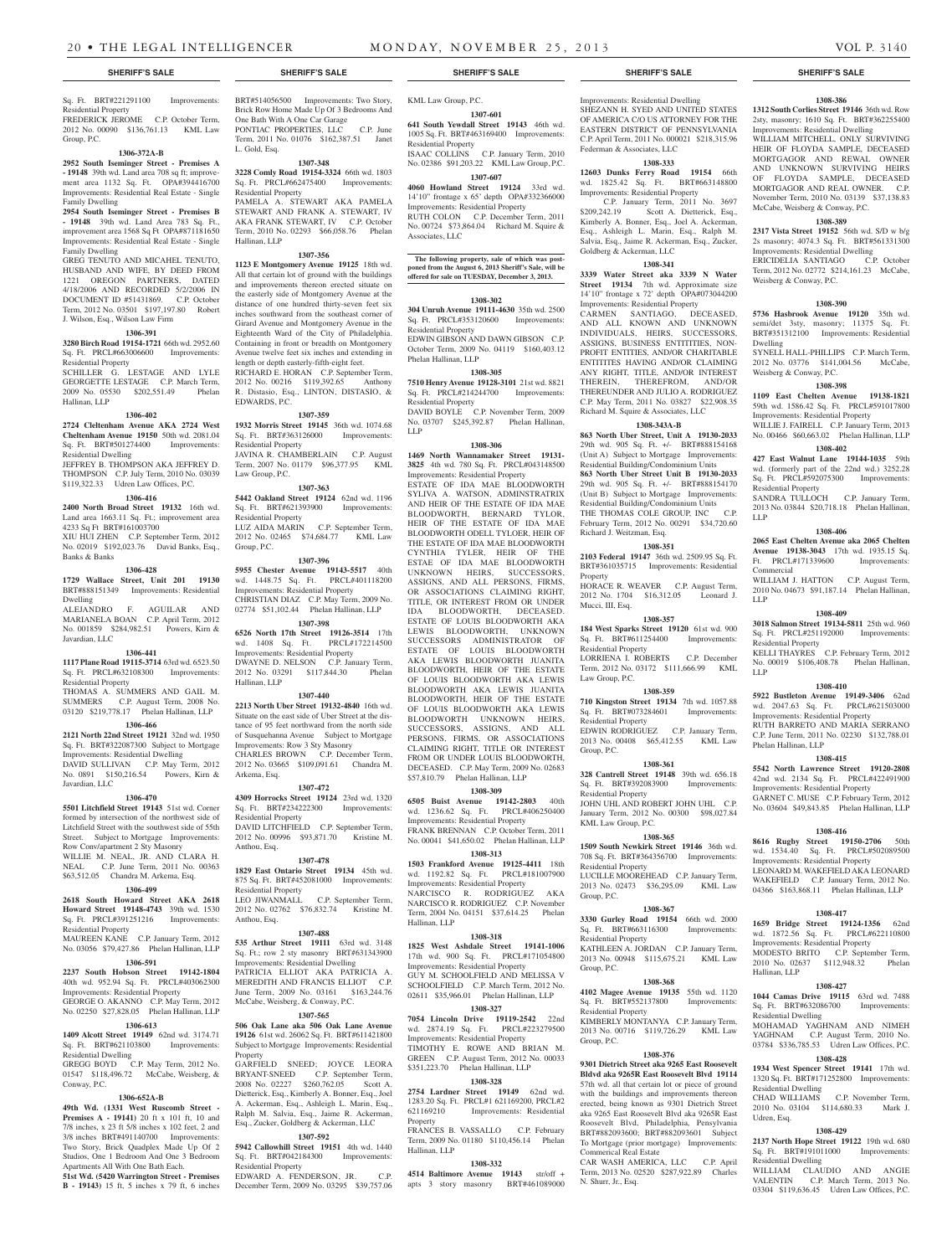#### Sq. Ft. BRT#221291100 Improvements: Residential Property

FREDERICK JEROME C.P. October Term, 2012 No. 00090 \$136,761.13 KML Law Group, P.C.

#### **1306-372A-B**

**2952 South Iseminger Street - Premises A - 19148** 39th wd. Land area 708 sq ft; improvement area 1132 Sq. Ft. OPA#394416700 Improvements: Residential Real Estate - Single Family Dwelling

**2954 South Iseminger Street - Premises B - 19148** 39th wd. Land Area 783 Sq. Ft., improvement area 1568 Sq Ft OPA#871181650 Improvements: Residential Real Estate - Single Family Dwelling

GREG TENUTO AND MICAHEL TENUTO HUSBAND AND WIFE, BY DEED FROM 1221 OREGON PARTNERS, DATED 4/18/2006 AND RECORDED 5/2/2006 IN DOCUMENT ID #51431869. C.P. October Term, 2012 No. 03501 \$197,197.80 Robert J. Wilson, Esq., Wilson Law Firm

#### **1306-391**

**3280 Birch Road 19154-1721** 66th wd. 2952.60 Sq. Ft. PRCL#663006600 Improvements: Residential Property SCHILLER G. LESTAGE AND LYLE GEORGETTE LESTAGE C.P. March Term, 2009 No. 05530 \$202,551.49 Phelan

#### **1306-402**

Hallinan, LLP

Banks & Banks

**2724 Cleltenham Avenue AKA 2724 West Cheltenham Avenue 19150** 50th wd. 2081.04 Sq. Ft. BRT#501274400 Improvements: Residential Dwelling

JEFFREY B. THOMPSON AKA JEFFREY D. THOMPSON C.P. July Term, 2010 No. 03039 \$119,322.33 Udren Law Offices, P.C.

#### **1306-416 2400 North Broad Street 19132** 16th wd.

Land area 1663.11 Sq. Ft.; improvement area 4233 Sq Ft BRT#161003700 XIU HUI ZHEN C.P. September Term, 2012 No. 02019 \$192,023.76 David Banks, Esq.,

## **1306-428**

**1729 Wallace Street, Unit 201 19130** 

BRT#888151349 Improvements: Residential Dwelling ALEJANDRO F. AGUILAR AND MARIANELA BOAN C.P. April Term, 2012 No. 001859 \$284,982.51 Powers, Kirn & Javardian, LLC

#### **1306-441**

**1117 Plane Road 19115-3714** 63rd wd. 6523.50 Sq. Ft. PRCL#632108300 Improvements: Residential Property

THOMAS A. SUMMERS AND GAIL M. SUMMERS C.P. August Term, 2008 No. 03120 \$219,778.17 Phelan Hallinan, LLP

## **1306-466**

**2121 North 22nd Street 19121** 32nd wd. 1950 Sq. Ft. BRT#322087300 Subject to Mortgage Improvements: Residential Dwelling DAVID SULLIVAN C.P. May Term, 2012

No. 0891 \$150,216.54 Powers, Kirn & Javardian, LLC **1306-470**

**5501 Litchfield Street 19143** 51st wd. Corner formed by intersection of the northwest side of Litchfield Street with the southwest side of 55th Street. Subject to Mortgage Improvements: Row Conv/apartment 2 Sty Masonry WILLIE M. NEAL, JR. AND CLARA H. NEAL C.P. June Term, 2011 No. 00363 \$63,512.05 Chandra M. Arkema, Esq.

## **1306-499**

**2618 South Howard Street AKA 2618 Howard Street 19148-4743** 39th wd. 1530 Sq. Ft. PRCL#391251216 Improvements: Residential Property

## MAUREEN KANE C.P. January Term, 2012 No. 03056 \$79,427.86 Phelan Hallinan, LLP

**1306-591 2237 South Hobson Street 19142-1804**  40th wd. 952.94 Sq. Ft. PRCL#403062300 Improvements: Residential Property

GEORGE O. AKANNO C.P. May Term, 2012 No. 02250 \$27,828.05 Phelan Hallinan, LLP

#### **1306-613 1409 Alcott Street 19149** 62nd wd. 3174.71

Sq. Ft. BRT#621103800 Improvements: Residential Dwelling GREGG BOYD C.P. May Term, 2012 No.

01547 \$118,496.72 McCabe, Weisberg, & Conway, P.C.

## **1306-652A-B**

**49th Wd. (1331 West Ruscomb Street - Premises A - 19141)** 20 ft x 101 ft, 10 and 7/8 inches, x 23 ft 5/8 inches x 102 feet, 2 and 3/8 inches BRT#491140700 Improvements: Two Story, Brick Quadplex Made Up Of 2 Studios, One 1 Bedroom And One 3 Bedroom Apartments All With One Bath Each.

**51st Wd. (5420 Warrington Street - Premises B - 19143)** 15 ft, 5 inches x 79 ft, 6 inches

#### BRT#514056500 Improvements: Two Story, Brick Row Home Made Up Of 3 Bedrooms And One Bath With A One Car Garage PONTIAC PROPERTIES, LLC C.P. June Term, 2011 No. 01076 \$162,387.51 Janet L. Gold, Esq.

#### **1307-348**

**3228 Comly Road 19154-3324** 66th wd. 1803 Sq. Ft. PRCL#662475400 Improvements: Residential Property<br>PAMELA A. STE STEWART AKA PAMELA

STEWART AND FRANK A. STEWART, IV AKA FRANK STEWART, IV C.P. October Term, 2010 No. 02293 \$66,058.76 Phelan Hallinan, LLP **1307-356**

**1123 E Montgomery Avenue 19125** 18th wd. All that certain lot of ground with the buildings and improvements thereon erected situate on the easterly side of Montgomery Avenue at the distance of one hundred thirty-seven feet six inches southward from the southeast corner of Girard Avenue and Montgomery Avenue in the Eighteenth Ward of the City of Philadelphia. Containing in front or breadth on Montgomery Avenue twelve feet six inches and extending in length or depth easterly-fifth-eight feet. RICHARD E. HORAN C.P. September Term, 2012 No. 00216 \$119,392.65 Anthony R. Distasio, Esq., LINTON, DISTASIO, & EDWARDS, P.C.

## **1307-359**

**1932 Morris Street 19145** 36th wd. 1074.68 Sq. Ft. BRT#363126000 Improvements: Residential Property JAVINA R. CHAMBERLAIN C.P. August Term, 2007 No. 01179 \$96,377.95 KML Law Group, P.C.

## **1307-363**

**5442 Oakland Street 19124** 62nd wd. 1196 Sq. Ft. BRT#621393900 Improvements: Residential Property

LUZ AIDA MARIN C.P. September Term,<br>2012 No. 02465 \$74.684.77 KML Law 2012 No. 02465 \$74,684.77 Group, P.C.

### **1307-396**

**5955 Chester Avenue 19143-5517** 40th wd. 1448.75 Sq. Ft. PRCL#401118200 Improvements: Residential Property CHRISTIAN DIAZ C.P. May Term, 2009 No. 02774 \$51,102.44 Phelan Hallinan, LLP

**1307-398 6526 North 17th Street 19126-3514** 17th wd. 1408 Sq. Ft. PRCL#172214500 Improvements: Residential Property DWAYNE D. NELSON C.P. January Term,<br>2012 No. 03291 \$117,844,30 Phelan 2012 No. 03291 \$117,844.30

#### **1307-440**

Hallinan, LLP

Arkema, Esq.

**2213 North Uber Street 19132-4840** 16th wd. Situate on the east side of Uber Street at the distance of 95 feet northward from the north side of Susquehanna Avenue Subject to Mortgage Improvements: Row 3 Sty Masonry CHARLES BROWN C.P. December Term, 2012 No. 03665 \$109,091.61 Chandra M.

**1307-472 4309 Horrocks Street 19124** 23rd wd. 1320 Sq. Ft. BRT#234222300 Improvements: Residential Property DAVID LITCHFIELD C.P. September Term,<br>2012 No. 00996 \$93,871.70 Kristine M. 2012 No. 00996 \$93,871.70 Anthou, Esq.

#### **1307-478**

**1829 East Ontario Street 19134** 45th wd. 875 Sq. Ft. BRT#452081000 Improvements: Residential Property LEO JIWANMALL C.P. September Term,

2012 No. 02762 \$76,832.74 Kristine M. Anthou, Esq.

## **1307-488**

**535 Arthur Street 19111** 63rd wd. 3148 Sq. Ft.; row 2 sty masonry BRT#631343900 Improvements: Residential Dwelling PATRICIA ELLIOT AKA PATRICIA A. MEREDITH AND FRANCIS ELLIOT C.P. June Term, 2009 No. 03161 \$163,244.76 McCabe, Weisberg, & Conway, P.C.

### **1307-565**

**506 Oak Lane aka 506 Oak Lane Avenue 19126** 61st wd. 26062 Sq. Ft. BRT#611421800 Subject to Mortgage Improvements: Residential Property

GARFIELD SNEED; JOYCE LEORA BRYANT-SNEED C.P. September Term, 2008 No. 02227 \$260,762.05 Scott A. Dietterick, Esq., Kimberly A. Bonner, Esq., Joel A. Ackerman, Esq., Ashleigh L. Marin, Esq., Ralph M. Salvia, Esq., Jaime R. Ackerman, Esq., Zucker, Goldberg & Ackerman, LLC **1307-592**

#### **5942 Callowhill Street 19151** 4th wd. 1440 Sq. Ft. BRT#042184300 Improvements: Residential Property

EDWARD A. FENDERSON, JR. C.P. December Term, 2009 No. 03295 \$39,757.06

KML Law Group, P.C.

**1307-601 641 South Yewdall Street 19143** 46th wd. 1005 Sq. Ft. BRT#463169400 Improvements: Residential Property

ISAAC COLLINS C.P. January Term, 2010 No. 02386 \$91,203.22 KML Law Group, P.C. **1307-607**

**4060 Howland Street 19124** 33rd wd. 14'10" frontage x 65' depth OPA#332366000

Improvements: Residential Property RUTH COLON C.P. December Term, 2011 No. 00724 \$73,864.04 Richard M. Squire & Associates, LLC

#### **The following property, sale of which was postponed from the August 6, 2013 Sheriff's Sale, will be offered for sale on TUESDAY, December 3, 2013.**

#### **1308-302**

**304 Unruh Avenue 19111-4630** 35th wd. 2500 Sq. Ft. PRCL#353120600 Improvements: Residential Property EDWIN GIBSON AND DAWN GIBSON C.P. October Term, 2009 No. 04119 \$160,403.12 Phelan Hallinan, LLP

#### **1308-305**

**7510 Henry Avenue 19128-3101** 21st wd. 8821 Sq. Ft. PRCL#214244700 Improvements: Residential Property DAVID BOYLE C.P. November Term, 2009

#### No. 03707 \$245,392.87 Phelan Hallinan, LLP **1308-306**

**1469 North Wannamaker Street 19131- 3825** 4th wd. 780 Sq. Ft. PRCL#043148500 Improvements: Residential Property

ESTATE OF IDA MAE BLOODWORTH SYLIVA A. WATSON, ADMINSTRATRIX AND HEIR OF THE ESTATE OF IDA MAE BLOODWORTH, BERNARD TYLOR, HEIR OF THE ESTATE OF IDA MAE BLOODWORTH ODELL TYLOER, HEIR OF THE ESTATE OF IDA MAE BLOODWORTH CYNTHIA TYLER, HEIR OF THE ESTAE OF IDA MAE BLOODWORTH UNKNOWN HEIRS, SUCCESSORS, ASSIGNS, AND ALL PERSONS, FIRMS, OR ASSOCIATIONS CLAIMING RIGHT TITLE, OR INTEREST FROM OR UNDER IDA BLOODWORTH, DECEASED. ESTATE OF LOUIS BLOODWORTH AKA LEWIS BLOODWORTH, UNKNOWN SUCCESSORS ADMINISTRATOR OF ESTATE OF LOUIS BLOODWORTH AKA LEWIS BLOODWORTH JUANITA BLOODWORTH, HEIR OF THE ESTATE OF LOUIS BLOODWORTH AKA LEWIS BLOODWORTH AKA LEWIS JUANITA BLOODWORTH, HEIR OF THE ESTATE OF LOUIS BLOODWORTH AKA LEWIS BLOODWORTH UNKNOWN HEIRS, SUCCESSORS, ASSIGNS, AND ALL PERSONS, FIRMS, OR ASSOCIATIONS CLAIMING RIGHT, TITLE OR INTEREST FROM OR UNDER LOUIS BLOODWORTH, DECEASED. C.P. May Term, 2009 No. 02683 \$57,810.79 Phelan Hallinan, LLP

## **1308-309**

**6505 Buist Avenue 19142-2803** 40th wd. 1236.62 Sq. Ft. PRCL#406250400 Improvements: Residential Property FRANK BRENNAN C.P. October Term, 2011 No. 00041 \$41,650.02 Phelan Hallinan, LLP **1308-313**

**1503 Frankford Avenue 19125-4411** 18th wd. 1192.82 Sq. Ft. PRCL#181007900 Improvements: Residential Property NARCISCO R. RODRIGUEZ AKA NARCISCO R. RODRIGUEZ C.P. November Term, 2004 No. 04151 \$37,614.25 Phelan Hallinan, LLP

#### **1308-318**

**1825 West Ashdale Street 19141-1006**  17th wd. 900 Sq. Ft. PRCL#171054800 Improvements: Residential Property GUY M. SCHOOLFIELD AND MELISSA V SCHOOLFIELD C.P. March Term, 2012 No. 02611 \$35,966.01 Phelan Hallinan, LLP **1308-327**

**7054 Lincoln Drive 19119-2542** 22nd wd. 2874.19 Sq. Ft. PRCL#223279500 Improvements: Residential Property TIMOTHY E. ROWE AND BRIAN M. GREEN C.P. August Term, 2012 No. 00033 \$351,223.70 Phelan Hallinan, LLP

#### **1308-328**

**2754 Lardner Street 19149** 62nd wd. 1283.20 Sq. Ft. PRCL#1 621169200, PRCL#2 621169210 Improvements: Residential Property

FRANCES B. VASSALLO C.P. February Term, 2009 No. 01180 \$110,456.14 Phelan Hallinan, LLP

#### **1308-332**

**4514 Baltimore Avenue 19143** str/off + apts 3 story masonry BRT#461089000

#### **SHERIFF'S SALE SHERIFF'S SALE SHERIFF'S SALE SHERIFF'S SALE SHERIFF'S SALE**

**1308-386 1312 South Corlies Street 19146** 36th wd. Row 2sty, masonry; 1610 Sq. Ft. BRT#362255400 Improvements: Residential Dwelling WILLIAM MITCHELL, ONLY SURVIVING HEIR OF FLOYDA SAMPLE, DECEASED MORTGAGOR AND REWAL OWNER AND UNKNOWN SURVIVING HEIRS OF FLOYDA SAMPLE, DECEASED MORTGAGOR AND REAL OWNER. C.P. November Term, 2010 No. 03139 \$37,138.83 McCabe, Weisberg & Conway, P.C. **1308-389 2317 Vista Street 19152** 56th wd. S/D w b/g 2s masonry; 4074.3 Sq. Ft. BRT#561331300 Improvements: Residential Dwelling ERICIDELIA SANTIAGO C.P. October Term, 2012 No. 02772, \$214,161.23 McCabe

Weisberg & Conway, P.C.

Weisberg & Conway, P.C.

Residential Property

Ft. PRCL#171339600

Commercial

Residential Property

Phelan Hallinan, LLP

Hallinan, LLP

Residential Dwelling

Residential Dwelling

Sq. Ft. BRT#191011000 Residential Dwelling

Udren, Esq.

LLP

LLP

LLP

Dwelling

**1308-390 5736 Hasbrook Avenue 19120** 35th wd. semi/det 3sty, masonry; 11375 Sq. Ft. BRT#351312100 Improvements: Residential

SYNELL HALL-PHILLIPS C.P. March Term, 2012 No. 03776 \$141,004.56 McCabe,

**1308-398 1109 East Chelten Avenue 19138-1821**  59th wd. 1586.42 Sq. Ft. PRCL#591017800 Improvements: Residential Property WILLIE J. FAIRELL C.P. January Term, 2013 No. 00466 \$60,663.02 Phelan Hallinan, LLP **1308-402 427 East Walnut Lane 19144-1035** 59th wd. (formerly part of the 22nd wd.) 3252.28 Sq. Ft. PRCL#592075300 Improvements:

SANDRA TULLOCH C.P. January Term, 2013 No. 03844 \$20,718.18 Phelan Hallinan,

**1308-406 2065 East Chelten Avenue aka 2065 Chelten Avenue 19138-3043** 17th wd. 1935.15 Sq.<br>Ft. PRCL#171339600 Improvements:

WILLIAM J. HATTON C.P. August Term, 2010 No. 04673 \$91,187.14 Phelan Hallinan,

**1308-409 3018 Salmon Street 19134-5811** 25th wd. 960 Sq. Ft. PRCL#251192000 Improvements:

KELLI THAYRES C.P. February Term, 2012 No. 00019 \$106,408.78 Phelan Hallinan,

**1308-410 5922 Bustleton Avenue 19149-3406** 62nd wd. 2047.63 Sq. Ft. PRCL#621503000 Improvements: Residential Property RUTH BARRETO AND MARIA SERRANO C.P. June Term, 2011 No. 02230 \$132,788.01

**1308-415 5542 North Lawrence Street 19120-2808**  42nd wd. 2134 Sq. Ft. PRCL#422491900 Improvements: Residential Property GARNET C. MUSE C.P. February Term, 2012 No. 03604 \$49,843.85 Phelan Hallinan, LLP

**1308-416 8616 Rugby Street 19150-2706** 50th wd. 1534.40 Sq. Ft. PRCL#502089500 Improvements: Residential Property LEONARD M. WAKEFIELD AKA LEONARD WAKEFIELD C.P. January Term, 2012 No. 04366 \$163,868.11 Phelan Hallinan, LLP **1308-417 1659 Bridge Street 19124-1356** 62nd wd. 1872.56 Sq. Ft. PRCL#622110800 Improvements: Residential Property MODESTO BRITO C.P. September Term, 2010 No. 02637 \$112,948.32 Phelan

**1308-427 1044 Camas Drive 19115** 63rd wd. 7488 Sq. Ft. BRT#632086700 Improvements:

MOHAMAD YAGHNAM AND NIMEH YAGHNAM C.P. August Term, 2010 No. 03784 \$336,785.53 Udren Law Offices, P.C. **1308-428 1934 West Spencer Street 19141** 17th wd. 1320 Sq. Ft. BRT#171252800 Improvements:

CHAD WILLIAMS C.P. November Term, 2010 No. 03104 \$114,680.33 Mark J.

**1308-429 2137 North Hope Street 19122** 19th wd. 680<br>Sq. Ft. BRT#191011000 Improvements:

WILLIAM CLAUDIO AND ANGIE VALENTIN C.P. March Term, 2013 No. 03304 \$119,636.45 Udren Law Offices, P.C.

Improvements: Residential Dwelling SHEZANN H. SYED AND UNITED STATES OF AMERICA C/O US ATTORNEY FOR THE EASTERN DISTRICT OF PENNSYLVANIA C.P. April Term, 2011 No. 000021 \$218,315.96 Federman & Associates, LLC

## **1308-333**

**12603 Dunks Ferry Road 19154** 66th wd. 1825.42 Sq. Ft. BRT#663148800 Improvements: Residential Property

 C.P. January Term, 2011 No. 3697 \$209,242.19 Scott A. Dietterick, Esq., Kimberly A. Bonner, Esq., Joel A. Ackerman, Esq., Ashleigh L. Marin, Esq., Ralph M. Salvia, Esq., Jaime R. Ackerman, Esq., Zucker, Goldberg & Ackerman, LLC

### **1308-341**

**3339 Water Street aka 3339 N Water Street** 19134 7th wd. Approximate size 14'10" frontage x 72' depth OPA#073044200 Improvements: Residential Property CARMEN SANTIAGO, DECEASED, AND ALL KNOWN AND UNKNOWN INDIVIDUALS, HEIRS, SUCCESSORS, ASSIGNS, BUSINESS ENTITITIES, NON-PROFIT ENTITIES, AND/OR CHARITABLE ENTITITES HAVING AND/OR CLAIMING ANY RIGHT, TITLE, AND/OR INTEREST THEREIN, THEREFROM, AND/OR THEREUNDER AND JULIO A. RODRIGUEZ C.P. May Term, 2011 No. 03827 \$22,908.35 Richard M. Squire & Associates, LLC

#### **1308-343A-B**

**863 North Uber Street, Unit A 19130-2033**  29th wd. 905 Sq. Ft. +/- BRT#888154168 (Unit A) Subject to Mortgage Improvements: Residential Building/Condominium Units **863 North Uber Street Unit B 19130-2033**  29th wd. 905 Sq. Ft. +/- BRT#888154170 (Unit B) Subject to Mortgage Improvements: Residential Building/Condominium Units THE THOMAS COLE GROUP, INC February Term, 2012 No. 00291 \$34,720.60 Richard J. Weitzman, Esq.

**1308-351 2103 Federal 19147** 36th wd. 2509.95 Sq. Ft. BRT#361035715 Improvements: Residential

HORACE R. WEAVER C.P. August Term, 2012 No. 1704 \$16,312.05 Leonard J.

**1308-357 184 West Sparks Street 19120** 61st wd. 900 Sq. Ft. BRT#611254400 Improvements:

LORRIENA I. ROBERTS C.P. December Term, 2012 No. 03172 \$111,666.99 KML

**1308-359 710 Kingston Street 19134** 7th wd. 1057.88 Sq. Ft. BRT#073284601 Improvements:

EDWIN RODRIGUEZ C.P. January Term, 2013 No. 00408 \$65,412.55 KML Law

**1308-361 328 Cantrell Street 19148** 39th wd. 656.18 Sq. Ft. BRT#392083900 Improvements:

JOHN UHL AND ROBERT JOHN UHL C.P. January Term, 2012 No. 00300 \$98,027.84

**1308-365 1509 South Newkirk Street 19146** 36th wd. 708 Sq. Ft. BRT#364356700 Improvements:

LUCILLE MOOREHEAD C.P. January Term, 2013 No. 02473 \$36,295.09 KML Law

**1308-367 3330 Gurley Road 19154** 66th wd. 2000 Sq. Ft. BRT#663116300 Improvements:

KATHLEEN A. JORDAN C.P. January Term, 2013 No. 00948 \$115,675.21 KML Law

**1308-368 4102 Magee Avenue 19135** 55th wd. 1120 Sq. Ft. BRT#552137800 Improvements:

KIMBERLY MONTANYA C.P. January Term, 2013 No. 00716 \$119.726.29 KML Law

**1308-376 9301 Dietrich Street aka 9265 East Roosevelt Bldvd aka 9265R East Roosevelt Blvd 19114**  57th wd. all that certain lot or piece of ground with the buildings and improvements thereon erected, being known as 9301 Dietrich Street aka 9265 East Roosevelt Blvd aka 9265R East Roosevelt Blvd, Philadelphia, Pensylvania BRT#882093600; BRT#882093601 Subject To Mortgage (prior mortgage) Improvements:

CAR WASH AMERICA, LLC C.P. April Term, 2013 No. 02520 \$287,922.89 Charles

Property

Mucci, III, Esq.

Residential Property

Residential Property

Residential Property

KML Law Group, P.C.

Residential Property

Residential Property

Residential Property

Commerical Real Estate

N. Shurr, Jr., Esq.

Group, P.C.

Group, P.C.

Group, P.C.

Group, P.C.

Law Group, P.C.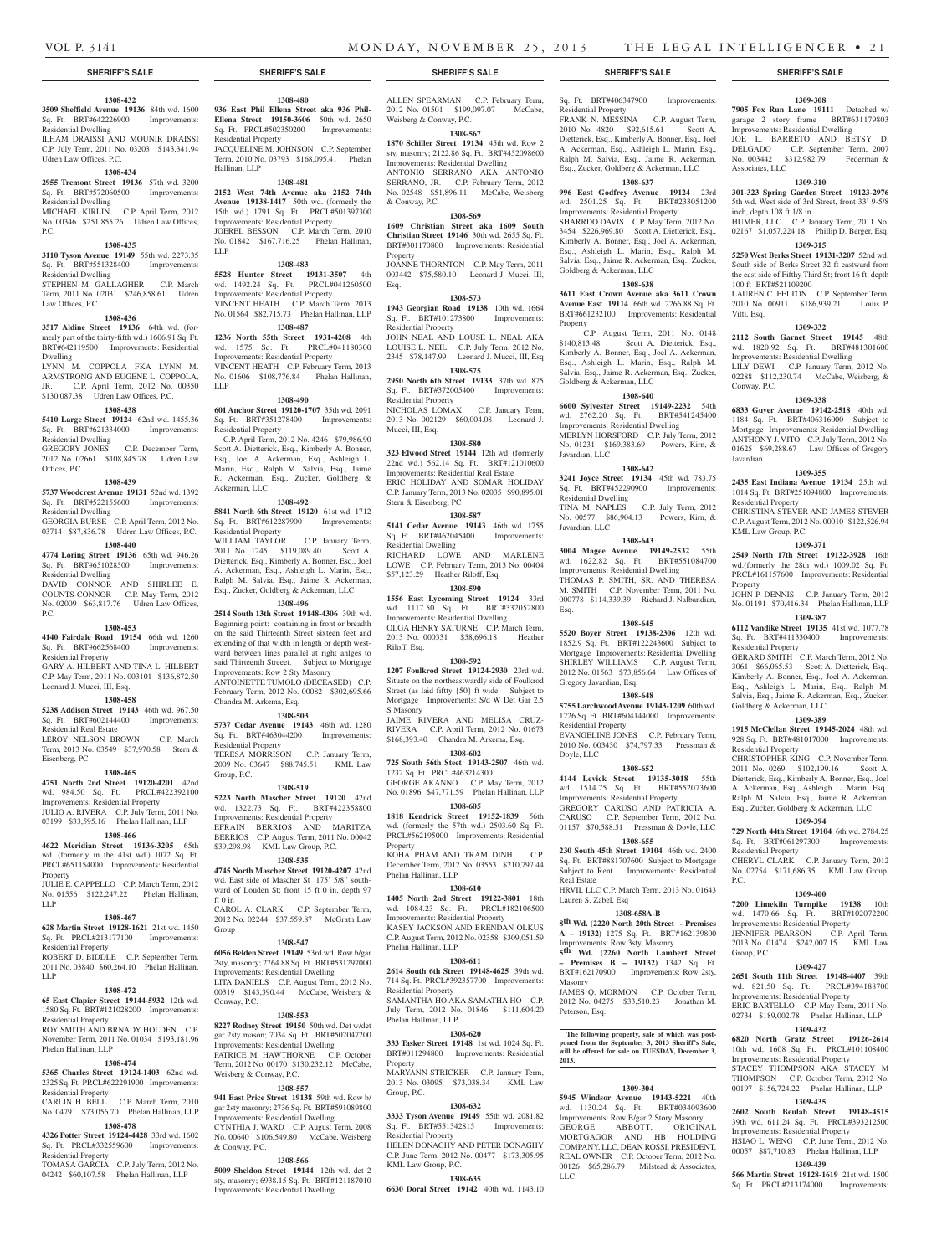Residential Property

Goldberg & Ackerman, LLC

Goldberg & Ackerman, LLC

Javardian, LLC

Residential Dwelling

Gregory Javardian, Esq.

Residential Property

Doyle, LLC

Real Estate

Masonry

**2013.**

LLC

Peterson, Esq.

Lauren S. Zabel, Esq

Javardian, LLC

Esq.

Property

**1308-638 3611 East Crown Avenue aka 3611 Crown Avenue East 19114** 66th wd. 2266.88 Sq. Ft. BRT#661232100 Improvements: Residential

 C.P. August Term, 2011 No. 0148 \$140,813.48 Scott A. Dietterick, Esq., \$140,813.48 Scott A. Dietterick, Esq., Kimberly A. Bonner, Esq., Joel A. Ackerman, Esq., Ashleigh L. Marin, Esq., Ralph M. Salvia, Esq., Jaime R. Ackerman, Esq., Zucker,

**1308-640 6600 Sylvester Street 19149-2232** 54th wd. 2762.20 Sq. Ft. BRT#541245400 Improvements: Residential Dwelling MERLYN HORSFORD C.P. July Term, 2012 No. 01231 \$169,383.69 Powers, Kirn, &

**1308-642 3241 Joyce Street 19134** 45th wd. 783.75 Sq. Ft. BRT#452290900 Improvements:

TINA M. NAPLES C.P. July Term, 2012 No. 00577 \$86,904.13 Powers, Kirn, &

**1308-643 3004 Magee Avenue 19149-2532** 55th wd. 1622.82 Sq. Ft. BRT#551084700 Improvements: Residential Dwelling THOMAS P. SMITH, SR. AND THERESA M. SMITH C.P. November Term, 2011 No. 000778 \$114,339.39 Richard J. Nalbandian,

**1308-645 5520 Boyer Street 19138-2306** 12th wd. 1852.9 Sq. Ft. BRT#122243600 Subject to Mortgage Improvements: Residential Dwelling SHIRLEY WILLIAMS C.P. August Term, 2012 No. 01563 \$73,856.64 Law Offices of

**1308-648 5755 Larchwood Avenue 19143-1209** 60th wd. 1226 Sq. Ft. BRT#604144000 Improvements:

EVANGELINE JONES C.P. February Term, 2010 No. 003430 \$74,797.33 Pressman &

**1308-652 4144 Levick Street 19135-3018** 55th wd. 1514.75 Sq. Ft. BRT#552073600 Improvements: Residential Property GREGORY CARUSO AND PATRICIA A. CARUSO C.P. September Term, 2012 No. 01157 \$70,588.51 Pressman & Doyle, LLC **1308-655 230 South 45th Street 19104** 46th wd. 2400 Sq. Ft. BRT#881707600 Subject to Mortgage Subject to Rent Improvements: Residential

HRVII, LLC C.P. March Term, 2013 No. 01643

**1308-658A-B 8th Wd. (2220 North 20th Street - Premises A – 19132)** 1275 Sq. Ft. BRT#162139800

**5th Wd. (2260 North Lambert Street – Premises B – 19132)** 1342 Sq. Ft. BRT#162170900 Improvements: Row 2sty,

JAMES Q. MORMON C.P. October Term, 2012 No. 04275 \$33,510.23 Jonathan M.

**The following property, sale of which was post-poned from the September 3, 2013 Sheriff's Sale, will be offered for sale on TUESDAY, December 3,** 

**1309-304 5945 Windsor Avenue 19143-5221** 40th wd. 1130.24 Sq. Ft. BRT#034093600 Improvements: Row B/gar 2 Story Masonry GEORGE ABBOTT, ORIGINAL MORTGAGOR AND HB HOLDING COMPANY, LLC, DEAN ROSSI, PRESIDENT, REAL OWNER C.P. October Term, 2012 No. 00126 \$65,286.79 Milstead & Associates,

Improvements: Row 3sty, Masonry

Sq. Ft. BRT#406347900 Improvements:

**1309-308 7905 Fox Run Lane 19111** Detached w/ garage 2 story frame BRT#631179803 Improvements: Residential Dwelling JOE L. BARRETO AND BETSY D. DELGADO C.P. September Term, 2007 No. 003442 \$312,982.79 Federman &

**1309-310 301-323 Spring Garden Street 19123-2976**  5th wd. West side of 3rd Street, front 33' 9-5/8

HUMER, LLC C.P. January Term, 2011 No. 02167 \$1,057,224.18 Phillip D. Berger, Esq. **1309-315 5250 West Berks Street 19131-3207** 52nd wd. South side of Berks Street 32 ft eastward from the east side of Fifthy Third St; front 16 ft, depth

LAUREN C. FELTON C.P. September Term, 2010 No. 00911 \$186,939.21 Louis P.

**1309-332 2112 South Garnet Street 19145** 48th wd. 1820.92 Sq. Ft. BRT#481301600 Improvements: Residential Dwelling LILY DEWI C.P. January Term, 2012 No. 02288 \$112,230.74 McCabe, Weisberg, &

**1309-338 6833 Guyer Avenue 19142-2518** 40th wd. 1184 Sq. Ft. BRT#406316000 Subject to Mortgage Improvements: Residential Dwelling ANTHONY J. VITO C.P. July Term, 2012 No. 01625 \$69,288.67 Law Offices of Gregory

**1309-355 2435 East Indiana Avenue 19134** 25th wd. 1014 Sq. Ft. BRT#251094800 Improvements:

CHRISTINA STEVER AND JAMES STEVER C.P. August Term, 2012 No. 00010 \$122,526.94

**1309-371 2549 North 17th Street 19132-3928** 16th wd.(formerly the 28th wd.) 1009.02 Sq. Ft. PRCL#161157600 Improvements: Residential

JOHN P. DENNIS C.P. January Term, 2012 No. 01191 \$70,416.34 Phelan Hallinan, LLP **1309-387 6112 Vandike Street 19135** 41st wd. 1077.78 Sq. Ft. BRT#411330400 Improvements:

GERARD SMITH C.P. March Term, 2012 No. 3061 \$66,065.53 Scott A. Dietterick, Esq., Kimberly A. Bonner, Esq., Joel A. Ackerman, Esq., Ashleigh L. Marin, Esq., Ralph M. Salvia, Esq., Jaime R. Ackerman, Esq., Zucker,

**1309-389 1915 McClellan Street 19145-2024** 48th wd. 928 Sq. Ft. BRT#481017000 Improvements:

CHRISTOPHER KING C.P. November Term, 2011 No. 0269 \$102,199.16 Scott A. Dietterick, Esq., Kimberly A. Bonner, Esq., Joel A. Ackerman, Esq., Ashleigh L. Marin, Esq., Ralph M. Salvia, Esq., Jaime R. Ackerman, Esq., Zucker, Goldberg & Ackerman, LLC **1309-394 729 North 44th Street 19104** 6th wd. 2784.25 Sq. Ft. BRT#061297300 Improvements:

CHERYL CLARK C.P. January Term, 2012 No. 02754 \$171,686.35 KML Law Group,

**1309-400 7200 Limekiln Turnpike 19138** 10th wd. 1470.66 Sq. Ft. BRT#102072200 Improvements: Residential Property JENNIFER PEARSON C.P. April Term, 2013 No. 01474 \$242,007.15 KML Law

**1309-427 2651 South 11th Street 19148-4407** 39th wd. 821.50 Sq. Ft. PRCL#394188700 Improvements: Residential Property ERIC BARTELLO C.P. May Term, 2011 No. 02734 \$189,002.78 Phelan Hallinan, LLP **1309-432 6820 North Gratz Street 19126-2614**  10th wd. 1608 Sq. Ft. PRCL#101108400 Improvements: Residential Property STACEY THOMPSON AKA STACEY M THOMPSON C.P. October Term, 2012 No. 00197 \$156,724.22 Phelan Hallinan, LLP **1309-435 2602 South Beulah Street 19148-4515**  39th wd. 611.24 Sq. Ft. PRCL#393212500 Improvements: Residential Property HSIAO L. WENG C.P. June Term, 2012 No. 00057 \$87,710.83 Phelan Hallinan, LLP **1309-439 566 Martin Street 19128-1619** 21st wd. 1500 Sq. Ft. PRCL#213174000 Improvements:

Associates, LLC

inch, depth 108 ft 1/8 in

100 ft BRT#521109200

Vitti, Esq.

Conway, P.C.

Javardian

**Property** 

Residential Property

KML Law Group, P.C.

Residential Property

Residential Property

Residential Property

P.C.

Group, P.C.

Goldberg & Ackerman, LLC

FRANK N. MESSINA C.P. August Term, 2010 No. 4820 \$92,615.61 Scott A. Dietterick, Esq., Kimberly A. Bonner, Esq., Joel A. Ackerman, Esq., Ashleigh L. Marin, Esq., Ralph M. Salvia, Esq., Jaime R. Ackerman, Esq., Zucker, Goldberg & Ackerman, LLC **1308-637 996 East Godfrey Avenue 19124** 23rd wd. 2501.25 Sq. Ft. BRT#233051200 Improvements: Residential Property SHARRDO DAVIS C.P. May Term, 2012 No. 3454 \$226,969.80 Scott A. Dietterick, Esq., Kimberly A. Bonner, Esq., Joel A. Ackerman, Esq., Ashleigh L. Marin, Esq., Ralph M. Salvia, Esq., Jaime R. Ackerman, Esq., Zucker,

#### **SHERIFF'S SALE SHERIFF'S SALE SHERIFF'S SALE SHERIFF'S SALE SHERIFF'S SALE**

## **1308-432**

**3509 Sheffield Avenue 19136** 84th wd. 1600 Sq. Ft. BRT#642226900 Improvements: Residential Dwelling ILHAM DRAISSI AND MOUNIR DRAISSI

C.P. July Term, 2011 No. 03203 \$143,341.94 Udren Law Offices, P.C.

### **1308-434**

**2955 Tremont Street 19136** 57th wd. 3200 Sq. Ft. BRT#572060500 Improvements: Residential Dwelling

MICHAEL KIRLIN C.P. April Term, 2012 No. 00346 \$251,855.26 Udren Law Offices, P.C.

#### **1308-435**

**3110 Tyson Avenue 19149** 55th wd. 2273.35 Sq. Ft. BRT#551328400 Improvements: Residential Dwelling

STEPHEN M. GALLAGHER C.P. March Term, 2011 No. 02031 \$246,858.61 Udren Law Offices, P.C.

#### **1308-436**

**3517 Aldine Street 19136** 64th wd. (formerly part of the thirty-fifth wd.) 1606.91 Sq. Ft. BRT#642119500 Improvements: Residential Dwelling

LYNN M. COPPOLA FKA LYNN M. ARMSTRONG AND EUGENE L. COPPOLA, JR. C.P. April Term, 2012 No. 00350 \$130,087.38 Udren Law Offices, P.C.

#### **1308-438**

**5410 Large Street 19124** 62nd wd. 1455.36 Sq. Ft. BRT#621334000 Improvements: Residential Dwelling GREGORY JONES C.P. December Term,

2012 No. 02661 \$108,845.78 Udren Law Offices, P.C.

### **1308-439**

**5737 Woodcrest Avenue 19131** 52nd wd. 1392 Sq. Ft. BRT#522155600 Improvements: Residential Dwelling

GEORGIA BURSE C.P. April Term, 2012 No. 03714 \$87,836.78 Udren Law Offices, P.C. **1308-440**

#### **4774 Loring Street 19136** 65th wd. 946.26

Sq. Ft. BRT#651028500 Improvements: Residential Dwelling DAVID CONNOR AND SHIRLEE E. COUNTS-CONNOR C.P. May Term, 2012 No. 02009 \$63,817.76 Udren Law Offices, P.C.

#### **1308-453**

**4140 Fairdale Road 19154** 66th wd. 1260 Sq. Ft. BRT#662568400 Improvements: Residential Property GARY A. HILBERT AND TINA L. HILBERT

C.P. May Term, 2011 No. 003101 \$136,872.50 Leonard J. Mucci, III, Esq.

## **1308-458**

**5238 Addison Street 19143** 46th wd. 967.50 Sq. Ft. BRT#602144400 Improvements: Residential Real Estate LEROY NELSON BROWN C.P. March

Term, 2013 No. 03549 \$37,970.58 Stern & Eisenberg, PC

#### **1308-465**

**4751 North 2nd Street 19120-4201** 42nd wd. 984.50 Sq. Ft. PRCL#422392100 Improvements: Residential Property JULIO A. RIVERA C.P. July Term, 2011 No. 03199 \$33,595.16 Phelan Hallinan, LLP

#### **1308-466**

**4622 Meridian Street 19136-3205** 65th wd. (formerly in the 41st wd.) 1072 Sq. Ft. PRCL#651154000 Improvements: Residential Property

JULIE E. CAPPELLO C.P. March Term, 2012 No. 01556 \$122,247.22 Phelan Hallinan, LLP

## **1308-467**

**628 Martin Street 19128-1621** 21st wd. 1450 Sq. Ft. PRCL#213177100 Improvements: Residential Property ROBERT D. BIDDLE C.P. September Term,

2011 No. 03840 \$60,264.10 Phelan Hallinan, LLP

#### **1308-472**

**65 East Clapier Street 19144-5932** 12th wd. 1580 Sq. Ft. BRT#121028200 Improvements:

### Residential Property ROY SMITH AND BRNADY HOLDEN C.P. November Term, 2011 No. 01034 \$193,181.96

Phelan Hallinan, LLP **1308-474**

#### **5365 Charles Street 19124-1403** 62nd wd. 2325 Sq. Ft. PRCL#622291900 Improvements: Residential Property

CARLIN H. BELL C.P. March Term, 2010 No. 04791 \$73,056.70 Phelan Hallinan, LLP

**1308-478 4326 Potter Street 19124-4428** 33rd wd. 1602 Sq. Ft. PRCL#332559600 Improvements:

Residential Property TOMASA GARCIA C.P. July Term, 2012 No. 04242 \$60,107.58 Phelan Hallinan, LLP

## **1308-480**

**936 East Phil Ellena Street aka 936 Phil-Ellena Street 19150-3606** 50th wd. 2650 Sq. Ft. PRCL#502350200 Improvements: Residential Property JACQUELINE M. JOHNSON C.P. September Term, 2010 No. 03793 \$168,095.41 Phelan Hallinan, LLP

## **1308-481**

**2152 West 74th Avenue aka 2152 74th Avenue 19138-1417** 50th wd. (formerly the 15th wd.) 1791 Sq. Ft. PRCL#501397300 Improvements: Residential Property JOEREL BESSON C.P. March Term, 2010 No. 01842 \$167.716.25 Phelan Hallinan, LLP

#### **1308-483**

**5528 Hunter Street 19131-3507** 4th wd. 1492.24 Sq. Ft. PRCL#041260500 Improvements: Residential Property VINCENT HEATH C.P. March Term, 2013 No. 01564 \$82,715.73 Phelan Hallinan, LLP

**1308-487 1236 North 55th Street 1931-4208** 4th wd. 1575 Sq. Ft. PRCL#041180300 Improvements: Residential Property VINCENT HEATH C.P. February Term, 2013

No. 01606 \$108,776.84 Phelan Hallinan, LLP **1308-490**

**601 Anchor Street 19120-1707** 35th wd. 2091 Sq. Ft. BRT#351278400 Improvements: Residential Property

 C.P. April Term, 2012 No. 4246 \$79,986.90 Scott A. Dietterick, Esq., Kimberly A. Bonner, Esq., Joel A. Ackerman, Esq., Ashleigh L. Marin, Esq., Ralph M. Salvia, Esq., Jaime R. Ackerman, Esq., Zucker, Goldberg & Ackerman, LLC

#### **1308-492**

**5841 North 6th Street 19120** 61st wd. 1712 Sq. Ft. BRT#612287900 Improvements: Residential Property

WILLIAM TAYLOR C.P. January Term, 2011 No. 1245 \$119,089.40 Scott A. Dietterick, Esq., Kimberly A. Bonner, Esq., Joel A. Ackerman, Esq., Ashleigh L. Marin, Esq., Ralph M. Salvia, Esq., Jaime R. Ackerman, Esq., Zucker, Goldberg & Ackerman, LLC

#### **1308-496**

**2514 South 13th Street 19148-4306** 39th wd. Beginning point: containing in front or breadth on the said Thirteenth Street sixteen feet and extending of that width in length or depth westward between lines parallel at right anlges to said Thirteenth Streeet. Subject to Mortgage Improvements: Row 2 Sty Masonry ANTOINETTE TUMOLO (DECEASED) C.P. February Term, 2012 No. 00082 \$302,695.66 Chandra M. Arkema, Esq.

#### **1308-503**

**5737 Cedar Avenue 19143** 46th wd. 1280 Sq. Ft. BRT#463044200 Improvements: Residential Property TERESA MORRISON C.P. January Term, 2009 No. 03647 \$88,745.51 KML Law Group, P.C.

## **1308-519**

**5223 North Mascher Street 19120** 42nd wd. 1322.73 Sq. Ft. BRT#422358800 Improvements: Residential Property

EFRAIN BERRIOS AND MARITZA BERRIOS C.P. August Term, 2011 No. 00042

#### \$39,298.98 KML Law Group, P.C. **1308-535**

**4745 North Mascher Street 19120-4207** 42nd wd. East side of Mascher St 175' 5/8" southward of Louden St; front 15 ft 0 in, depth 97 ft 0 in

CAROL A. CLARK C.P. September Term, 2012 No. 02244 \$37,559.87 McGrath Law Group

#### **1308-547**

**6056 Belden Street 19149** 53rd wd. Row b/gar 2sty, masonry; 2764.88 Sq. Ft. BRT#531297000 Improvements: Residential Dwelling LITA DANIELS C.P. August Term, 2012 No. 00319 \$143,390.44 McCabe, Weisberg & Conway, P.C.

#### **1308-553**

**8227 Rodney Street 19150** 50th wd. Det w/det gar 2sty mason; 7034 Sq. Ft. BRT#502047200 Improvements: Residential Dwelling PATRICE M. HAWTHORNE C.P. October Term, 2012 No. 00170 \$130,232.12 McCabe, Weisberg & Conway, P.C.

#### **1308-557**

**941 East Price Street 19138** 59th wd. Row b/ gar 2sty masonry; 2736 Sq. Ft. BRT#591089800 Improvements: Residential Dwelling CYNTHIA J. WARD C.P. August Term, 2008 No. 00640 \$106,549.80 McCabe, Weisberg & Conway, P.C.

#### **1308-566**

**5009 Sheldon Street 19144** 12th wd. det 2 sty, masonry; 6938.15 Sq. Ft. BRT#121187010 Improvements: Residential Dwelling

ALLEN SPEARMAN C.P. February Term, 2012 No. 01501 \$199,097.07 McCabe, Weisberg & Conway, P.C.

## **1308-567**

**1870 Schiller Street 19134** 45th wd. Row 2 sty, masonry; 2122.86 Sq. Ft. BRT#452098600 Improvements: Residential Dwelling ANTONIO SERRANO AKA ANTONIO SERRANO, JR. C.P. February Term, 2012 No. 02548 \$51,896.11 McCabe, Weisberg & Conway, P.C.

#### **1308-569**

**1609 Christian Street aka 1609 South Christian Street 19146** 30th wd. 2655 Sq. Ft. BRT#301170800 Improvements: Residential Property

JOANNE THORNTON C.P. May Term, 2011 003442 \$75,580.10 Leonard J. Mucci, III, Esq.

#### **1308-573**

**1943 Georgian Road 19138** 10th wd. 1664 Sq. Ft. BRT#101273800 Improvements: Residential Property JOHN NEAL AND LOUSE L. NEAL AKA

LOUISE L. NEIL C.P. July Term, 2012 No. 2345 \$78,147.99 Leonard J. Mucci, III, Esq **1308-575**

**2950 North 6th Street 19133** 37th wd. 875 Sq. Ft. BRT#372005400 Improvements: Residential Property NICHOLAS LOMAX C.P. January Term, 2013 No. 002129 \$60,004.08 Leonard J. Mucci, III, Esq.

## **1308-580**

**323 Elwood Street 19144** 12th wd. (formerly 22nd wd.) 562.14 Sq. Ft. BRT#121010600 Improvements: Residential Real Estate ERIC HOLIDAY AND SOMAR HOLIDAY C.P. January Term, 2013 No. 02035 \$90,895.01 Stern & Eisenberg, PC

#### **1308-587**

**5141 Cedar Avenue 19143** 46th wd. 1755 Sq. Ft. BRT#462045400 Improvements: Residential Dwelling

RICHARD LOWE AND MARLENE LOWE C.P. February Term, 2013 No. 00404 \$57,123.29 Heather Riloff, Esq. **1308-590**

**1556 East Lycoming Street 19124** 33rd wd. 1117.50 Sq. Ft. BRT#332052800 Improvements: Residential Dwelling OLGA HENRY SATURNE C.P. March Term, 2013 No. 000331 \$58,696.18 Heather Riloff, Esq.

#### **1308-592**

**1207 Foulkrod Street 19124-2930** 23rd wd. Situate on the northeastwardly side of Foulkrod Street (as laid fiftty  $\{50\}$  ft wide Subject to Mortgage Improvements: S/d W Det Gar 2.5 S Masonry JAIME RIVERA AND MELISA CRUZ-

RIVERA C.P. April Term, 2012 No. 01673 \$168,393.40 Chandra M. Arkema, Esq. **1308-602**

**725 South 56th Steet 19143-2507** 46th wd. 1232 Sq. Ft. PRCL#463214300 GEORGE AKANNO C.P. May Term, 2012 No. 01896 \$47,771.59 Phelan Hallinan, LLP

## **1308-605**

**1818 Kendrick Street 19152-1839** 56th wd. (formerly the 57th wd.) 2503.60 Sq. Ft. PRCL#562195000 Improvements: Residential Property KOHA PHAM AND TRAM DINH C.P.

December Term, 2012 No. 03553 \$210,797.44

**1308-610 1405 North 2nd Street 19122-3801** 18th wd. 1084.23 Sq. Ft. PRCL#182106500 Improvements: Residential Property KASEY JACKSON AND BRENDAN OLKUS C.P. August Term, 2012 No. 02358 \$309,051.59

**1308-611 2614 South 6th Street 19148-4625** 39th wd. 714 Sq. Ft. PRCL#392357700 Improvements:

SAMANTHA HO AKA SAMATHA HO C.P. July Term, 2012 No. 01846 \$111,604.20

**1308-620 333 Tasker Street 19148** 1st wd. 1024 Sq. Ft. BRT#011294800 Improvements: Residential

MARYANN STRICKER C.P. January Term, 2013 No. 03095 \$73,038.34 KML Law

**1308-632 3333 Tyson Avenue 19149** 55th wd. 2081.82 Sq. Ft. BRT#551342815 Improvements:

HELEN DONAGHY AND PETER DONAGHY C.P. June Term, 2012 No. 00477 \$173,305.95

**1308-635 6630 Doral Street 19142** 40th wd. 1143.10

Phelan Hallinan, LLP

Phelan Hallinan, LLP

Residential Property

Phelan Hallinan, LLP

Property

Group, P.C.

Residential Property

KML Law Group, P.C.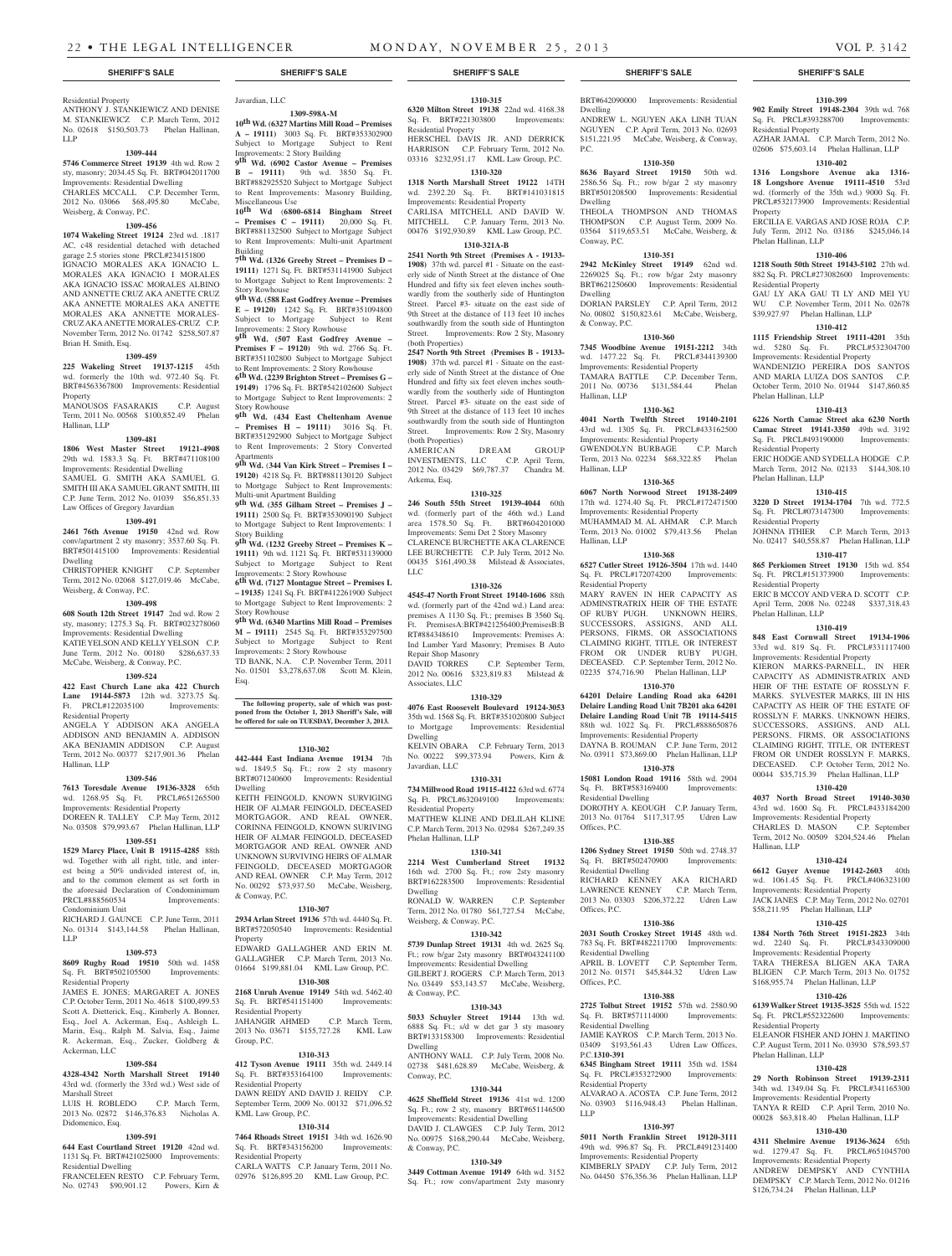**1310-315 6320 Milton Street 19138** 22nd wd. 4168.38 Sq. Ft. BRT#221303800 Improvements:

HERSCHEL DAVIS JR. AND DERRICK HARRISON C.P. February Term, 2012 No. 03316 \$232,951.17 KML Law Group, P.C. **1310-320 1318 North Marshall Street 19122** 14TH wd. 2392.20 Sq. Ft. BRT#141031815 Improvements: Residential Property CARLISA MITCHELL AND DAVID W. MITCHELL C.P. January Term, 2013 No. 00476 \$192,930.89 KML Law Group, P.C. **1310-321A-B 2541 North 9th Street (Premises A - 19133- 1908)** 37th wd. parcel #1 - Situate on the easterly side of Ninth Street at the distance of One Hundred and fifty six feet eleven inches southwardly from the southerly side of Huntington Street. Parcel #3- situate on the east side of 9th Street at the distance of 113 feet 10 inches southwardly from the south side of Huntington Street. Improvements: Row 2 Sty, Masonry

**2547 North 9th Street (Premises B - 19133- 1908)** 37th wd. parcel #1 - Situate on the easterly side of Ninth Street at the distance of One Hundred and fifty six feet eleven inches southwardly from the southerly side of Huntington Street. Parcel #3- situate on the east side of 9th Street at the distance of 113 feet 10 inches southwardly from the south side of Huntington Street. Improvements: Row 2 Sty, Masonry

AMERICAN DREAM GROUP INVESTMENTS, LLC C.P. April Term, 2012 No. 03429 \$69,787.37 Chandra M.

**1310-325 246 South 55th Street 19139-4044** 60th wd. (formerly part of the 46th wd.) Land area 1578.50 Sq. Ft. BRT#604201000 Improvements: Semi Det 2 Story Masonry CLARENCE BURCHETTE AKA CLARENCE LEE BURCHETTE C.P. July Term, 2012 No. 00435 \$161,490.38 Milstead & Associates,

**1310-326 4545-47 North Front Street 19140-1606** 88th wd. (formerly part of the 42nd wd.) Land area: premises A 1130 Sq. Ft.; premises B 3560 Sq. Ft. PremisesA:BRT#421256400;PremisesB:B RT#884348610 Improvements: Premises A: Ind Lumber Yard Masonry; Premises B Auto

2012 No. 00616 \$323,819.83 Milstead &

**1310-329 4076 East Roosevelt Boulevard 19124-3053**  35th wd. 1568 Sq. Ft. BRT#351020800 Subject to Mortgage Improvements: Residential

KELVIN OBARA C.P. February Term, 2013 No. 00222 \$99,373.94 Powers, Kirn &

**1310-331 734 Millwood Road 19115-4122** 63rd wd. 6774 Sq. Ft. PRCL#632049100 Improvements:

MATTHEW KLINE AND DELILAH KLINE C.P. March Term, 2013 No. 02984 \$267,249.35

**1310-341 2214 West Cumberland Street 19132**  16th wd. 2700 Sq. Ft.; row 2sty masonry BRT#162283500 Improvements: Residential

RONALD W. WARREN C.P. September Term, 2012 No. 01780 \$61,727.54 McCabe,

**1310-342 5739 Dunlap Street 19131** 4th wd. 2625 Sq. Ft.; row b/gar 2sty masonry BRT#043241100 Improvements: Residential Dwelling GILBERT J. ROGERS C.P. March Term, 2013 No. 03449 \$53,143.57 McCabe, Weisberg,

**1310-343 5033 Schuyler Street 19144** 13th wd. 6888 Sq. Ft.; s/d w det gar 3 sty masonry BRT#133158300 Improvements: Residential

ANTHONY WALL C.P. July Term, 2008 No. 02738 \$481,628.89 McCabe, Weisberg, &

**1310-344 4625 Sheffield Street 19136** 41st wd. 1200 Sq. Ft.; row 2 sty, masonry BRT#651146500 Improvements: Residential Dwelling DAVID J. CLAWGES C.P. July Term, 2012 No. 00975 \$168,290.44 McCabe, Weisberg,

**1310-349 3449 Cottman Avenue 19149** 64th wd. 3152 Sq. Ft.; row conv/apartment 2sty masonry

C.P. September Term,

Residential Property

(both Properties)

(both Properties)<br>AMERICAN

Arkema, Esq.

LLC

Repair Shop Masonry

Associates, LLC

Dwelling

Javardian, LLC

Residential Property

Phelan Hallinan, LLP

Weisberg, & Conway, P.C.

Dwelling

& Conway, P.C.

Dwelling

Conway, P.C.

& Conway, P.C.

Residential Property ANTHONY J. STANKIEWICZ AND DENISE M. STANKIEWICZ C.P. March Term, 2012 No. 02618 \$150,503.73 Phelan Hallinan, LLP

#### **1309-444**

**5746 Commerce Street 19139** 4th wd. Row 2 sty, masonry; 2034.45 Sq. Ft. BRT#042011700 Improvements: Residential Dwelling CHARLES MCCALL C.P. December Term, 2012 No. 03066 \$68,495.80 McCabe,

### Weisberg, & Conway, P.C. **1309-456**

**1074 Wakeling Street 19124** 23rd wd. .1817 AC, c48 residential detached with detached garage 2.5 stories stone PRCL#234151800 IGNACIO MORALES AKA IGNACIO L. MORALES AKA IGNACIO I MORALES AKA IGNACIO ISSAC MORALES ALBINO AND ANNETTE CRUZ AKA ANETTE CRUZ AKA ANNETTE MORALES AKA ANETTE MORALES AKA ANNETTE MORALES-CRUZ AKA ANETTE MORALES-CRUZ C.P. November Term, 2012 No. 01742 \$258,507.87 Brian H. Smith, Esq.

#### **1309-459**

Hallinan, LLP

**225 Wakeling Street 19137-1215** 45th wd. formerly the 10th wd. 972.40 Sq. Ft. BRT#4563367800 Improvements: Residential **Property** MANOUSOS FASARAKIS C.P. August

## Term, 2011 No. 00568 \$100,852.49 Phelan

## **1309-481**

**1806 West Master Street 19121-4908**  29th wd. 1583.3 Sq. Ft. BRT#471108100 Improvements: Residential Dwelling SAMUEL G. SMITH AKA SAMUEL G. SMITH III AKA SAMUEL GRANT SMITH, III

C.P. June Term, 2012 No. 01039 \$56,851.33 Law Offices of Gregory Javardian **1309-491**

**2461 76th Avenue 19150** 42nd wd. Row conv/apartment 2 sty masonry; 3537.60 Sq. Ft. BRT#501415100 Improvements: Residential Dwelling CHRISTOPHER KNIGHT C.P. September

Term, 2012 No. 02068 \$127,019.46 McCabe, Weisberg, & Conway, P.C.

#### **1309-498**

**608 South 12th Street 19147** 2nd wd. Row 2 sty, masonry; 1275.3 Sq. Ft. BRT#023278060 Improvements: Residential Dwelling KATIE YELSON AND KELLY YELSON C.P. June Term, 2012 No. 00180 \$286,637.33 McCabe, Weisberg, & Conway, P.C.

## **1309-524**

**422 East Church Lane aka 422 Church Lane 19144-5873** 12th wd. 3273.75 Sq. Ft. PRCL#122035100 Improvements:

Residential Property ANGELA Y ADDISON AKA ANGELA ADDISON AND BENJAMIN A. ADDISON AKA BENJAMIN ADDISON C.P. August Term, 2012 No. 00377 \$217,901.36 Phelan Hallinan, LLP

#### **1309-546**

**7613 Toresdale Avenue 19136-3328** 65th wd. 1268.95 Sq. Ft. PRCL#651265500 Improvements: Residential Property DOREEN R. TALLEY C.P. May Term, 2012 No. 03508 \$79,993.67 Phelan Hallinan, LLP

#### **1309-551**

**1529 Marcy Place, Unit B 19115-4285** 88th wd. Together with all right, title, and interest being a 50% undivided interest of, in, and to the common element as set forth in the aforesaid Declaration of Condominimum PRCL#888560534 Improvements: Condominium Unit

RICHARD J. GAUNCE C.P. June Term, 2011 No. 01314 \$143,144.58 Phelan Hallinan, LLP

#### **1309-573**

**8609 Rugby Road 19510** 50th wd. 1458 Sq. Ft. BRT#502105500 Improvements: Residential Property

JAMES E. JONES; MARGARET A. JONES C.P. October Term, 2011 No. 4618 \$100,499.53 Scott A. Dietterick, Esq., Kimberly A. Bonner, Esq., Joel A. Ackerman, Esq., Ashleigh L. Marin, Esq., Ralph M. Salvia, Esq., Jaime R. Ackerman, Esq., Zucker, Goldberg & Ackerman, LLC

#### **1309-584**

**4328-4342 North Marshall Street 19140**  43rd wd. (formerly the 33rd wd.) West side of Marshall Street

LUIS H. ROBLEDO C.P. March Term, 2013 No. 02872 \$146,376.83 Nicholas A. Didomenico, Esq.

#### **1309-591**

**644 East Courtland Street 19120** 42nd wd. 1131 Sq. Ft. BRT#421025000 Improvements: Residential Dwelling

FRANCELEEN RESTO C.P. February Term, No. 02743 \$90,901.12 Powers, Kirn &

#### Javardian, LLC **1309-598A-M**

**10th Wd. (6327 Martins Mill Road – Premises A – 19111)** 3003 Sq. Ft. BRT#353302900 Subject to Mortgage Improvements: 2 Story Building **9th Wd. (6902 Castor Avenue – Premises B – 19111)** 9th wd. 3850 Sq. Ft. BRT#882925520 Subject to Mortgage Subject

to Rent Improvements: Masonry Building, Miscellaneous Use **10th Wd** (**6800-6814 Bingham Street – Premises C – 19111)** 20,000 Sq. Ft. BRT#881132500 Subject to Mortgage Subject to Rent Improvements: Multi-unit Apartment

Building **7th Wd. (1326 Greeby Street – Premises D – 19111)** 1271 Sq. Ft. BRT#531141900 Subject to Mortgage Subject to Rent Improvements: 2 Story Rowhouse

**9th Wd. (588 East Godfrey Avenue – Premises E – 19120)** 1242 Sq. Ft. BRT#351094800 Subject to Mortgage Subject to Rent

Improvements: 2 Story Rowhouse **9th Wd. (507 East Godfrey Avenue – Premises F – 19120)** 9th wd. 2766 Sq. Ft. BRT#351102800 Subject to Mortgage Subject to Rent Improvements: 2 Story Rowhouse

**6th Wd. (2239 Brighton Street – Premises G – 19149)** 1796 Sq. Ft. BRT#542102600 Subject to Mortgage Subject to Rent Improvements: 2 Story Rowhouse **9th Wd. (434 East Cheltenham Avenue** 

**– Premises H – 19111)** 3016 Sq. Ft. BRT#351292900 Subject to Mortgage Subject to Rent Improvements: 2 Story Converted

Apartments **9th Wd.** (**344 Van Kirk Street – Premises I – 19120)** 4218 Sq. Ft. BRT#881130120 Subject to Mortgage Subject to Rent Improvements: Multi-unit Apartment Building

**9th Wd. (355 Gilham Street – Premises J – 19111)** 2500 Sq. Ft. BRT#353090190 Subject to Mortgage Subject to Rent Improvements: 1 Story Building

**9th Wd. (1232 Greeby Street – Premises K – 19111)** 9th wd. 1121 Sq. Ft. BRT#531139000 Subject to Mortgage Subject to Rent

Improvements: 2 Story Rowhouse **6th Wd. (7127 Montague Street – Premises L – 19135)** 1241 Sq. Ft. BRT#412261900 Subject to Mortgage Subject to Rent Improvements: 2 Story Rowhouse

**9th Wd. (6340 Martins Mill Road – Premises M – 19111)** 2545 Sq. Ft. BRT#353297500 Subject to Mortgage Subject to Rent Improvements: 2 Story Rowhouse TD BANK, N.A. C.P. November Term, 2011 No. 01501 \$3,278,637.08 Scott M. Klein,

Esq.

## **The following property, sale of which was post-poned from the October 1, 2013 Sheriff's Sale, will be offered for sale on TUESDAY, December 3, 2013.**

#### **1310-302**

**442-444 East Indiana Avenue 19134** 7th wd. 1849.5 Sq. Ft.; row 2 sty masonry BRT#071240600 Improvements: Residential Dwelling KEITH FEINGOLD, KNOWN SURVIGING HEIR OF ALMAR FEINGOLD, DECEASED MORTGAGOR, AND REAL OWNER, CORINNA FEINGOLD, KNOWN SURIVING HEIR OF ALMAR FEINGOLD, DECEASED MORTGAGOR AND REAL OWNER AND

UNKNOWN SURVIVING HEIRS OF ALMAR FEINGOLD, DECEASED MORTGAGOR AND REAL OWNER C.P. May Term, 2012 No. 00292 \$73,937.50 McCabe, Weisberg, & Conway, P.C.

#### **1310-307**

**2934 Arlan Street 19136** 57th wd. 4440 Sq. Ft. BRT#572050540 Improvements: Residential Property

EDWARD GALLAGHER AND ERIN M. GALLAGHER C.P. March Term, 2013 No. 01664 \$199,881.04 KML Law Group, P.C. **1310-308**

#### **2168 Unruh Avenue 19149** 54th wd. 5462.40 Sq. Ft. BRT#541151400 Improvements: Residential Property

JAHANGIR AHMED C.P. March Term, 2013 No. 03671 \$155,727.28 KML Law Group, P.C.

## **1310-313**

**412 Tyson Avenue 19111** 35th wd. 2449.14 Sq. Ft. BRT#353164100 Improvements: Residential Property DAWN REIDY AND DAVID J. REIDY C.P. September Term, 2009 No. 00132 \$71,096.52 KML Law Group, P.C.

#### **1310-314**

**7464 Rhoads Street 19151** 34th wd. 1626.90 Sq. Ft. BRT#343156200 Improvements: Residential Property CARLA WATTS C.P. January Term, 2011 No.

02976 \$126,895.20 KML Law Group, P.C.

#### **SHERIFF'S SALE SHERIFF'S SALE SHERIFF'S SALE SHERIFF'S SALE SHERIFF'S SALE**

BRT#642090000 Improvements: Residential Dwelling ANDREW L. NGUYEN AKA LINH TUAN NGUYEN C.P. April Term, 2013 No. 02693 \$151,221.95 McCabe, Weisberg, & Conway, P.C.

**1310-399 902 Emily Street 19148-2304** 39th wd. 768 Sq. Ft. PRCL#393288700 Improvements:

AZHAR JAMAL C.P. March Term, 2012 No. 02606 \$75,603.14 Phelan Hallinan, LLP **1310-402 1316 Longshore Avenue aka 1316- 18 Longshore Avenue 19111-4510** 53rd wd. (formerly of the 35th wd.) 9000 Sq. Ft. PRCL#532173900 Improvements: Residential

ERCILIA E. VARGAS AND JOSE ROJA C.P. July Term, 2012 No. 03186 \$245,046.14

**1310-406 1218 South 50th Street 19143-5102** 27th wd. 882 Sq. Ft. PRCL#273082600 Improvements:

GAU LY AKA GAU TI LY AND MEI YU WU C.P. November Term, 2011 No. 02678 \$39,927.97 Phelan Hallinan, LLP

**1310-412 1115 Friendship Street 19111-4201** 35th wd. 5280 Sq. Ft. PRCL#532304700 Improvements: Residential Property WANDENIZIO PEREIRA DOS SANTOS AND MARIA LUIZA DOS SANTOS C.P. October Term, 2010 No. 01944 \$147,860.85

**1310-413 6226 North Camac Street aka 6230 North Camac Street 19141-3350** 49th wd. 3192 Sq. Ft. PRCL#493190000 Improvements:

ERIC HODGE AND SYDELLA HODGE C.P. March Term, 2012 No. 02133 \$144,308.10

**1310-415 3220 D Street 19134-1704** 7th wd. 772.5 Sq. Ft. PRCL#073147300 Improvements:

JOHNNA ITHIER C.P. March Term, 2013 No. 02417 \$40,558.87 Phelan Hallinan, LLP **1310-417 865 Perkiomen Street 19130** 15th wd. 854 Sq. Ft. PRCL#151373900 Improvements:

ERIC B MCCOY AND VERA D. SCOTT C.P. April Term, 2008 No. 02248 \$337,318.43

**1310-419 848 East Cornwall Street 19134-1906**  33rd wd. 819 Sq. Ft. PRCL#331117400 Improvements: Residential Property KIERON MARKS-PARNELL, IN HER CAPACITY AS ADMINISTRATRIX AND HEIR OF THE ESTATE OF ROSSLYN F. MARKS. SYLVESTER MARKS, III IN HIS CAPACITY AS HEIR OF THE ESTATE OF ROSSLYN F. MARKS. UNKNOWN HEIRS, SUCCESSORS, ASSIGNS, AND ALL PERSONS, FIRMS, OR ASSOCIATIONS CLAIMING RIGHT, TITLE, OR INTEREST FROM OR UNDER ROSSLYN F. MARKS, DECEASED. C.P. October Term, 2012 No. 00044 \$35,715.39 Phelan Hallinan, LLP **1310-420 4037 North Broad Street 19140-3030**  43rd wd. 1600 Sq. Ft. PRCL#433184200 Improvements: Residential Property CHARLES D. MASON C.P. September Term, 2012 No. 00509 \$204,524.46 Phelan

**1310-424 6612 Guyer Avenue 19142-2603** 40th wd. 1061.45 Sq. Ft. PRCL#406323100 Improvements: Residential Property JACK JANES C.P. May Term, 2012 No. 02701 \$58,211.95 Phelan Hallinan, LLP **1310-425 1384 North 76th Street 19151-2823** 34th wd. 2240 Sq. Ft. PRCL#343309000 Improvements: Residential Property TARA THERESA BLIGEN AKA TARA BLIGEN C.P. March Term, 2013 No. 01752 \$168,955.74 Phelan Hallinan, LLP **1310-426 6139 Walker Street 19135-3525** 55th wd. 1522 Sq. Ft. PRCL#552322600 Improvements:

ELEANOR FISHER AND JOHN J. MARTINO C.P. August Term, 2011 No. 03930, \$78,593.57

**1310-428 29 North Robinson Street 19139-2311**  34th wd. 1349.04 Sq. Ft. PRCL#341165300 Improvements: Residential Property TANYA R REID C.P. April Term, 2010 No. 00028 \$63,818.40 Phelan Hallinan, LLP **1310-430 4311 Shelmire Avenue 19136-3624** 65th wd. 1279.47 Sq. Ft. PRCL#651045700 Improvements: Residential Property ANDREW DEMPSKY AND CYNTHIA DEMPSKY C.P. March Term, 2012 No. 01216 \$126,734.24 Phelan Hallinan, LLP

Residential Property

Phelan Hallinan, LLP

Residential Property

Phelan Hallinan, LLP

Residential Property

Phelan Hallinan, LLP

Residential Property

Residential Property

Phelan Hallinan, LLP

Hallinan, LLP

Residential Property

Phelan Hallinan, LLP

Property

#### **1310-350**

**8636 Bayard Street 19150** 50th wd. 2586.56 Sq. Ft.; row b/gar 2 sty masonry BRT#501208500 Improvements: Residential Dwelling THEOLA THOMPSON AND THOMAS THOMPSON C.P. August Term, 2009 No. 03564 \$119,653.51 McCabe, Weisberg, &

### Conway, P.C. **1310-351**

**2942 McKinley Street 19149** 62nd wd. 2269025 Sq. Ft.; row b/gar 2sty masonry BRT#621250600 Improvements: Residential Dwelling

DORIAN PARSLEY C.P. April Term, 2012 No. 00802 \$150,823.61 McCabe, Weisberg, & Conway, P.C.

#### **1310-360**

**7345 Woodbine Avenue 19151-2212** 34th wd. 1477.22 Sq. Ft. PRCL#344139300

Improvements: Residential Property TAMARA BATTLE C.P. December Term, 2011 No. 00736 \$131,584.44 Phelan Hallinan, LLP

### **1310-362**

**4041 North Twelfth Street 19140-2101**  43rd wd. 1305 Sq. Ft. PRCL#433162500 Improvements: Residential Property<br>GWENDOLYN BURBAGE C.P. March GWENDOLYN BURBAGE Term, 2013 No. 02234 \$68,322.85 Phelan Hallinan, LLP

## **1310-365**

**6067 North Norwood Street 19138-2409**  17th wd. 1274.40 Sq. Ft. PRCL#172471500 Improvements: Residential Property MUHAMMAD M. AL AHMAR C.P. March Term, 2013 No. 01002 \$79,413.56 Phelan Hallinan, LLP

#### **1310-368**

**6527 Cutler Street 19126-3504** 17th wd. 1440 Sq. Ft. PRCL#172074200 Improvements: Residential Property

MARY RAVEN IN HER CAPACITY AS ADMINSTRATRIX HEIR OF THE ESTATE OF RUBY PUGH. UNKNOWN HEIRS, SUCCESSORS, ASSIGNS, AND ALL PERSONS, FIRMS, OR ASSOCIATIONS CLAIMING RIGHT, TITLE, OR INTEREST FROM OR UNDER RUBY PUGH, DECEASED. C.P. September Term, 2012 No. 02235 \$74,716.90 Phelan Hallinan, LLP

#### **1310-370**

**64201 Delaire Landing Road aka 64201 Delaire Landing Road Unit 7B201 aka 64201 Delaire Landing Road Unit 7B 19114-5415**  88th wd. 1022 Sq. Ft. PRCL#888650876 Improvements: Residential Property DAYNA B. ROUMAN C.P. June Term, 2012 No. 03911 \$73,869.00 Phelan Hallinan, LLP

**1310-378 15081 London Road 19116** 58th wd. 2904

## Sq. Ft. BRT#583169400 Improvements

Residential Dwelling DOROTHY A. KEOUGH C.P. January Term, 2013 No. 01764 \$117,317.95 Udren Law Offices, P.C.

## **1310-385**

**1206 Sydney Street 19150** 50th wd. 2748.37 Sq. Ft. BRT#502470900 Residential Dwelling RICHARD KENNEY AKA RICHARD LAWRENCE KENNEY C.P. March Term, 2013 No. 03303 \$206,372.22 Udren Law Offices, P.C.

#### **1310-386**

**2031 South Croskey Street 19145** 48th wd. 783 Sq. Ft. BRT#482211700 Improvements: Residential Dwelling<br>APRIL B. LOVETT C.P. September Term, 2012 No. 01571 \$45,844.32 Udren Law Offices, P.C.

## **1310-388**

**2725 Tolbut Street 19152** 57th wd. 2580.90 Sq. Ft. BRT#571114000 Improvements: Residential Dwelling JAMIE KAYROS C.P. March Term, 2013 No.

#### 03409 \$193,561.43 Udren Law Offices P.C.**1310-391**

**6345 Bingham Street 19111** 35th wd. 1584 Sq. Ft. PRCL#353272900 Improvements: Residential Property ALVARAO A. ACOSTA C.P. June Term, 2012

No. 03903 \$116,948.43 Phelan Hallinan, LLP **1310-397**

**5011 North Franklin Street 19120-3111**  49th wd. 996.87 Sq. Ft. PRCL#491231400 Improvements: Residential Property KIMBERLY SPADY C.P. July Term, 2012

No. 04450 \$76,356.36 Phelan Hallinan, LLP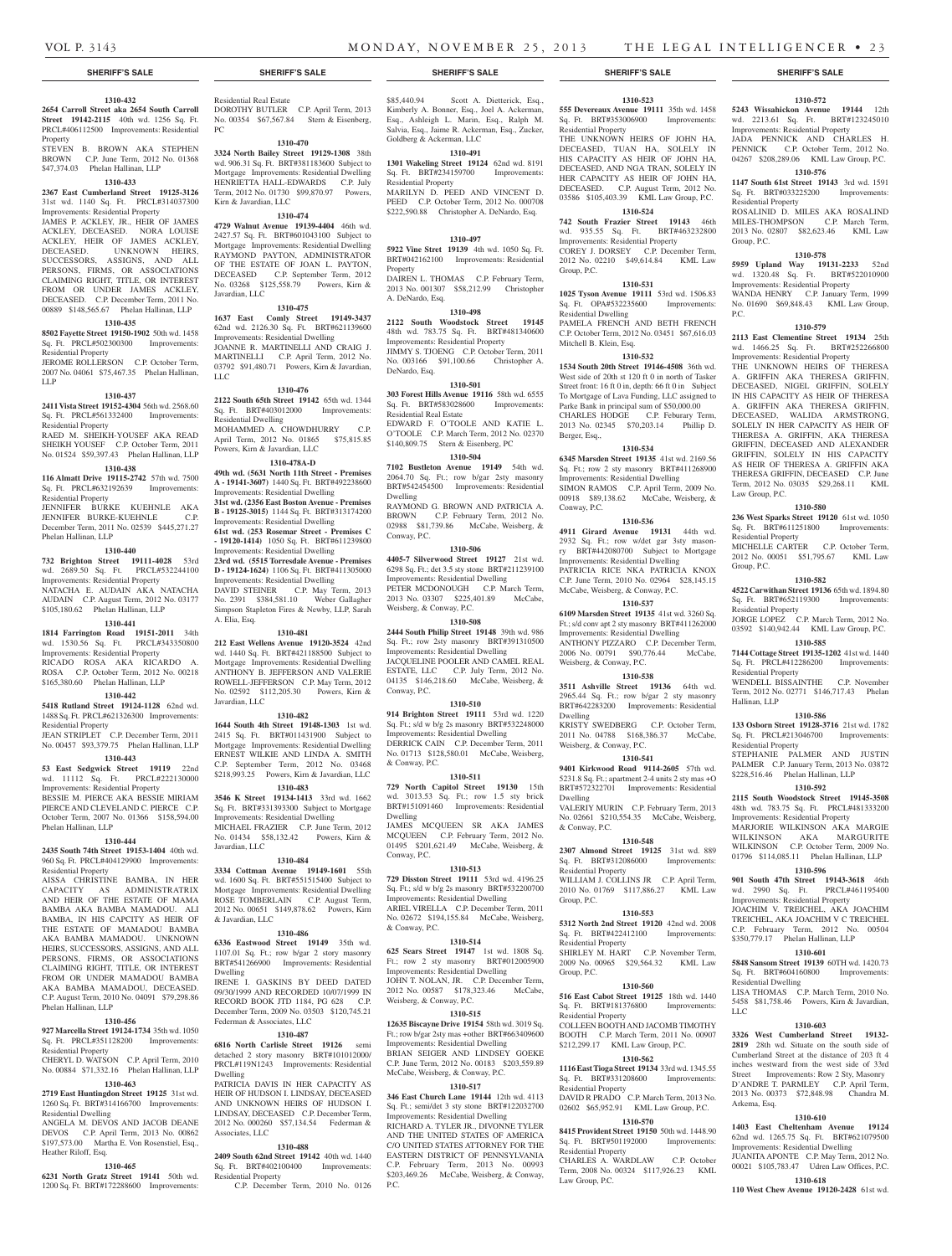#### **SHERIFF'S SALE SHERIFF'S SALE SHERIFF'S SALE SHERIFF'S SALE SHERIFF'S SALE**

#### **1310-432**

**2654 Carroll Street aka 2654 South Carroll Street 19142-2115** 40th wd. 1256 Sq. Ft. PRCL#406112500 Improvements: Residential Property

STEVEN B. BROWN AKA STEPHEN BROWN C.P. June Term, 2012 No. 01368 \$47,374.03 Phelan Hallinan, LLP

## **1310-433**

**2367 East Cumberland Street 19125-3126**  31st wd. 1140 Sq. Ft. PRCL#314037300 Improvements: Residential Property JAMES P. ACKLEY, JR., HEIR OF JAMES ACKLEY, DECEASED. NORA LOUISE

ACKLEY, HEIR OF JAMES ACKLEY, DECEASED. UNKNOWN HEIRS, SUCCESSORS, ASSIGNS, AND ALL PERSONS, FIRMS, OR ASSOCIATIONS CLAIMING RIGHT, TITLE, OR INTEREST FROM OR UNDER JAMES ACKLEY, DECEASED. C.P. December Term, 2011 No. 00889 \$148,565.67 Phelan Hallinan, LLP **1310-435**

**8502 Fayette Street 19150-1902** 50th wd. 1458 Sq. Ft. PRCL#502300300 Improvements: Residential Property

JEROME ROLLERSON C.P. October Term, 2007 No. 04061 \$75,467.35 Phelan Hallinan, LLP

#### **1310-437**

**2411 Vista Street 19152-4304** 56th wd. 2568.60 Sq. Ft. PRCL#561332400 Improvements: Residential Property RAED M. SHEIKH-YOUSEF AKA READ

SHEIKH YOUSEF C.P. October Term, 2011 No. 01524 \$59,397.43 Phelan Hallinan, LLP

## **1310-438**

**116 Almatt Drive 19115-2742** 57th wd. 7500 Sq. Ft. PRCL#632192639 Improvements: Residential Property JENNIFER BURKE KUEHNLE AKA JENNIFER BURKE-KUEHNLE C.P.

December Term, 2011 No. 02539 \$445,271.27 Phelan Hallinan, LLP

## **1310-440**

**732 Brighton Street 19111-4028** 53rd wd. 2689.50 Sq. Ft. PRCL#532244100 Improvements: Residential Property NATACHA E. AUDAIN AKA NATACHA AUDAIN C.P. August Term, 2012 No. 03177 \$105,180.62 Phelan Hallinan, LLP

#### **1310-441**

**1814 Farrington Road 19151-2011** 34th

wd. 1530.56 Sq. Ft. PRCL#343350800 Improvements: Residential Property RICADO ROSA AKA RICARDO A. ROSA C.P. October Term, 2012 No. 00218 \$165,380.60 Phelan Hallinan, LLP

### **1310-442**

**5418 Rutland Street 19124-1128** 62nd wd. 1488 Sq. Ft. PRCL#621326300 Improvements: Residential Property JEAN STRIPLET C.P. December Term, 2011

No. 00457 \$93,379.75 Phelan Hallinan, LLP **1310-443**

#### **53 East Sedgwick Street 19119** 22nd

wd. 11112 Sq. Ft. PRCL#222130000 Improvements: Residential Property BESSIE M. PIERCE AKA BESSIE MIRIAM PIERCE AND CLEVELAND C. PIERCE C.P. October Term, 2007 No. 01366 \$158,594.00 Phelan Hallinan, LLP

#### **1310-444**

**2435 South 74th Street 19153-1404** 40th wd. 960 Sq. Ft. PRCL#404129900 Improvements: Residential Property

AISSA CHRISTINE BAMBA, IN HER CAPACITY AS ADMINISTRATRIX AND HEIR OF THE ESTATE OF MAMA BAMBA AKA BAMBA MAMADOU. ALI BAMBA, IN HIS CAPCITY AS HEIR OF THE ESTATE OF MAMADOU BAMBA AKA BAMBA MAMADOU. UNKNOWN HEIRS, SUCCESSORS, ASSIGNS, AND ALL PERSONS, FIRMS, OR ASSOCIATIONS CLAIMING RIGHT, TITLE, OR INTEREST FROM OR UNDER MAMADOU BAMBA AKA BAMBA MAMADOU, DECEASED. C.P. August Term, 2010 No. 04091 \$79,298.86 Phelan Hallinan, LLP

## **1310-456**

**927 Marcella Street 19124-1734** 35th wd. 1050 Sq. Ft. PRCL#351128200 Improvements: Residential Property

CHERYL D. WATSON C.P. April Term, 2010 No. 00884 \$71,332.16 Phelan Hallinan, LLP

## **1310-463**

**2719 East Huntingdon Street 19125** 31st wd. 1260 Sq. Ft. BRT#314166700 Improvements: Residential Dwelling

ANGELA M. DEVOS AND JACOB DEANE DEVOS C.P. April Term, 2013 No. 00862 \$197,573.00 Martha E. Von Rosenstiel, Esq., Heather Riloff, Esq.

#### **1310-465**

**6231 North Gratz Street 19141** 50th wd. 1200 Sq. Ft. BRT#172288600 Improvements:

Residential Real Estate DOROTHY BUTLER C.P. April Term, 2013 No. 00354 \$67,567.84 Stern & Eisenberg, PC

## **1310-470**

**3324 North Bailey Street 19129-1308** 38th wd. 906.31 Sq. Ft. BRT#381183600 Subject to Mortgage Improvements: Residential Dwelling HENRIETTA HALL-EDWARDS C.P. July Term, 2012 No. 01730 \$99,870.97 Powers, Kirn & Javardian, LLC

### **1310-474**

**4729 Walnut Avenue 19139-4404** 46th wd. 2427.57 Sq. Ft. BRT#601043100 Subject to Mortgage Improvements: Residential Dwelling RAYMOND PAYTON, ADMINISTRATOR OF THE ESTATE OF JOAN L. PAYTON, DECEASED C.P. September Term, 2012 No. 03268 \$125,558.79 Powers, Kirn & Javardian, LLC

#### **1310-475**

**1637 East Comly Street 19149-3437**  62nd wd. 2126.30 Sq. Ft. BRT#621139600 Improvements: Residential Dwelling JOANNE R. MARTINELLI AND CRAIG J. MARTINELLI C.P. April Term, 2012 No. 03792 \$91,480.71 Powers, Kirn & Javardian, LLC

#### **1310-476**

**2122 South 65th Street 19142** 65th wd. 1344 Sq. Ft. BRT#403012000 Improvements: Residential Dwelling MOHAMMED A. CHOWDHURRY C.P. April Term, 2012 No. 01865 \$75,815.85

## Powers, Kirn & Javardian, LLC

**1310-478A-D 49th wd. (5631 North 11th Street - Premises A - 19141-3607)** 1440 Sq. Ft. BRT#492238600 Improvements: Residential Dwelling **31st wd. (2356 East Boston Avenue - Premises B - 19125-3015)** 1144 Sq. Ft. BRT#313174200 Improvements: Residential Dwelling **61st wd. (253 Rosemar Street - Premises C - 19120-1414)** 1050 Sq. Ft. BRT#611239800 Improvements: Residential Dwelling **23rd wd. (5515 Torresdale Avenue - Premises D - 19124-1624)** 1106 Sq. Ft. BRT#411305000 Improvements: Residential Dwelling DAVID STEINER C.P. May Term, 2013

No. 2391 \$384,581.10 Weber Gallagher Simpson Stapleton Fires & Newby, LLP, Sarah A. Elia, Esq.

#### **1310-481**

**212 East Wellens Avenue 19120-3524** 42nd wd. 1440 Sq. Ft. BRT#421188500 Subject to Mortgage Improvements: Residential Dwelling ANTHONY B. JEFFERSON AND VALERIE ROWELL-JEFFERSON C.P. May Term, 2012 No. 02592 \$112,205.30 Powers, Kirn & Javardian, LLC

#### **1310-482**

**1644 South 4th Street 19148-1303** 1st wd. 2415 Sq. Ft. BRT#011431900 Subject to Mortgage Improvements: Residential Dwelling ERNEST WILKIE AND LINDA A. SMITH C.P. September Term, 2012 No. 03468 \$218,993.25 Powers, Kirn & Javardian, LLC

#### **1310-483**

**3546 K Street 19134-1413** 33rd wd. 1662 Sq. Ft. BRT#331393300 Subject to Mortgage Improvements: Residential Dwelling MICHAEL FRAZIER C.P. June Term, 2012 No. 01434 \$58,132.42 Powers, Kirn & Javardian, LLC

### **1310-484**

**3334 Cottman Avenue 19149-1601** 55th wd. 1600 Sq. Ft. BRT#551515400 Subject to Mortgage Improvements: Residential Dwelling ROSE TOMBERLAIN C.P. August Term, 2012 No. 00651 \$149,878.62 Powers, Kirn & Javardian, LLC

### **1310-486**

**6336 Eastwood Street 19149** 35th wd. 1107.01 Sq. Ft.; row b/gar 2 story masonry BRT#541266900 Improvements: Residential Dwelling IRENE I. GASKINS BY DEED DATED

09/30/1999 AND RECORDED 10/07/1999 IN RECORD BOOK JTD 1184, PG 628 C.P. December Term, 2009 No. 03503 \$120,745.21 Federman & Associates, LLC

#### **1310-487**

**6816 North Carlisle Street 19126** semi detached 2 story masonry BRT#101012000/ PRCL#119N1243 Improvements: Residential Dwelling

PATRICIA DAVIS IN HER CAPACITY AS HEIR OF HUDSON I. LINDSAY, DECEASED AND UNKNOWN HEIRS OF HUDSON I. LINDSAY, DECEASED C.P. December Term, 2012 No. 000260 \$57,134.54 Federman & Associates, LLC

#### **1310-488**

**2409 South 62nd Street 19142** 40th wd. 1440

Sq. Ft. BRT#402100400 Improvements: Residential Property

C.P. December Term, 2010 No. 0126

## \$85,440.94 Scott A. Dietterick, Esq., Kimberly A. Bonner, Esq., Joel A. Ackerman, Esq., Ashleigh L. Marin, Esq., Ralph M.

Salvia, Esq., Jaime R. Ackerman, Esq., Zucker, Goldberg & Ackerman, LLC **1310-491**

**1301 Wakeling Street 19124** 62nd wd. 8191 Sq. Ft. BRT#234159700 Improvements: Residential Property MARILYN D. PEED AND VINCENT D.

PEED C.P. October Term, 2012 No. 000708 \$222,590.88 Christopher A. DeNardo, Esq.

#### **1310-497**

**5922 Vine Stret 19139** 4th wd. 1050 Sq. Ft. BRT#042162100 Improvements: Residential Property DAIREN L. THOMAS C.P. February Term, 2013 No. 001307 \$58,212.99 Christopher A. DeNardo, Esq.

#### **1310-498**

**2122 South Woodstock Street 19145**  48th wd. 783.75 Sq. Ft. BRT#481340600 Improvements: Residential Property JIMMY S. TJOENG C.P. October Term, 2011 No. 003166 \$91,100.66 Christopher A. DeNardo, Esq.

#### **1310-501**

**303 Forest Hills Avenue 19116** 58th wd. 6555 Sq. Ft. BRT#583028600 Improvements: Residential Real Estate EDWARD F. O'TOOLE AND KATIE L.

O'TOOLE C.P. March Term, 2012 No. 02370 \$140,809.75 Stern & Eisenberg, PC **1310-504**

**7102 Bustleton Avenue 19149** 54th wd. 2064.70 Sq. Ft.; row b/gar 2sty masonry BRT#542454500 Improvements: Residential Dwelling

RAYMOND G. BROWN AND PATRICIA A. BROWN C.P. February Term, 2012 No. 02988 \$81,739.86 McCabe, Weisberg, & Conway, P.C.

#### **1310-506**

**4405-7 Silverwood Street 19127** 21st wd. 6298 Sq. Ft.; det 3.5 sty stone BRT#211239100 Improvements: Residential Dwelling PETER MCDONOUGH C.P. March Term, 2013 No. 03307 \$225,401.89 McCabe, Weisberg, & Conway, P.C.

#### **1310-508**

**2444 South Philip Street 19148** 39th wd. 986 Sq. Ft.; row 2sty masonry BRT#391310500 Improvements: Residential Dwelling JACQUELINE POOLER AND CAMEL REAL ESTATE, LLC C.P. July Term, 2012 No. 04135 \$146,218.60 McCabe, Weisberg, & Conway, P.C.

#### **1310-510**

**914 Brighton Street 19111** 53rd wd. 1220 Sq. Ft.; s/d w b/g 2s masonry BRT#532248000 Improvements: Residential Dwelling DERRICK CAIN C.P. December Term, 2011 No. 01713 \$128,580.01 McCabe, Weisberg, & Conway, P.C.

#### **1310-511**

**729 North Capitol Street 19130** 15th wd. 3013.53 Sq. Ft.; row 1.5 sty brick BRT#151091460 Improvements: Residential Dwelling JAMES MCQUEEN SR AKA JAMES MCQUEEN C.P. February Term, 2012 No. 01495 \$201,621.49 McCabe, Weisberg, & Conway, P.C.

#### **1310-513**

**729 Disston Street 19111** 53rd wd. 4196.25 Sq. Ft.; s/d w b/g 2s masonry BRT#532200700 Improvements: Residential Dwelling ARIEL VIRELLA C.P. December Term, 2011 No. 02672 \$194,155.84 McCabe, Weisberg, & Conway, P.C.

## **1310-514**

**625 Sears Street 19147** 1st wd. 1808 Sq. Ft.; row 2 sty masonry BRT#012005900 Improvements: Residential Dwelling JOHN T. NOLAN, JR. C.P. December Term, 2012 No. 00587 \$178,323.46 McCabe, Weisberg, & Conway, P.C.

### **1310-515**

**12635 Biscayne Drive 19154** 58th wd. 3019 Sq. Ft.; row b/gar 2sty mas +other BRT#663409600 Improvements: Residential Dwelling BRIAN SEIGER AND LINDSEY GOEKE C.P. June Term, 2012 No. 00183 \$203,559.89 McCabe, Weisberg, & Conway, P.C.

#### **1310-517**

**346 East Church Lane 19144** 12th wd. 4113 Sq. Ft.; semi/det 3 sty stone BRT#122032700 Improvements: Residential Dwelling RICHARD A. TYLER JR., DIVONNE TYLER AND THE UNITED STATES OF AMERICA C/O UNITED STATES ATTORNEY FOR THE EASTERN DISTRICT OF PENNSYLVANIA C.P. February Term, 2013 No. 00993 \$203,469.26 McCabe, Weisberg, & Conway, P.C.

## **1310-523**

Residential Property

Group, P.C.

Residential Dwelling

Mitchell B. Klein, Esq.

Berger, Esq.,

Conway, P.C.

Weisberg, & Conway, P.C.

Weisberg, & Conway, P.C.

Dwelling

Dwelling

& Conway, P.C.

Residential Property

Residential Property

Residential Property

Residential Property

Residential Property

Law Group, P.C.

Group, P.C.

Group, P.C.

**555 Devereaux Avenue 19111** 35th wd. 1458 Sq. Ft. BRT#353006900 Improvements:

**1310-572 5243 Wissahickon Avenue 19144** 12th wd. 2213.61 Sq. Ft. BRT#123245010 Improvements: Residential Property JADA PENNICK AND CHARLES H. PENNICK C.P. October Term, 2012 No. 04267 \$208,289.06 KML Law Group, P.C. **1310-576 1147 South 61st Street 19143** 3rd wd. 1591 Sq. Ft. BRT#033225200 Improvements:

ROSALINID D. MILES AKA ROSALIND MILES-THOMPSON C.P. March Term, 2013 No. 02807 \$82,623.46 KML Law

**1310-578 5959 Upland Way 19131-2233** 52nd wd. 1320.48 Sq. Ft. BRT#522010900 Improvements: Residential Property WANDA HENRY C.P. January Term, 1999 No. 01690 \$69,848.43 KML Law Group,

**1310-579 2113 East Clementine Street 19134** 25th wd. 1466.25 Sq. Ft. BRT#252266800 Improvements: Residential Property THE UNKNOWN HEIRS OF THERESA A. GRIFFIN AKA THERESA GRIFFIN, DECEASED, NIGEL GRIFFIN, SOLELY IN HIS CAPACITY AS HEIR OF THERESA A. GRIFFIN AKA THERESA GRIFFIN, DECEASED, WALIDA ARMSTRONG, SOLELY IN HER CAPACITY AS HEIR OF THERESA A. GRIFFIN, AKA THERESA GRIFFIN, DECEASED AND ALEXANDER GRIFFIN, SOLELY IN HIS CAPACITY AS HEIR OF THERESA A. GRIFFIN AKA THERESA GRIFFIN, DECEASED C.P. June Term, 2012 No. 03035 \$29,268.11 KML

**1310-580 236 West Sparks Street 19120** 61st wd. 1050 Sq. Ft. BRT#611251800 Improvements:

MICHELLE CARTER C.P. October Term, 2012 No. 00051 \$51,795.67 KML Law

**1310-582 4522 Carwithan Street 19136** 65th wd. 1894.80 Sq. Ft. BRT#652119300 Improvements:

JORGE LOPEZ C.P. March Term, 2012 No. 03592 \$140,942.44 KML Law Group, P.C. **1310-585 7144 Cottage Street 19135-1202** 41st wd. 1440 Sq. Ft. PRCL#412286200 Improvements:

WENDELL BISSAINTHE C.P. November Term, 2012 No. 02771 \$146,717.43 Phelan

**1310-586 133 Osborn Street 19128-3716** 21st wd. 1782 Sq. Ft. PRCL#213046700 Improvements:

STEPHANIE PALMER AND JUSTIN PALMER C.P. January Term, 2013 No. 03872 \$228,516.46 Phelan Hallinan, LLP **1310-592 2115 South Woodstock Street 19145-3508**  48th wd. 783.75 Sq. Ft. PRCL#481333200 Improvements: Residential Property MARJORIE WILKINSON AKA MARGIE WILKINSON AKA MARGURITE WILKINSON C.P. October Term, 2009 No. 01796 \$114,085.11 Phelan Hallinan, LLP **1310-596 901 South 47th Street 19143-3618** 46th wd. 2990 Sq. Ft. PRCL#461195400 Improvements: Residential Property JOACHIM V. TREICHEL, AKA JOACHIM TREICHEL, AKA JOACHIM V C TREICHEL C.P. February Term, 2012 No. 00504 \$350,779.17 Phelan Hallinan, LLP **1310-601 5848 Sansom Street 19139** 60TH wd. 1420.73 Sq. Ft. BRT#604160800 Improvements:

Residential Property

Group, P.C.

P.C.

Law Group, P.C.

Residential Property

Residential Property

Residential Property

Residential Property

Residential Dwelling

LLC

Arkema, Esq.

LISA THOMAS C.P. March Term, 2010 No. 5458 \$81,758.46 Powers, Kirn & Javardian,

**1310-603 3326 West Cumberland Street 19132- 2819** 28th wd. Situate on the south side of Cumberland Street at the distance of 203 ft 4 inches westward from the west side of 33rd Street Improvements: Row 2 Sty, Masonry D'ANDRE T. PARMLEY C.P. April Term, 2013 No. 00373 \$72,848.98 Chandra M.

**1310-610 1403 East Cheltenham Avenue 19124**  62nd wd. 1265.75 Sq. Ft. BRT#621079500 Improvements: Residential Dwelling JUANITA APONTE C.P. May Term, 2012 No. 00021 \$105,783.47 Udren Law Offices, P.C. **1310-618 110 West Chew Avenue 19120-2428** 61st wd.

Hallinan, LLP

Group, P.C.

THE UNKNOWN HEIRS OF JOHN HA, DECEASED, TUAN HA, SOLELY IN HIS CAPACITY AS HEIR OF JOHN HA, DECEASED, AND NGA TRAN, SOLELY IN HER CAPACITY AS HEIR OF JOHN HA, DECEASED. C.P. August Term, 2012 No. 03586 \$105,403.39 KML Law Group, P.C. **1310-524 742 South Frazier Street 19143** 46th wd. 935.55 Sq. Ft. BRT#463232800 Improvements: Residential Property COREY J. DORSEY C.P. December Term, 2012 No. 02210 \$49,614.84 KML Law

**1310-531 1025 Tyson Avenue 19111** 53rd wd. 1506.83 Sq. Ft. OPA#532235600 Improvements:

PAMELA FRENCH AND BETH FRENCH C.P. October Term, 2012 No. 03451 \$67,616.03

**1310-532 1534 South 20th Street 19146-4508** 36th wd. West side of 20th st 120 ft 0 in north of Tasker Street front: 16 ft 0 in, depth: 66 ft 0 in Subject To Mortgage of Lava Funding, LLC assigned to Parke Bank in principal sum of \$50,000.00 CHARLES HODGE C.P. Feburary Term, 2013 No. 02345 \$70,203.14 Phillip D.

**1310-534 6345 Marsden Street 19135** 41st wd. 2169.56 Sq. Ft.; row 2 sty masonry BRT#411268900 Improvements: Residential Dwelling SIMON RAMOS C.P. April Term, 2009 No. 00918 \$89,138.62 McCabe, Weisberg, &

**1310-536 4911 Girard Avenue 19131** 44th wd. 2932 Sq. Ft.; row w/det gar 3sty masonry BRT#442080700 Subject to Mortgage Improvements: Residential Dwelling PATRICIA RICE NKA PATRICIA KNOX C.P. June Term, 2010 No. 02964 \$28,145.15 McCabe, Weisberg, & Conway, P.C. **1310-537 6109 Marsden Street 19135** 41st wd. 3260 Sq. Ft.; s/d conv apt 2 sty masonry BRT#411262000 Improvements: Residential Dwelling ANTHONY PIZZARO C.P. December Term, 2006 No. 00791 \$90,776.44 McCabe,

**1310-538 3511 Ashville Street 19136** 64th wd. 2965.44 Sq. Ft.; row b/gar 2 sty masonry BRT#642283200 Improvements: Residential

KRISTY SWEDBERG C.P. October Term, 2011 No. 04788 \$168,386.37 McCabe,

**1310-541 9401 Kirkwood Road 9114-2605** 57th wd. 5231.8 Sq. Ft.; apartment 2-4 units 2 sty mas +O BRT#572322701 Improvements: Residential

VALERIY MURIN C.P. February Term, 2013 No. 02661 \$210,554.35 McCabe, Weisberg,

**1310-548 2307 Almond Street 19125** 31st wd. 889 Sq. Ft. BRT#312086000 Improvements:

WILLIAM J. COLLINS JR C.P. April Term, 2010 No. 01769 \$117,886.27 KML Law

**1310-553 5312 North 2nd Street 19120** 42nd wd. 2008 Sq. Ft. BRT#422412100 Improvements:

SHIRLEY M. HART C.P. November Term, 2009 No. 00965 \$29,564.32 KML Law

**1310-560 516 East Cabot Street 19125** 18th wd. 1440 Sq. Ft. BRT#181376800 Improvements:

COLLEEN BOOTH AND JACOMB TIMOTHY BOOTH C.P. March Term, 2011 No. 00907 \$212,299.17 KML Law Group, P.C. **1310-562 1116 East Tioga Street 19134** 33rd wd. 1345.55 Sq. Ft. BRT#331208600 Improvements:

DAVID R PRADO C.P. March Term, 2013 No. 02602 \$65,952.91 KML Law Group, P.C. **1310-570 8415 Provident Street 19150** 50th wd. 1448.90 Sq. Ft. BRT#501192000 Improvements:

CHARLES A. WARDLAW C.P. October Term, 2008 No. 00324 \$117,926.23 KML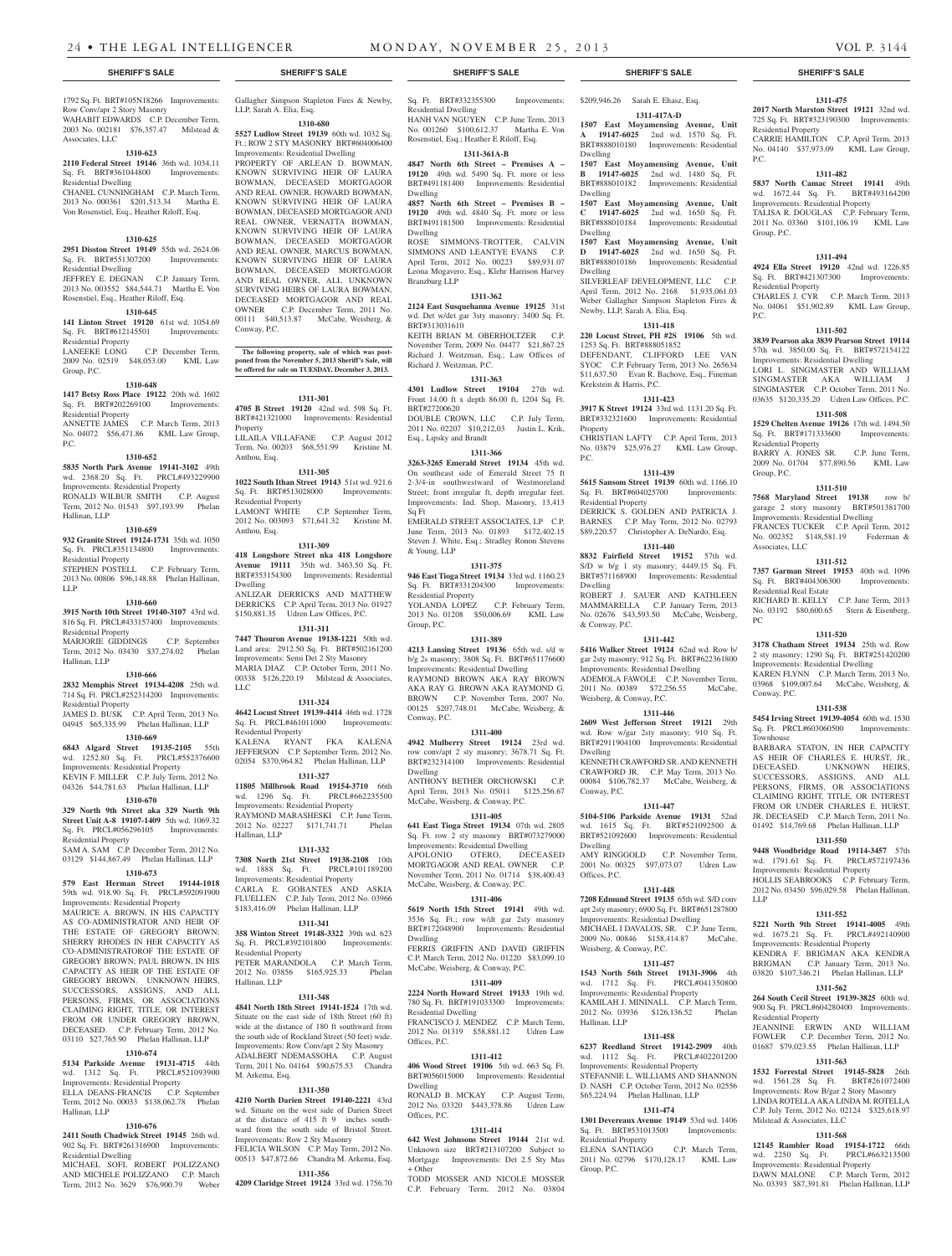1792 Sq. Ft. BRT#105N18266 Improvements:

WAHABIT EDWARDS C.P. December Term,

**1310-623**

Sq. Ft. BRT#361044800 Improvements:

CHANEL CUNNINGHAM C.P. March Term, 2013 No. 000361 \$201,513.34 Martha E. Von Rosenstiel, Esq., Heather Riloff, Esq.

**1310-625 2951 Disston Street 19149** 55th wd. 2624.06 Sq. Ft. BRT#551307200 Improvements:

JEFFREY E. DEGNAN C.P. January Term, 2013 No. 003552 \$84,544.71 Martha E. Von Rosenstiel, Esq., Heather Riloff, Esq. **1310-645**

Sq. Ft. BRT#612145501 Improvements:

LANEEKE LONG C.P. December Term, 2009 No. 02519 \$48,053.00 KML Law

**1310-648 1417 Betsy Ross Place 19122** 20th wd. 1602 Sq. Ft. BRT#202269100 Improvements:

ANNETTE JAMES C.P. March Term, 2013 No. 04072 \$56,471.86 KML Law Group,

**1310-652 5835 North Park Avenue 19141-3102** 49th wd. 2368.20 Sq. Ft. PRCL#493229900 Improvements: Residential Property RONALD WILBUR SMITH C.P. August Term, 2012 No. 01543 \$97,193.99 Phelan

**1310-659 932 Granite Street 19124-1731** 35th wd. 1050 Sq. Ft. PRCL#351134800 Improvements:

STEPHEN POSTELL C.P. February Term, 2013 No. 00806 \$96,148.88 Phelan Hallinan,

**1310-660 3915 North 10th Street 19140-3107** 43rd wd. 816 Sq. Ft. PRCL#433157400 Improvements:

MARJORIE GIDDINGS C.P. September Term, 2012 No. 03430 \$37,274.02 Phelan

**1310-666 2832 Memphis Street 19134-4208** 25th wd. 714 Sq. Ft. PRCL#252314200 Improvements:

JAMES D. BUSK C.P. April Term, 2013 No. 04945 \$65,335.99 Phelan Hallinan, LLP **1310-669 6843 Algard Street 19135-2105** 55th wd. 1252.80 Sq. Ft. PRCL#552376600 Improvements: Residential Property KEVIN F. MILLER C.P. July Term, 2012 No. 04326 \$44,781.63 Phelan Hallinan, LLP **1310-670 329 North 9th Street aka 329 North 9th Street Unit A-8 19107-1409** 5th wd. 1069.32 Sq. Ft. PRCL#056296105 Improvements:

SAM A. SAM C.P. December Term, 2012 No. 03129 \$144,867.49 Phelan Hallinan, LLP **1310-673 579 East Herman Street 19144-1018**  59th wd. 918.90 Sq. Ft. PRCL#592091900 Improvements: Residential Property MAURICE A. BROWN, IN HIS CAPACITY AS CO-ADMINISTRATOR AND HEIR OF THE ESTATE OF GREGORY BROWN; SHERRY RHODES IN HER CAPACITY AS CO-ADMINISTRATOROF THE ESTATE OF GREGORY BROWN; PAUL BROWN, IN HIS CAPACITY AS HEIR OF THE ESTATE OF GREGORY BROWN. UNKNOWN HEIRS, SUCCESSORS, ASSIGNS, AND ALL PERSONS, FIRMS, OR ASSOCIATIONS CLAIMING RIGHT, TITLE, OR INTEREST FROM OR UNDER GREGORY BROWN, DECEASED. C.P. February Term, 2012 No. 03110 \$27,765.90 Phelan Hallinan, LLP **1310-674 5134 Parkside Avenue 19131-4715** 44th wd. 1312 Sq. Ft. PRCL#521093900 Improvements: Residential Property ELLA DEANS-FRANCIS C.P. September Term, 2012 No. 00033 \$138,062.78 Phelan

**1310-676 2411 South Chadwick Street 19145** 26th wd. 902 Sq. Ft. BRT#261316900 Improvements:

MICHAEL SOFI, ROBERT POLIZZANO AND MICHELE POLIZZANO C.P. March Term, 2012 No. 3629 \$76,900.79 Weber

Row Conv/apr 2 Story Masonry

Associates, LLC

Residential Dwelling

Residential Dwelling

Residential Property

Residential Property

Hallinan, LLP

Residential Property

Residential Property

Residential Property

Residential Property

Hallinan, LLP

Residential Dwelling

Hallinan, LLP

Group, P.C.

P.C.

LLP

Gallagher Simpson Stapleton Fires & Newby, LLP, Sarah A. Elia, Esq. **1310-680**

2003 No. 002181 \$76,357.47 Milstead & **2110 Federal Street 19146** 36th wd. 1034.11 **141 Linton Street 19120** 61st wd. 1054.69 **5527 Ludlow Street 19139** 60th wd. 1032 Sq. Ft.; ROW 2 STY MASONRY BRT#604006400 Improvements: Residential Dwelling PROPERTY OF ARLEAN D. BOWMAN KNOWN SURVIVING HEIR OF LAURA BOWMAN, DECEASED MORTGAGOR AND REAL OWNER, HOWARD BOWMAN, KNOWN SURVIVING HEIR OF LAURA BOWMAN, DECEASED MORTGAGOR AND REAL OWNER, VERNATTA BOWMAN, KNOWN SURVIVING HEIR OF LAURA BOWMAN, DECEASED MORTGAGOR AND REAL OWNER, MARCUS BOWMAN, KNOWN SURVIVING HEIR OF LAURA BOWMAN, DECEASED MORTGAGOR AND REAL OWNER, ALL UNKNOWN SURVIVING HEIRS OF LAURA BOWMAN, DECEASED MORTGAGOR AND REAL OWNER C.P. December Term, 2011 No. 00111 \$40,513.87 McCabe, Weisberg, & Conway, P.C.

> **The following property, sale of which was postponed from the November 5, 2013 Sheriff's Sale, will be offered for sale on TUESDAY, December 3, 2013.**

> > **1311-301**

**4705 B Street 19120** 42nd wd. 598 Sq. Ft. BRT#421321000 Improvements: Residential Property LILAILA VILLAFANE C.P. August 2012 Term, No. 00203 \$68,551.99 Kristine M. Anthou, Esq.

#### **1311-305**

**1022 South Ithan Street 19143** 51st wd. 921.6 Sq. Ft. BRT#513028000 Improvements: Residential Property<br>LAMONT WHITE C.P. September Term, 2012 No. 003093 \$71,641.32 Kristine M. Anthou, Esq.

#### **1311-309**

**418 Longshore Street nka 418 Longshore Avenue 19111** 35th wd. 3463.50 Sq. Ft. BRT#353154300 Improvements: Residential Dwelling ANLIZAR DERRICKS AND MATTHEW DERRICKS C.P. April Term, 2013 No. 01927 \$150,881.35 Udren Law Offices, P.C.

## **1311-311**

**7447 Thouron Avenue 19138-1221** 50th wd. Land area: 2912.50 Sq. Ft. BRT#502161200 Improvements: Semi Det 2 Sty Masonry MARIA DIAZ C.P. October Term, 2011 No. 00338 \$126,220.19 Milstead & Associates, LLC

#### **1311-324**

**4642 Locust Street 19139-4414** 46th wd. 1728 Sq. Ft. PRCL#461011000 Improvements: Residential Property KALENA RYANT FKA KALENA

JEFFERSON C.P. September Term, 2012 No. 02054 \$370,964.82 Phelan Hallinan, LLP **1311-327**

**11805 Millbrook Road 19154-3710** 66th wd. 1296 Sq. Ft. PRCL#662235500 Improvements: Residential Property RAYMOND MARASHESKI C.P. June Term, 2012 No. 02227 \$171,741.71 Phelan Hallinan, LLP

#### **1311-332**

**7308 North 21st Street 19138-2108** 10th wd. 1888 Sq. Ft. Improvements: Residential Property CARLA E. GOBANTES AND ASKIA FLUELLEN C.P. July Term, 2012 No. 03966 \$183,416.09 Phelan Hallinan, LLP

#### **1311-341**

**358 Winton Street 19148-3322** 39th wd. 623 Sq. Ft. PRCL#392101800 Improvements: Residential Property PETER MARANDOLA C.P. March Term, 2012 No. 03856 \$165,925.33 Phelan Hallinan, LLP

#### **1311-348**

**4841 North 18th Street 19141-1524** 17th wd. Situate on the east side of 18th Street (60 ft) wide at the distance of 180 ft southward from the south side of Rockland Street (50 feet) wide. ents: Row Conv/apt 2 Sty Masonry ADALBERT NDEMASSOHA C.P. August Term, 2011 No. 04164 \$90,675.53 Chandra M. Arkema, Esq.

#### **1311-350**

**4210 North Darien Street 19140-2221** 43rd wd. Situate on the west side of Darien Street at the distance of 415 ft 9 inches southward from the south side of Bristol Street. Improvements: Row 2 Sty Masonry

### FELICIA WILSON C.P. May Term, 2012 No. 00513 \$47,872.66 Chandra M. Arkema, Esq. **1311-356**

**4209 Claridge Street 19124** 33rd wd. 1756.70

Sq. Ft. BRT#332355300 Improvements:

Residential Dwelling HANH VAN NGUYEN C.P. June Term, 2013 No. 001260 \$100,612.37 Martha E. Von Rosenstiel, Esq.; Heather E Riloff, Esq.

#### **1311-361A-B**

**4847 North 6th Street – Premises A – 19120** 49th wd. 5490 Sq. Ft. more or less BRT#491181400 Improvements: Residential Dwelling

**4857 North 6th Street – Premises B – 19120** 49th wd. 4840 Sq. Ft. more or less BRT#491181500 Improvements: Residential Dwelling

ROSE SIMMONS-TROTTER, CALVIN SIMMONS AND LEANTYE EVANS C.P. April Term, 2012 No. 00223 \$89,931.07 Leona Mogavero, Esq., Klehr Harrison Harvey Branzburg LLP

#### **1311-362**

**2124 East Susquehanna Avenue 19125** 31st wd. Det w/det gar 3sty masonry; 3400 Sq. Ft. BRT#313031610 KEITH BRIAN M. OBERHOLTZER C.P. November Term, 2009 No. 04477 \$21,867.25

Richard J. Weitzman, Esq.; Law Offices of Richard J. Weitzman, P.C. **1311-363**

**4301 Ludlow Street 19104** 27th wd. Front 14.00 ft x depth 86.00 ft, 1204 Sq. Ft. BRT#27200620 DOUBLE CROWN, LLC C.P. July Term, 2011 No. 02207 \$10,212,03 Justin L. Krik, Esq., Lipsky and Brandt

#### **1311-366**

**3263-3265 Emerald Street 19134** 45th wd. On southeast side of Emerald Street 75 ft 2-3/4-in southwestward of Westmoreland Street; front irregular ft, depth irregular feet. Improvements: Ind. Shop, Masonry, 13,413 Sq Ft

EMERALD STREET ASSOCIATES, LP C.P. June Term, 2013 No. 01893 \$172,402.15 Steven J. White, Esq.; Stradley Ronon Stevens & Young, LLP

## **1311-375**

**946 East Tioga Street 19134** 33rd wd. 1160.23 Sq. Ft. BRT#331204300 Improvements: Residential Property YOLANDA LOPEZ C.P. February Term,

2013 No. 01208 \$50,006.69 KML Law Group, P.C. **1311-389**

#### **4213 Lansing Street 19136** 65th wd. s/d w b/g 2s masonry; 3808 Sq. Ft. BRT#651176600 Improvements: Residential Dwelling RAYMOND BROWN AKA RAY BROWN AKA RAY G. BROWN AKA RAYMOND G. BROWN C.P. November Term, 2007 No. 00125 \$207,748.01 McCabe, Weisberg, & Conway, P.C.

#### **1311-400**

**4942 Mulberry Street 19124** 23rd wd. row conv/apt 2 sty masonry; 3678.71 Sq. Ft. BRT#232314100 Improvements: Residential Dwelling

ANTHONY BETHER ORCHOWSKI C.P. April Term, 2013 No. 05011 \$125,256.67 McCabe, Weisberg, & Conway, P.C.

#### **1311-405**

**641 East Tioga Street 19134** 07th wd. 2805 Sq. Ft. row 2 sty masonry BRT#073279000 Improvements: Residential Dwelling APOLONIO OTERO, DECEASED MORTGAGOR AND REAL OWNER C.P.

November Term, 2011 No. 01714 \$38,400.43 McCabe, Weisberg, & Conway, P.C. **1311-406**

**5619 North 15th Street 19141** 49th wd. 3536 Sq. Ft.; row w/dt gar 2sty masonry BRT#172048900 Improvements: Residential Dwelling FERRIS GRIFFIN AND DAVID GRIFFIN

C.P. March Term, 2012 No. 01220 \$83,099.10 McCabe, Weisberg, & Conway, P.C.

## **1311-409**

**2224 North Howard Street 19133** 19th wd. 780 Sq. Ft. BRT#191033300 Improvements: Residential Dwelling FRANCISCO J. MENDEZ C.P. March Term,

2012 No. 01319 \$58,881.12 Udren Law Offices, P.C.

## **1311-412**

**406 Wood Street 19106** 5th wd. 663 Sq. Ft. BRT#056015000 Improvements: Residential Dwelling

RONALD B. MCKAY C.P. August Term, 2012 No. 03320 \$443,378.86 Udren Law Offices, P.C.

#### **1311-414 642 West Johnsons Street 19144** 21st wd.

Unknown size BRT#213107200 Subject to Mortgage Improvements: Det 2.5 Sty Mas + Other TODD MOSSER AND NICOLE MOSSER C.P. February Term, 2012 No. 03804

#### **SHERIFF'S SALE SHERIFF'S SALE SHERIFF'S SALE SHERIFF'S SALE SHERIFF'S SALE**

### \$209,946.26 Sarah E. Ehasz, Esq. **1311-417A-D**

**1507 East Moyamensing Avenue, Unit A 19147-6025** 2nd wd. 1570 Sq. Ft. BRT#888010180 Improvements: Residential Dwelling

**1507 East Moyamensing Avenue, Unit B 19147-6025** 2nd wd. 1480 Sq. Ft. BRT#888010182 Improvements: Residential

Dwelling **1507 East Moyamensing Avenue, Unit C 19147-6025** 2nd wd. 1650 Sq. Ft. BRT#888010184 Improvements: Residential Dwelling

## **1507 East Moyamensing Avenue, Unit**

**D 19147-6025** 2nd wd. 1650 Sq. Ft. BRT#888010186 Improvements: Residential Dwelling SILVERLEAF DEVELOPMENT, LLC C.P. April Term, 2012 No. 2168 \$1,935,061.03 Weber Gallagher Simpson Stapleton Fires &

Newby, LLP, Sarah A. Elia, Esq. **1311-418 220 Locust Street, PH #2S 19106** 5th wd.

1253 Sq. Ft. BRT#888051852 DEFENDANT, CLIFFORD LEE VAN SYOC C.P. February Term, 2013 No. 265634 \$11,637.50 Evan R. Bachove, Esq., Fineman Krekstein & Harris, P.C.

#### **1311-423**

**3917 K Street 19124** 33rd wd. 1131.20 Sq. Ft. BRT#332321600 Improvements: Residential Property CHRISTIAN LAFTY C.P. April Term, 2013

No. 03879 \$25,976.27 KML Law Group, P.C.

## **1311-439**

**5615 Sansom Street 19139** 60th wd. 1166.10 Sq. Ft. BRT#604025700 Improvements: Residential Property DERRICK S. GOLDEN AND PATRICIA J. BARNES C.P. May Term, 2012 No. 02793 \$89,220.57 Christopher A. DeNardo, Esq.

## **1311-440**

**8832 Fairfield Street 19152** 57th wd. S/D w b/g 1 sty masonry; 4449.15 Sq. Ft. BRT#571168900 Improvements: Residential Dwelling ROBERT J. SAUER AND KATHLEEN

MAMMARELLA C.P. January Term, 2013 No. 02676 \$43,593.50 McCabe, Weisberg, & Conway, P.C.

## **1311-442**

**5416 Walker Street 19124** 62nd wd. Row b/ gar 2sty masonry; 912 Sq. Ft. BRT#622361800 Improvements: Residential Dwelling ADEMOLA FAWOLE C.P. November Term, 2011 No. 00389 \$72,256.55 McCabe, Weisberg, & Conway, P.C.

## **1311-446**

**2609 West Jefferson Street 19121** 29th wd. Row w/gar 2sty masonry; 910 Sq. Ft. BRT#2911904100 Improvements: Residential Dwelling KENNETH CRAWFORD SR. AND KENNETH

CRAWFORD JR. C.P. May Term, 2013 No. 00084 \$106,782.37 McCabe, Weisberg, & Conway, P.C.

## **1311-447**

**5104-5106 Parkside Avenue 19131** 52nd wd. 1615 Sq. Ft. BRT#521092500 & BRT#521092600 Improvements: Residential Dwelling

AMY RINGGOLD C.P. November Term, 2001 No. 00325 \$97,073.07 Udren Law Offices, P.C.

#### **1311-448 7208 Edmund Street 19135** 65th wd. S/D conv

apt 2sty masonry; 6900 Sq. Ft. BRT#651287800 Improvements: Residential Dwelling MICHAEL I DAVALOS, SR. C.P. June Term, 2009 No. 00846 \$158,414.87 McCabe, Weisberg, & Conway, P.C.

#### **1311-457**

**1543 North 56th Street 19131-3906** 4th wd. 1712 Sq. Ft. PRCL#041350800

Improvements: Residential Property KAMILAH J. MININALL C.P. March Term, 2012 No. 03936 \$126,136.52 Phelan Hallinan, LLP

## **1311-458**

**6237 Reedland Street 19142-2909** 40th wd. 1112 Sq. Ft. PRCL#402201200 Improvements: Residential Property STEFANNIE L. WILLIAMS AND SHANNON D. NASH C.P. October Term, 2012 No. 02556 \$65,224.94 Phelan Hallinan, LLP

## **1311-474**

**1301 Devereaux Avenue 19149** 53rd wd. 1406<br>Sq. Ft. BRT#531013500 Improvements: Sq. Ft. BRT#531013500 Residential Property

ELENA SANTIAGO C.P. March Term, 2011 No. 02796 \$170,128.17 KML Law Group, P.C.

725 Sq. Ft. BRT#323190300 Improvements:

CARRIE HAMILTON C.P. April Term, 2013 No. 04140 \$37,973.09 KML Law Group,

**1311-482 5837 North Camac Street 19141** 49th wd. 1672.44 Sq. Ft. BRT#493164200 Improvements: Residential Property TALISA R. DOUGLAS C.P. February Term, 2011 No. 03360 \$101,106.19 KML Law

**1311-494 4924 Ella Street 19120** 42nd wd. 1226.85 Sq. Ft. BRT#421307300 Improvements:

CHARLES J. CYR C.P. March Term, 2013 No. 04061 \$51,902.89 KML Law Group,

**1311-502 3839 Pearson aka 3839 Pearson Street 19114**  57th wd. 3850.00 Sq. Ft. BRT#572154122 Improvements: Residential Dwelling LORI L. SINGMASTER AND WILLIAM SINGMASTER AKA WILLIAM J SINGMASTER C.P. October Term, 2011 No. 03635 \$120,335.20 Udren Law Offices, P.C. **1311-508 1529 Chelten Avenue 19126** 17th wd. 1494.50 Sq. Ft. BRT#171333600 Improvements:

BARRY A. JONES SR. C.P. June Term, 2009 No. 01704 \$77,890.56 KML Law

**1311-510 7568 Maryland Street 19138** row b/ garage 2 story masonry BRT#501381700 Improvements: Residential Dwelling FRANCES TUCKER C.P. April Term, 2012 No. 002352 \$148,581.19 Federman &

**1311-512 7357 Garman Street 19153** 40th wd. 1096 Sq. Ft. BRT#404306300 Improvements:

RICHARD B. KELLY C.P. June Term, 2013 No. 03192 \$80,600.65 Stern & Eisenberg,

**1311-520 3178 Chatham Street 19134** 25th wd. Row 2 sty masonry; 1290 Sq. Ft. BRT#251420200 Improvements: Residential Dwelling KAREN FLYNN C.P. March Term, 2013 No. 03968 \$109,007.64 McCabe, Weisberg, &

**1311-538 5454 Irving Street 19139-4054** 60th wd. 1530 Sq. Ft. PRCL#603060500 Improvements:

BARBARA STATON, IN HER CAPACITY AS HEIR OF CHARLES E. HURST, JR., DECEASED. UNKNOWN HEIRS, SUCCESSORS, ASSIGNS, AND ALL PERSONS, FIRMS, OR ASSOCIATIONS CLAIMING RIGHT, TITLE, OR INTEREST FROM OR UNDER CHARLES E. HURST, JR. DECEASED C.P. March Term, 2011 No. 01492 \$14,769.68 Phelan Hallinan, LLP **1311-550 9448 Woodbridge Road 19114-3457** 57th wd. 1791.61 Sq. Ft. PRCL#572197436 Improvements: Residential Property HOLLIS SEABROOKS C.P. February Term, 2012 No. 03450 \$96,029.58 Phelan Hallinan,

**1311-552 5221 North 9th Street 19141-4005** 49th wd. 1675.21 Sq. Ft. PRCL#492140900 Improvements: Residential Property

KENDRA F. BRIGMAN AKA KENDRA<br>BRIGMAN C.P. January Term. 2013 No.

03820 \$107,346.21 Phelan Hallinan, LLP **1311-562 264 South Cecil Street 19139-3825** 60th wd. 900 Sq. Ft. PRCL#604280400 Improvements:

JEANNINE ERWIN AND WILLIAM FOWLER C.P. December Term, 2012 No. 01687 \$79,023.55 Phelan Hallinan, LLP **1311-563 1532 Forrestal Street 19145-5828** 26th wd. 1561.28 Sq. Ft. BRT#261072400 Improvements: Row B/gar 2 Story Masonry LINDA ROTELLA AKA LINDA M. ROTELLA C.P. July Term, 2012 No. 02124 \$325,618.97

**1311-568 12145 Rambler Road 19154-1722** 66th wd. 2250 Sq. Ft. PRCL#663213500 Improvements: Residential Property

DAWN MALONE C.P. March Term, 2012 No. 03393 \$87,391.81 Phelan Hallinan, LLP

C.P. January Term, 2013 No.

#### **1311-475 2017 North Marston Street 19121** 32nd wd.

Residential Property

P.C.

Group, P.C.

P.C.

Residential Property

Residential Property

Group, P.C.

Associates, LLC

PC

Conway, P.C.

Townhouse

LLP

Residential Property

Milstead & Associates, LLC

Residential Real Estate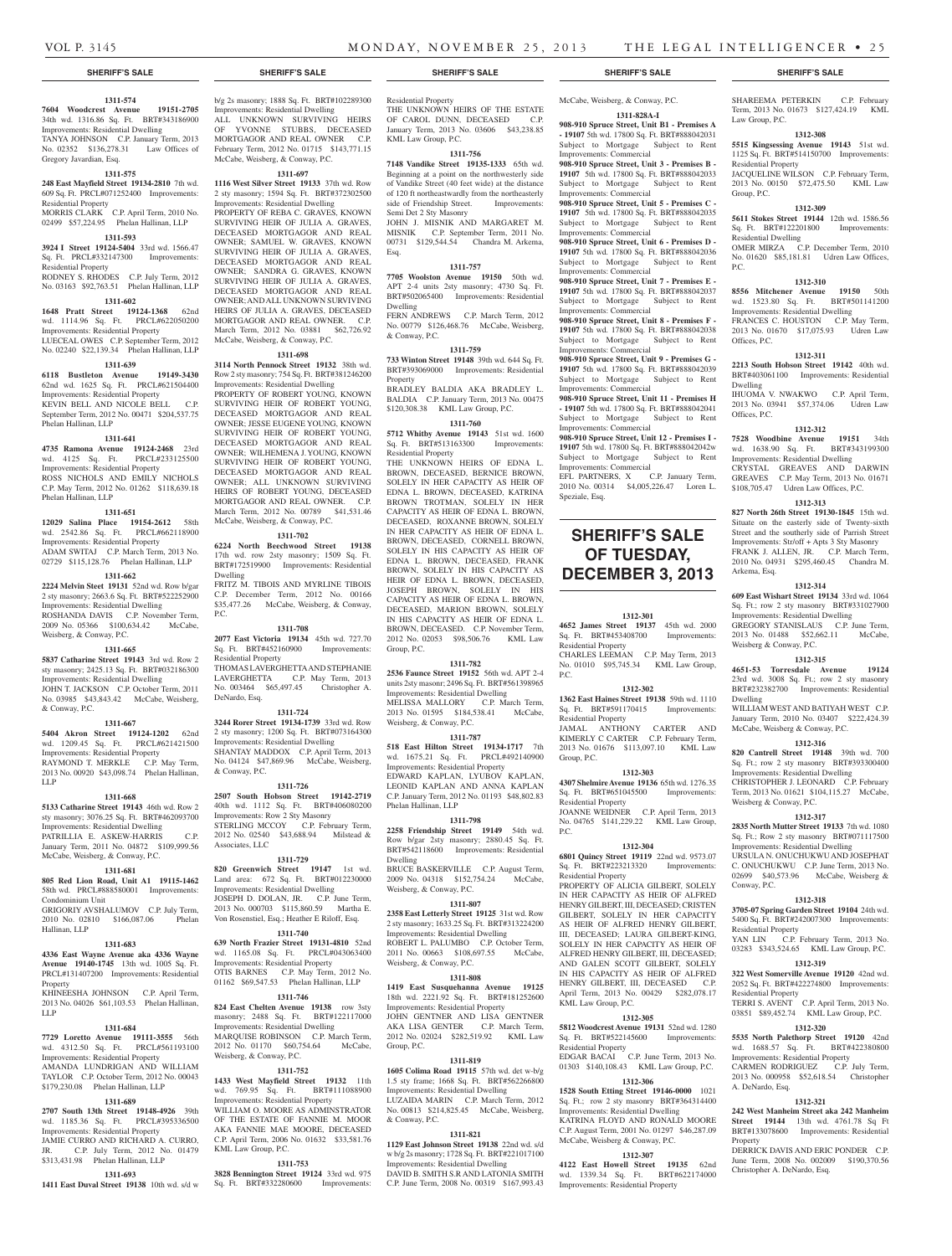## **1311-574**

**7604 Woodcrest Avenue 19151-2705**  34th wd. 1316.86 Sq. Ft. BRT#343186900 Improvements: Residential Dwelling TANYA JOHNSON C.P. January Term, 2013 No. 02352 \$136,278.31 Law Offices of Gregory Javardian, Esq.

## **1311-575**

**248 East Mayfield Street 19134-2810** 7th wd. 609 Sq. Ft. PRCL#071252400 Improvements: Residential Property MORRIS CLARK C.P. April Term, 2010 No.

## 02499 \$57,224.95 Phelan Hallinan, LLP

**1311-593**

#### **3924 I Street 19124-5404** 33rd wd. 1566.47 Sq. Ft. PRCL#332147300 Improvements: Residential Property

RODNEY S. RHODES C.P. July Term, 2012 No. 03163 \$92,763.51 Phelan Hallinan, LLP

## **1311-602**

**1648 Pratt Street 19124-1368** 62nd wd. 1114.96 Sq. Ft. PRCL#622050200

Improvements: Residential Property LUECEAL OWES C.P. September Term, 2012

## No. 02240 \$22,139.34 Phelan Hallinan, LLP **1311-639**

**6118 Bustleton Avenue 19149-3430**  62nd wd. 1625 Sq. Ft. PRCL#621504400 Improvements: Residential Property KEVIN BELL AND NICOLE BELL C.P. September Term, 2012 No. 00471 \$204,537.75 Phelan Hallinan, LLP

#### **1311-641**

**4735 Ramona Avenue 19124-2468** 23rd wd. 4125 Sq. Ft. PRCL#233125500 Improvements: Residential Property ROSS NICHOLS AND EMILY NICHOLS C.P. May Term, 2012 No. 01262 \$118,639.18 Phelan Hallinan, LLP

## **1311-651**

**12029 Salina Place 19154-2612** 58th wd. 2542.86 Sq. Ft. PRCL#662118900 Improvements: Residential Property ADAM SWITAJ C.P. March Term, 2013 No. 02729 \$115,128.76 Phelan Hallinan, LLP

## **1311-662**

**2224 Melvin Steet 19131** 52nd wd. Row b/gar 2 sty masonry; 2663.6 Sq. Ft. BRT#522252900 Improvements: Residential Dwelling ROSHANDA DAVIS C.P. November Term, 2009 No. 05366 \$100,634.42 McCabe, Weisberg, & Conway, P.C.

#### **1311-665**

**5837 Catharine Street 19143** 3rd wd. Row 2 sty masonry; 2425.13 Sq. Ft. BRT#032186300 Improvements: Residential Dwelling JOHN T. JACKSON C.P. October Term, 2011

No. 03985 \$43,843.42 McCabe, Weisberg, & Conway, P.C.

## **1311-667**

**5404 Akron Street 19124-1202** 62nd wd. 1209.45 Sq. Ft. PRCL#621421500 Improvements: Residential Property RAYMOND T. MERKLE C.P. May Term, 2013 No. 00920 \$43,098.74 Phelan Hallinan, LLP

### **1311-668**

**5133 Catharine Street 19143** 46th wd. Row 2 sty masonry; 3076.25 Sq. Ft. BRT#462093700 Improvements: Residential Dwelling PATRILLIA E. ASKEW-HARRIS C.P. January Term, 2011 No. 04872 \$109,999.56 McCabe, Weisberg, & Conway, P.C.

## **1311-681**

**805 Red Lion Road, Unit A1 19115-1462**  58th wd. PRCL#888580001 Improvements:

#### Condominium Unit

GRIGORIY AVSHALUMOV C.P. July Term,<br>2010 No. 02810 \$166.087.06 Phelan 2010 No. 02810 \$166,087.06 Hallinan, LLP

#### **1311-683**

**4336 East Wayne Avenue aka 4336 Wayne Avenue 19140-1745** 13th wd. 1005 Sq. Ft. PRCL#131407200 Improvements: Residential Property

#### KHINEESHA JOHNSON C.P. April Term, 2013 No. 04026 \$61,103.53 Phelan Hallinan, LLP

#### **1311-684**

**7729 Loretto Avenue 19111-3555** 56th wd. 4312.50 Sq. Ft. PRCL#561193100 Improvements: Residential Property AMANDA LUNDRIGAN AND WILLIAM TAYLOR C.P. October Term, 2012 No. 00043

#### \$179,230.08 Phelan Hallinan, LLP **1311-689**

**2707 South 13th Street 19148-4926** 39th wd. 1185.36 Sq. Ft. PRCL#395336500 Improvements: Residential Property

### JAMIE CURRO AND RICHARD A. CURRO, JR. C.P. July Term, 2012 No. 01479 \$313,431.98 Phelan Hallinan, LLP

**1311-693**

#### **1411 East Duval Street 19138** 10th wd. s/d w

b/g 2s masonry; 1888 Sq. Ft. BRT#102289300 Improvements: Residential Dwelling ALL UNKNOWN SURVIVING HEIRS

YVONNE STUBBS, DECEASED MORTGAGOR AND REAL OWNER C.P. February Term, 2012 No. 01715 \$143,771.15 McCabe, Weisberg, & Conway, P.C.

#### **1311-697**

**1116 West Silver Street 19133** 37th wd. Row 2 sty masonry; 1594 Sq. Ft. BRT#372302500 Improvements: Residential Dwelling PROPERTY OF REBA C. GRAVES, KNOWN SURVIVING HEIR OF JULIA A. GRAVES, DECEASED MORTGAGOR AND REAL OWNER; SAMUEL W. GRAVES, KNOWN SURVIVING HEIR OF JULIA A. GRAVES, DECEASED MORTGAGOR AND REAL OWNER; SANDRA G. GRAVES, KNOWN SURVIVING HEIR OF JULIA A. GRAVES, DECEASED MORTGAGOR AND REAL OWNER; AND ALL UNKNOWN SURVIVING HEIRS OF JULIA A. GRAVES, DECEASED MORTGAGOR AND REAL OWNER. C.P. March Term, 2012 No. 03881 \$62,726.92 McCabe, Weisberg, & Conway, P.C.

#### **1311-698**

**3114 North Pennock Street 19132** 38th wd. Row 2 sty masonry; 754 Sq. Ft. BRT#381246200 Improvements: Residential Dwelling PROPERTY OF ROBERT YOUNG, KNOWN SURVIVING HEIR OF ROBERT YOUNG, DECEASED MORTGAGOR AND REAL OWNER; JESSE EUGENE YOUNG, KNOWN SURVIVING HEIR OF ROBERT YOUNG, DECEASED MORTGAGOR AND REAL OWNER; WILHEMENA J. YOUNG, KNOWN SURVIVING HEIR OF ROBERT YOUNG, DECEASED MORTGAGOR AND REAL OWNER; ALL UNKNOWN SURVIVING HEIRS OF ROBERT YOUNG, DECEASED MORTGAGOR AND REAL OWNER. C.P. March Term, 2012 No. 00789 \$41,531.46 McCabe, Weisberg, & Conway, P.C.

#### **1311-702**

**6224 North Beechwood Street 19138**  17th wd. row 2sty masonry; 1509 Sq. Ft. BRT#172519900 Improvements: Residential Dwelling

FRITZ M. TIBOIS AND MYRLINE TIBOIS C.P. December Term, 2012 No. 00166 \$35,477.26 McCabe, Weisberg, & Conway, P.C.

#### **1311-708**

**2077 East Victoria 19134** 45th wd. 727.70 Sq. Ft. BRT#452160900 Improvements: Residential Property THOMAS LAVERGHETTA AND STEPHANIE LAVERGHETTA C.P. May Term, 2013 No. 003464 \$65,497.45 Christopher A. DeNardo, Esq.

## **1311-724**

**3244 Rorer Street 19134-1739** 33rd wd. Row 2 sty masonry; 1200 Sq. Ft. BRT#073164300 Improvements: Residential Dwelling SHANTAY MADDOX C.P. April Term, 2013 No. 04124 \$47,869.96 McCabe, Weisberg, & Conway, P.C.

#### **1311-726**

**2507 South Hobson Street 19142-2719**  40th wd. 1112 Sq. Ft. BRT#406080200 Improvements: Row 2 Sty Masonry STERLING MCCOY C.P. February Term, 2012 No. 02540 \$43,688.94 Milstead & Associates, LLC

## **1311-729**

**820 Greenwich Street 19147** 1st wd. Land area: 672 Sq. Ft. BRT#012230000 Improvements: Residential Dwelling JOSEPH D. DOLAN, JR. C.P. June Term, 2013 No. 000703 \$115,860.59 Martha E. Von Rosenstiel, Esq.; Heather E Riloff, Esq.

### **1311-740**

**639 North Frazier Street 19131-4810** 52nd wd. 1165.08 Sq. Ft. PRCL#043063400 Improvements: Residential Property OTIS BARNES C.P. May Term, 2012 No. 01162 \$69,547.53 Phelan Hallinan, LLP

#### **1311-746**

**824 East Chelten Avenue 19138** row 3sty masonry; 2488 Sq. Ft. BRT#122117000 Improvements: Residential Dwelling MARQUISE ROBINSON C.P. March Term, No. 01170 \$60,754.64 McCabe, Weisberg, & Conway, P.C.

#### **1311-752**

**1433 West Mayfield Street 19132** 11th wd. 769.95 Sq. Ft. BRT#111088900 Improvements: Residential Property WILLIAM O. MOORE AS ADMINSTRATOR OF THE ESTATE OF FANNIE M. MOOR AKA FANNIE MAE MOORE, DECEASED C.P. April Term, 2006 No. 01632 \$33,581.76 KML Law Group, P.C.

#### **1311-753**

**3828 Bennington Street 19124** 33rd wd. 975 Sq. Ft. BRT#332280600 Improvements:

**SHERIFF'S SALE SHERIFF'S SALE SHERIFF'S SALE SHERIFF'S SALE SHERIFF'S SALE**

Residential Property THE UNKNOWN HEIRS OF THE ESTATE OF CAROL DUNN, DECEASED C.P. January Term, 2013 No. 03606 \$43,238.85 KML Law Group, P.C.

## **1311-756**

**7148 Vandike Street 19135-1333** 65th wd. Beginning at a point on the northwesterly side of Vandike Street (40 feet wide) at the distance of 120 ft northeastwardly from the northeasterly side of Friendship Street. Improvements: Semi Det 2 Sty Masonry JOHN J. MISNIK AND MARGARET M.

MISNIK C.P. September Term, 2011 No. 00731 \$129,544.54 Chandra M. Arkema, Esq.

### **1311-757**

**7705 Woolston Avenue 19150** 50th wd. APT 2-4 units 2sty masonry; 4730 Sq. Ft. BRT#502065400 Improvements: Residential Dwelling FERN ANDREWS C.P. March Term, 2012

No. 00779 \$126,468.76 McCabe, Weisberg, & Conway, P.C.

#### **1311-759**

**733 Winton Street 19148** 39th wd. 644 Sq. Ft. BRT#393069000 Improvements: Residential Property

BRADLEY BALDIA AKA BRADLEY L. BALDIA C.P. January Term, 2013 No. 00475 \$120,308.38 KML Law Group, P.C.

#### **1311-760**

**5712 Whitby Avenue 19143** 51st wd. 1600 Sq. Ft. BRT#513163300 Improvements: Residential Property

THE UNKNOWN HEIRS OF EDNA L. BROWN, DECEASED, BERNICE BROWN, SOLELY IN HER CAPACITY AS HEIR OF EDNA L. BROWN, DECEASED, KATRINA BROWN TROTMAN, SOLELY IN HER CAPACITY AS HEIR OF EDNA L. BROWN, DECEASED, ROXANNE BROWN, SOLELY IN HER CAPACITY AS HEIR OF EDNA L. BROWN, DECEASED, CORNELL BROWN, SOLELY IN HIS CAPACITY AS HEIR OF EDNA L. BROWN, DECEASED, FRANK BROWN, SOLELY IN HIS CAPACITY AS HEIR OF EDNA L. BROWN, DECEASED, JOSEPH BROWN, SOLELY IN HIS CAPACITY AS HEIR OF EDNA L. BROWN, DECEASED, MARION BROWN, SOLELY IN HIS CAPACITY AS HEIR OF EDNA L. BROWN, DECEASED. C.P. November Term, 2012 No. 02053 \$98,506.76 KML Law Group, P.C.

#### **1311-782**

**2536 Faunce Street 19152** 56th wd. APT 2-4 units 2sty masonr; 2496 Sq. Ft. BRT#561398965 Improvements: Residential Dwelling MELISSA MALLORY C.P. March Term, 2013 No. 01595 \$184,538.41 McCabe, Weisberg, & Conway, P.C.

## **1311-787**

**518 East Hilton Street 19134-1717** 7th wd. 1675.21 Sq. Ft. PRCL#492140900 Improvements: Residential Property EDWARD KAPLAN, LYUBOV KAPLAN, LEONID KAPLAN AND ANNA KAPLAN C.P. January Term, 2012 No. 01193 \$48,802.83 Phelan Hallinan, LLP

#### **1311-798**

**2258 Friendship Street 19149** 54th wd. Row b/gar 2sty masonry; 2880.45 Sq. Ft. BRT#542118600 Improvements: Residential Dwelling

BRUCE BASKERVILLE C.P. August Term,<br>2009 No. 04318 \$152,754.24 McCabe, 2009 No. 04318 \$152,754.24 Weisberg, & Conway, P.C.

#### **1311-807**

**2358 East Letterly Street 19125** 31st wd. Row 2 sty masonry; 1633.25 Sq. Ft. BRT#313224200 Improvements: Residential Dwelling ROBERT L. PALUMBO C.P. October Term, 2011 No. 00663 \$108,697.55 McCabe,

## Weisberg, & Conway, P.C. **1311-808**

**1419 East Susquehanna Avenue 19125**  18th wd. 2221.92 Sq. Ft. BRT#181252600 Improvements: Residential Property JOHN GENTNER AND LISA GENTNER AKA LISA GENTER C.P. March Term, 2012 No. 02024 \$282,519.92 KML Law Group, P.C.

#### **1311-819**

**1605 Colima Road 19115** 57th wd. det w-b/g 1.5 sty frame; 1668 Sq. Ft. BRT#562266800 Improvements: Residential Dwelling LUZAIDA MARIN C.P. March Term, 2012 No. 00813 \$214,825.45 McCabe, Weisberg, & Conway, P.C.

#### **1311-821**

**1129 East Johnson Street 19138** 22nd wd. s/d w b/g 2s masonry; 1728 Sq. Ft. BRT#221017100 Improvements: Residential Dwelling DAVID B. SMITH S.R AND LATONIA SMITH C.P. June Term, 2008 No. 00319 \$167,993.43

## McCabe, Weisberg, & Conway, P.C.

SHAREEMA PETERKIN C.P. February Term, 2013 No. 01673 \$127,424.19 KML

**1312-308 5515 Kingsessing Avenue 19143** 51st wd. 1125 Sq. Ft. BRT#514150700 Improvements:

JACQUELINE WILSON C.P. February Term, 2013 No. 00150 \$72,475.50 KML Law

**1312-309 5611 Stokes Street 19144** 12th wd. 1586.56 Sq. Ft. BRT#122201800 Improvements:

OMER MIRZA C.P. December Term, 2010 No. 01620 \$85,181.81 Udren Law Offices,

**1312-310 8556 Mitchener Avenue 19150** 50th wd. 1523.80 Sq. Ft. BRT#501141200 wd. 1523.80 Sq. Ft. BRT#5<br>Improvements: Residential Dwelling FRANCES C. HOUSTON C.P. May Term, 2013 No. 01670 \$17,075.93 Udren Law

**1312-311 2213 South Hobson Street 19142** 40th wd. BRT#403061100 Improvements: Residential

IHUOMA V. NWAKWO C.P. April Term, 2013 No. 03941 \$57,374.06 Udren Law

**1312-312 7528 Woodbine Avenue 19151** 34th wd. 1638.90 Sq. Ft. BRT#343199300 Improvements: Residential Dwelling CRYSTAL GREAVES AND DARWIN GREAVES C.P. May Term, 2013 No. 01671 \$108,705.47 Udren Law Offices, P.C. **1312-313 827 North 26th Street 19130-1845** 15th wd. Situate on the easterly side of Twenty-sixth Street and the southerly side of Parrish Street Improvements: Str/off + Apts 3 Sty Masonry FRANK J. ALLEN, JR. C.P. March Term, 2010 No. 04931 \$295,460.45 Chandra M.

**1312-314 609 East Wishart Street 19134** 33rd wd. 1064 Sq. Ft.; row 2 sty masonry BRT#331027900 Improvements: Residential Dwelling GREGORY STANISLAUS C.P. June Term, 2013 No. 01488 \$52,662.11 McCabe,

**1312-315 4651-53 Torresdale Avenue 19124**  23rd wd. 3008 Sq. Ft.; row 2 sty masonry BRT#232382700 Improvements: Residential

WILLIAM WEST AND BATIYAH WEST C.P. January Term, 2010 No. 03407 \$222,424.39 McCabe, Weisberg & Conway, P.C. **1312-316 820 Cantrell Street 19148** 39th wd. 700 Sq. Ft.; row 2 sty masonry BRT#393300400 Improvements: Residential Dwelling CHRISTOPHER J. LEONARD C.P. February Term, 2013 No. 01621 \$104,115.27 McCabe,

**1312-317 2835 North Mutter Street 19133** 7th wd. 1080 Sq. Ft.; Row 2 sty masonry BRT#071117500 Improvements: Residential Dwelling URSULA N. ONUCHUKWU AND JOSEPHAT C. ONUCHUKWU C.P. June Term, 2013 No. 02699 \$40,573.96 McCabe, Weisberg &

**1312-318 3705-07 Spring Garden Street 19104** 24th wd. 5400 Sq. Ft. BRT#242007300 Improvements:

YAN LIN C.P. February Term, 2013 No. 03283 \$343,524.65 KML Law Group, P.C. **1312-319 322 West Somerville Avenue 19120** 42nd wd. 2052 Sq. Ft. BRT#422274800 Improvements:

TERRI S. AVENT C.P. April Term, 2013 No. 03851 \$89,452.74 KML Law Group, P.C. **1312-320 5535 North Palethorp Street 19120** 42nd wd. 1688.57 Sq. Ft. BRT#422380800 Improvements: Residential Property CARMEN RODRIGUEZ C.P. July Term, 2013 No. 000958 \$52,618.54 Christopher

**1312-321 242 West Manheim Street aka 242 Manheim Street 19144** 13th wd. 4761.78 Sq Ft BRT#133078600 Improvements: Residential

DERRICK DAVIS AND ERIC PONDER C.P. June Term, 2008 No. 002009 \$190,370.56

Christopher A. DeNardo, Esq.

Law Group, P.C.

Residential Property

Residential Dwelling

Group, P.C.

P.C.

Offices, P.C.

Dwelling

Offices, P.C.

Arkema, Esq.

Dwelling

Weisberg & Conway, P.C.

Weisberg & Conway, P.C.

Conway, P.C.

Residential Property

Residential Property

A. DeNardo, Esq.

Property

**1311-828A-I 908-910 Spruce Street, Unit B1 - Premises A - 19107** 5th wd. 17800 Sq. Ft. BRT#888042031 Subject to Mortgage Subject to Rent Improvements: Commercial **908-910 Spruce Street, Unit 3 - Premises B - 19107** 5th wd. 17800 Sq. Ft. BRT#888042033

Subject to Mortgage Subject to Rent Improvements: Commercial **908-910 Spruce Street, Unit 5 - Premises C - 19107** 5th wd. 17800 Sq. Ft. BRT#888042035

Subject to Mortgage Subject to Rent

**908-910 Spruce Street, Unit 6 - Premises D - 19107** 5th wd. 17800 Sq. Ft. BRT#888042036 Subject to Mortgage Subject to Rent

**908-910 Spruce Street, Unit 7 - Premises E - 19107** 5th wd. 17800 Sq. Ft. BRT#888042037 Subject to Mortgage Subject to Rent

**908-910 Spruce Street, Unit 8 - Premises F - 19107** 5th wd. 17800 Sq. Ft. BRT#888042038 Subject to Mortgage Subject to Rent

**908-910 Spruce Street, Unit 9 - Premises G - 19107** 5th wd. 17800 Sq. Ft. BRT#888042039 Subject to Mortgage Subject to Rent

**908-910 Spruce Street, Unit 11 - Premises H - 19107** 5th wd. 17800 Sq. Ft. BRT#888042041 Subject to Mortgage Subject to Rent

**908-910 Spruce Street, Unit 12 - Premises I - 19107** 5th wd. 17800 Sq. Ft. BRT#888042042w Subject to Mortgage Subject to Rent

EFL PARTNERS, X C.P. January Term, 2010 No. 00314 \$4,005,226.47 Loren L.

**SHERIFF'S SALE OF TUESDAY, December 3, 2013**

**1312-301 4652 James Street 19137** 45th wd. 2000 Sq. Ft. BRT#453408700 Improvements:

CHARLES LEEMAN C.P. May Term, 2013 No. 01010 \$95,745.34 KML Law Group,

**1312-302 1362 East Haines Street 19138** 59th wd. 1110 Sq. Ft. BRT#591170415 Improvements:

JAMAL ANTHONY CARTER AND KIMERLY C CARTER C.P. February Term, 2013 No. 01676 \$113,097.10 KML Law

**1312-303 4307 Shelmire Avenue 19136** 65th wd. 1276.35 Sq. Ft. BRT#651045500 Improvements:

JOANNE WEIDNER C.P. April Term, 2013 No. 04765 \$141,229.22 KML Law Group,

**1312-304 6801 Quincy Street 19119** 22nd wd. 9573.07 Sq. Ft. BRT#223213320 Improvements:

PROPERTY OF ALICIA GILBERT, SOLELY IN HER CAPACITY AS HEIR OF ALFRED HENRY GILBERT, III, DECEASED; CRISTEN GILBERT, SOLELY IN HER CAPACITY AS HEIR OF ALFRED HENRY GILBERT, III, DECEASED; LAURA GILBERT-KING, SOLELY IN HER CAPACITY AS HEIR OF ALFRED HENRY GILBERT, III, DECEASED; AND GALEN SCOTT GILBERT, SOLELY IN HIS CAPACITY AS HEIR OF ALFRED HENRY GILBERT, III, DECEASED C.P. April Term, 2013 No. 00429 \$282,078.17

**1312-305 5812 Woodcrest Avenue 19131** 52nd wd. 1280 Sq. Ft. BRT#522145600 Improvements:

EDGAR BACAI C.P. June Term, 2013 No. 01303 \$140,108.43 KML Law Group, P.C. **1312-306 1528 South Etting Street 19146-0000** 1021 Sq. Ft.; row 2 sty masonry BRT#364314400 Improvements: Residential Dwelling KATRINA FLOYD AND RONALD MOORE C.P. August Term, 2001 No. 01297 \$46,287.09 McCabe, Weisberg & Conway, P.C. **1312-307 4122 East Howell Street 19135** 62nd wd. 1339.34 Sq. Ft. BRT#622174000 Improvements: Residential Property

Improvements: Commercial

Improvements: Commercial

Improvements: Commercial

Improvements: Commercial

Improvements: Commercial

Improvements: Commercial

Improvements: Commercial

Speziale, Esq.

Residential Property

Residential Property

Residential Property

Residential Property

KML Law Group, P.C.

Residential Property

Group, P.C.

P.C.

P.C.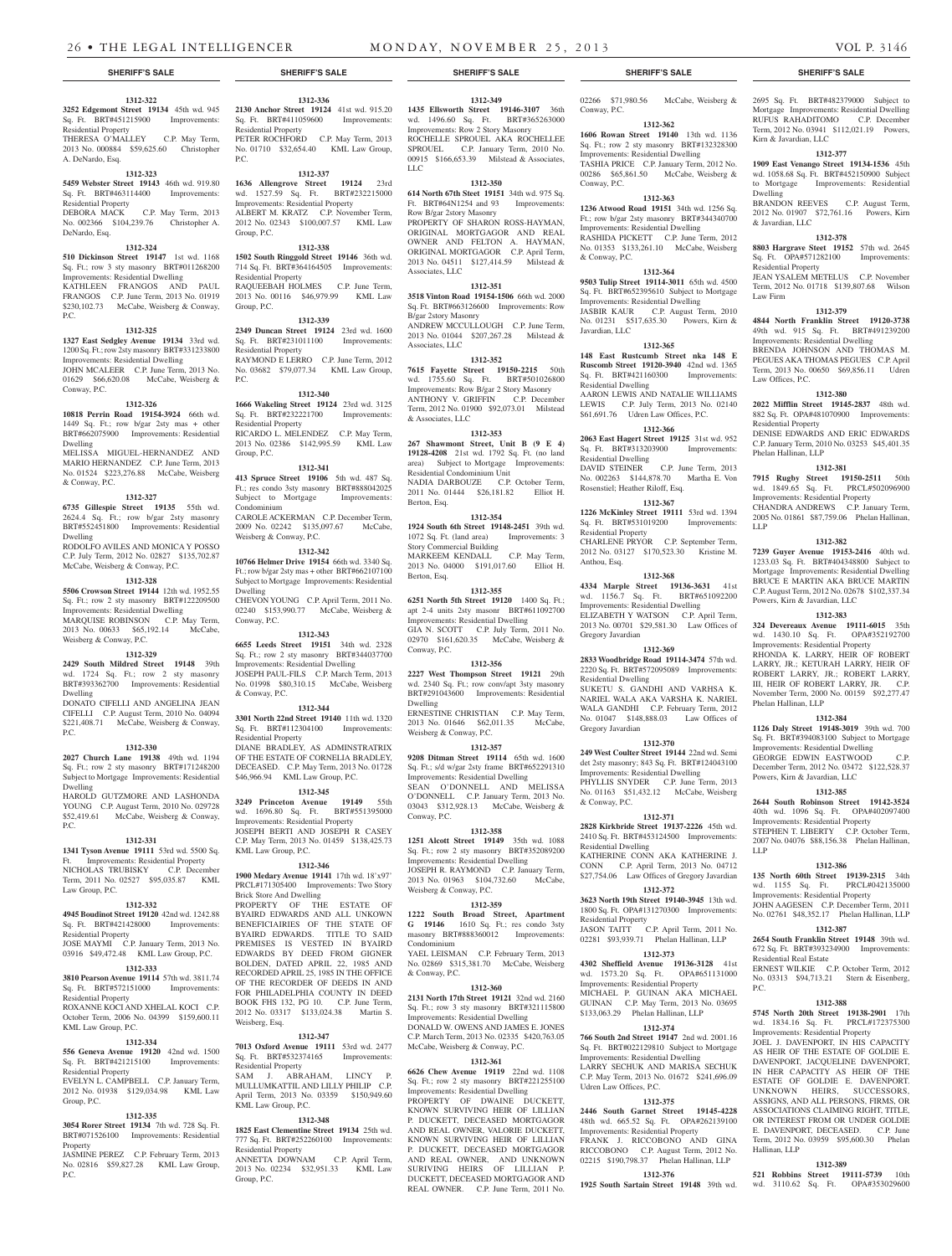**1312-336 2130 Anchor Street 19124** 41st wd. 915.20 Sq. Ft. BRT#411059600 Improvements:

PETER ROCHFORD C.P. May Term, 2013 No. 01710 \$32,654.40 KML Law Group,

**1312-337 1636 Allengrove Street 19124** 23rd wd. 1527.59 Sq. Ft. BRT#232215000 Improvements: Residential Property ALBERT M. KRATZ C.P. November Term, 2012 No. 02343 \$100,007.57 KML Law

**1312-338 1502 South Ringgold Street 19146** 36th wd. 714 Sq. Ft. BRT#364164505 Improvements:

RAQUEEBAH HOLMES C.P. June Term, 2013 No. 00116 \$46,979.99 KML Law

**1312-339 2349 Duncan Street 19124** 23rd wd. 1600 Sq. Ft. BRT#231011100 Improvements:

RAYMOND E LERRO C.P. June Term, 2012 No. 03682 \$79,077.34 KML Law Group,

**1312-340 1666 Wakeling Street 19124** 23rd wd. 3125 Sq. Ft. BRT#232221700 Improvements:

RICARDO L. MELENDEZ C.P. May Term, 2013 No. 02386 \$142,995.59 KML Law

**1312-341 413 Spruce Street 19106** 5th wd. 487 Sq. Ft.; res condo 3sty masonry BRT#888042025 Subject to Mortgage Improvements:

CAROLE ACKERMAN C.P. December Term, 2009 No. 02242 \$135,097.67 McCabe,

**1312-342 10766 Helmer Drive 19154** 66th wd. 3340 Sq. Ft.; row b/gar 2sty mas + other BRT#662107100 Subject to Mortgage Improvements: Residential

CHEVON YOUNG C.P. April Term, 2011 No. 02240 \$153,990.77 McCabe, Weisberg &

**1312-343 6655 Leeds Street 19151** 34th wd. 2328 Sq. Ft.; row 2 sty masonry BRT#344037700 Improvements: Residential Dwelling JOSEPH PAUL-FILS C.P. March Term, 2013 No. 01998 \$80,310.15 McCabe, Weisberg

**1312-344 3301 North 22nd Street 19140** 11th wd. 1320 Sq. Ft. BRT#112304100 Improvements:

DIANE BRADLEY, AS ADMINSTRATRIX OF THE ESTATE OF CORNELIA BRADLEY, DECEASED. C.P. May Term, 2013 No. 01728 \$46,966.94 KML Law Group, P.C. **1312-345 3249 Princeton Avenue 19149** 55th wd. 1696.80 Sq. Ft. BRT#551395000 Improvements: Residential Property JOSEPH BERTI AND JOSEPH R CASEY C.P. May Term, 2013 No. 01459 \$138,425.73

**1312-346 1900 Medary Avenue 19141** 17th wd. 18'x97' PRCL#171305400 Improvements: Two Story

PROPERTY OF THE ESTATE OF BYAIRD EDWARDS AND ALL UNKOWN BENEFICIAIRIES OF THE STATE OF BYAIRD EDWARDS. TITLE TO SAID PREMISES IS VESTED IN BYAIRD EDWARDS BY DEED FROM GIGNER BOLDEN, DATED APRIL 22, 1985 AND RECORDED APRIL 25, 1985 IN THE OFFICE OF THE RECORDER OF DEEDS IN AND FOR PHILADELPHIA COUNTY IN DEED BOOK FHS 132, PG 10. C.P. June Term, 2012 No. 03317 \$133,024.38 Martin S.

**1312-347 7013 Oxford Avenue 19111** 53rd wd. 2477 Sq. Ft. BRT#532374165 Improvements:

**1312-348 1825 East Clementine Street 19134** 25th wd. 777 Sq. Ft. BRT#252260100 Improvements:

ANNETTA DOWNAM C.P. April Term, 2013 No. 02234 \$32,951.33 KML Law

Residential Property

 $PC$ 

Group, P.C.

Group, P.C.

P.C.

Residential Property

Residential Property

Residential Property

Group, P.C.

Condominium

Dwelling

Conway, P.C.

& Conway, P.C.

Residential Property

KML Law Group, P.C.

Brick Store And Dwelling

Weisberg, Esq.

KML Law Group, P.C.

Residential Property

Group, P.C.

Weisberg & Conway, P.C.

## **1312-322**

**3252 Edgemont Street 19134** 45th wd. 945 Sq. Ft. BRT#451215900 Improvements: Residential Property THERESA O'MALLEY C.P. May Term, 2013 No. 000884 \$59,625.60 Christopher

## A. DeNardo, Esq. **1312-323**

#### **5459 Webster Street 19143** 46th wd. 919.80 Sq. Ft. BRT#463114400 Improvements: Residential Property DEBORA MACK C.P. May Term, 2013

No. 002366 \$104,239.76 Christopher A. DeNardo, Esq.

## **1312-324**

**510 Dickinson Street 19147** 1st wd. 1168 Sq. Ft.; row 3 sty masonry BRT#011268200 Improvements: Residential Dwelling

#### KATHLEEN FRANGOS AND PAUL FRANGOS C.P. June Term, 2013 No. 01919 \$230,102.73 McCabe, Weisberg & Conway, P.C.

#### **1312-325**

**1327 East Sedgley Avenue 19134** 33rd wd. 1200 Sq. Ft.; row 2sty masonry BRT#331233800 Improvements: Residential Dwelling JOHN MCALEER C.P. June Term, 2013 No. 01629 \$66,620.08 McCabe, Weisberg & Conway, P.C.

### **1312-326**

**10818 Perrin Road 19154-3924** 66th wd. 1449 Sq. Ft.; row b/gar 2sty mas + other BRT#662075900 Improvements: Residential Dwelling

MELISSA MIGUEL-HERNANDEZ AND MARIO HERNANDEZ C.P. June Term, 2013 No. 01524 \$223,276.88 McCabe, Weisberg & Conway, P.C.

#### **1312-327**

**6735 Gillespie Street 19135** 55th wd. 2624.4 Sq. Ft.; row b/gar 2sty masonry BRT#552451800 Improvements: Residential Dwelling RODOLFO AVILES AND MONICA Y POSSO

C.P. July Term, 2012 No. 02827 \$135,702.87 McCabe, Weisberg & Conway, P.C.

## **1312-328**

**5506 Crowson Street 19144** 12th wd. 1952.55 Sq. Ft.; row 2 sty masonry BRT#122209500 Improvements: Residential Dwelling MARQUISE ROBINSON C.P. May Term, 2013 No. 00633 \$65,192.14 McCabe. Weisberg & Conway, P.C.

#### **1312-329**

**2429 South Mildred Street 19148** 39th wd. 1724 Sq. Ft.; row 2 sty masonry BRT#393362700 Improvements: Residential Dwelling

DONATO CIFELLI AND ANGELINA JEAN CIFELLI C.P. August Term, 2010 No. 04094 \$221,408.71 McCabe, Weisberg & Conway, P.C.

#### **1312-330**

**2027 Church Lane 19138** 49th wd. 1194 Sq. Ft.; row 2 sty masonry BRT#171248200 Subject to Mortgage Improvements: Residential Dwelling HAROLD GUTZMORE AND LASHONDA

YOUNG C.P. August Term, 2010 No. 029728 \$52,419.61 McCabe, Weisberg & Conway, P.C.

## **1312-331**

**1341 Tyson Avenue 19111** 53rd wd. 5500 Sq. Ft. Improvements: Residential Property NICHOLAS TRUBISKY C.P. December Term, 2011 No. 02527 \$95,035.87 KML Law Group, P.C.

#### **1312-332**

**4945 Boudinot Street 19120** 42nd wd. 1242.88 Sq. Ft. BRT#421428000 Improvements: Residential Property

JOSE MAYMI C.P. January Term, 2013 No. 03916 \$49,472.48 KML Law Group, P.C.

## **1312-333**

**3810 Pearson Avenue 19114** 57th wd. 3811.74 Sq. Ft. BRT#572151000 Improvements: Residential Property ROXANNE KOCI AND XHELAL KOCI C.P. October Term, 2006 No. 04399 \$159,600.11

## KML Law Group, P.C. **1312-334**

**556 Geneva Avenue 19120** 42nd wd. 1500 Sq. Ft. BRT#421215100 Improvements:

#### Residential Property EVELYN L. CAMPBELL C.P. January Term, 2012 No. 01938 \$129,034.98 KML Law Residential Property SAM J. ABRAHAM, LINCY P. MULLUMKATTIL AND LILLY PHILIP C.P. April Term, 2013 No. 03359 \$150,949.60

Group, P.C. **1312-335**

#### **3054 Rorer Street 19134** 7th wd. 728 Sq. Ft. BRT#071526100 Improvements: Residential

**Property** JASMINE PEREZ C.P. February Term, 2013 No. 02816 \$59,827.28 KML Law Group, P.C.

#### **1312-349**

**1435 Ellsworth Street 19146-3107** 36th wd. 1496.60 Sq. Ft. BRT#365263000 Improvements: Row 2 Story Masonry ROCHELLE SPROUEL AKA ROCHELLEE SPROUEL C.P. January Term, 2010 No. 00915 \$166,653.39 Milstead & Associates, LLC

#### **1312-350**

**614 North 67th Steet 19151** 34th wd. 975 Sq. Ft. BRT#64N1254 and 93 Improvements: Row B/gar 2story Masonry PROPERTY OF SHARON ROSS-HAYMAN, ORIGINAL MORTGAGOR AND REAL OWNER AND FELTON A. HAYMAN, ORIGINAL MORTGAGOR C.P. April Term, 2013 No. 04511 \$127,414.59 Milstead & Associates, LLC

#### **1312-351 3518 Vinton Road 19154-1506** 66th wd. 2000

Sq. Ft. BRT#663126600 Improvements: Row B/gar 2story Masonry ANDREW MCCULLOUGH C.P. June Term, 2013 No. 01044 \$207,267.28 Milstead & Associates, LLC

## **1312-352**

**7615 Fayette Street 19150-2215** 50th wd. 1755.60 Sq. Ft. BRT#501026800 Improvements: Row B/gar 2 Story Masonry ANTHONY V. GRIFFIN C.P. December Term, 2012 No. 01900 \$92,073.01 Milstead & Associates, LLC

## **1312-353**

**267 Shawmont Street, Unit B (9 E 4) 19128-4208** 21st wd. 1792 Sq. Ft. (no land area) Subject to Mortgage Improvements: Residential Condominium Unit NADIA DARBOUZE C.P. October Term, 2011 No. 01444 \$26,181.82 Elliot H. Berton, Esq.

### **1312-354**

**1924 South 6th Street 19148-2451** 39th wd. 1072 Sq. Ft. (land area) Improvements: 3 Story Commercial Building MARKEEM KENDALL C.P. May Term, 2013 No. 04000 \$191,017.60 Elliot H. Berton, Esq.

#### **1312-355**

**6251 North 5th Street 19120** 1400 Sq. Ft.; apt 2-4 units 2sty masonr BRT#611092700 Improvements: Residential Dwelling GIA N. SCOTT C.P. July Term, 2011 No. 02970 \$161,620.35 McCabe, Weisberg & Conway, P.C.

#### **1312-356**

**2227 West Thompson Street 19121** 29th wd. 2340 Sq. Ft.; row conv/apt 3sty masonry BRT#291043600 Improvements: Residential Dwelling

ERNESTINE CHRISTIAN C.P. May Term, 2013 No. 01646 \$62,011.35 McCabe, Weisberg & Conway, P.C.

## **1312-357**

**9208 Ditman Street 19114** 65th wd. 1600 Sq. Ft.; s/d w/gar 2sty frame BRT#652291310 Improvements: Residential Dwelling SEAN O'DONNELL AND MELISSA O'DONNELL C.P. January Term, 2013 No. 03043 \$312,928.13 McCabe, Weisberg & Conway, P.C.

## **1312-358**

**1251 Alcott Street 19149** 35th wd. 1088 Sq. Ft.; row 2 sty masonry BRT#352089200 Improvements: Residential Dwelling JOSEPH R. RAYMOND C.P. January Term, 2013 No. 01963 \$104,732.60 McCabe, Weisberg & Conway, P.C.

#### **1312-359**

**1222 South Broad Street, Apartment G 19146** 1610 Sq. Ft.; res condo 3sty masonry BRT#888360012 Improvements: Condominium YAEL LEISMAN C.P. February Term, 2013 No. 02869 \$315,381.70 McCabe, Weisberg

## **1312-360**

& Conway, P.C.

**2131 North 17th Street 19121** 32nd wd. 2160 Sq. Ft.; row 3 sty masonry BRT#321115800 Improvements: Residential Dwelling DONALD W. OWENS AND JAMES E. JONES C.P. March Term, 2013 No. 02335 \$420,763.05 McCabe, Weisberg & Conway, P.C.

## **1312-361**

**6626 Chew Avenue 19119** 22nd wd. 1108 Sq. Ft.; row 2 sty masonry BRT#221255100

Improvements: Residential Dwelling PROPERTY OF DWAINE DUCKETT KNOWN SURVIVING HEIR OF LILLIAN P. DUCKETT, DECEASED MORTGAGOR AND REAL OWNER, VALORIE DUCKETT, KNOWN SURVIVING HEIR OF LILLIAN P. DUCKETT, DECEASED, MORTGAGOR AND REAL OWNER, AND UNKNOWN SURIVING HEIRS OF LILLIAN P. DUCKETT, DECEASED MORTGAGOR AND REAL OWNER. C.P. June Term, 2011 No.

#### **SHERIFF'S SALE SHERIFF'S SALE SHERIFF'S SALE SHERIFF'S SALE SHERIFF'S SALE**

02266 \$71,980.56 McCabe, Weisberg & Conway, P.C.

2695 Sq. Ft. BRT#482379000 Subject to Mortgage Improvements: Residential Dwelling RUFUS RAHADITOMO C.P. December Term, 2012 No. 03941 \$112,021.19 Powers,

**1312-377 1909 East Venango Street 19134-1536** 45th wd. 1058.68 Sq. Ft. BRT#452150900 Subject to Mortgage Improvements: Residential

BRANDON REEVES C.P. August Term, 2012 No. 01907 \$72,761.16 Powers, Kirn

**1312-378 8803 Hargrave Steet 19152** 57th wd. 2645 Sq. Ft. OPA#571282100 Improvements:

JEAN YSALEM METELUS C.P. November Term, 2012 No. 01718 \$139,807.68 Wilson

**1312-379 4844 North Franklin Street 19120-3738**  49th wd. 915 Sq. Ft. BRT#491239200 Improvements: Residential Dwelling BRENDA JOHNSON AND THOMAS M. PEGUES AKA THOMAS PEGUES C.P. April Term, 2013 No. 00650 \$69,856.11 Udren

**1312-380 2022 Mifflin Street 19145-2837** 48th wd. 882 Sq. Ft. OPA#481070900 Improvements:

DENISE EDWARDS AND ERIC EDWARDS C.P. January Term, 2010 No. 03253 \$45,401.35

**1312-381 7915 Rugby Street 19150-2511** 50th wd. 1849.65 Sq. Ft. PRCL#502096900 Improvements: Residential Property CHANDRA ANDREWS C.P. January Term, 2005 No. 01861 \$87,759.06 Phelan Hallinan,

**1312-382 7239 Guyer Avenue 19153-2416** 40th wd. 1233.03 Sq. Ft. BRT#404348800 Subject to Mortgage Improvements: Residential Dwelling BRUCE E MARTIN AKA BRUCE MARTIN C.P. August Term, 2012 No. 02678 \$102,337.34

**1312-383 324 Devereaux Avenue 19111-6015** 35th wd. 1430.10 Sq. Ft. OPA#352192700 Improvements: Residential Property RHONDA K. LARRY, HEIR OF ROBERT LARRY, JR.; KETURAH LARRY, HEIR OF ROBERT LARRY, JR.; ROBERT LARRY, III, HEIR OF ROBERT LARRY, JR. C.P. November Term, 2000 No. 00159 \$92,277.47

**1312-384 1126 Daly Street 19148-3019** 39th wd. 700 Sq. Ft. BRT#394083100 Subject to Mortgage Improvements: Residential Dwelling GEORGE EDWIN EASTWOOD December Term, 2012 No. 03472 \$122,528.37

**1312-385 2644 South Robinson Street 19142-3524**  40th wd. 1096 Sq. Ft. OPA#402097400 Improvements: Residential Property STEPHEN T. LIBERTY C.P. October Term, 2007 No. 04076 \$88,156.38 Phelan Hallinan,

**1312-386 135 North 60th Street 19139-2315** 34th wd. 1155 Sq. Ft. PRCL#042135000 Improvements: Residential Property JOHN AAGESEN C.P. December Term, 2011 No. 02761 \$48,352.17 Phelan Hallinan, LLP **1312-387 2654 South Franklin Street 19148** 39th wd. 672 Sq. Ft. BRT#393234900 Improvements:

ERNEST WILKIE C.P. October Term, 2012 No. 03313 \$94,713.21 Stern & Eisenberg,

**1312-388 5745 North 20th Street 19138-2901** 17th wd. 1834.16 Sq. Ft. PRCL#172375300 Improvements: Residential Property JOEL J. DAVENPORT, IN HIS CAPACITY AS HEIR OF THE ESTATE OF GOLDIE E. DAVENPORT, JACQUELINE DAVENPORT, IN HER CAPACITY AS HEIR OF THE ESTATE OF GOLDIE E. DAVENPORT. UNKNOWN HEIRS, SUCCESSORS, ASSIGNS, AND ALL PERSONS, FIRMS, OR ASSOCIATIONS CLAIMING RIGHT, TITLE, OR INTEREST FROM OR UNDER GOLDIE E. DAVENPORT, DECEASED. C.P. June Term, 2012 No. 03959 \$95,600.30 Phelan

**1312-389 521 Robbins Street 19111-5739** 10th wd. 3110.62 Sq. Ft. OPA#353029600

Powers, Kirn & Javardian, LLC

Phelan Hallinan, LLP

LLP

P.C.

Hallinan, LLP

Powers, Kirn & Javardian, LLC

Residential Real Estate

Kirn & Javardian, LLC

Dwelling

Law Firm

& Javardian, LLC

Residential Property

Law Offices, P.C.

Residential Property

Phelan Hallinan, LLP

LLP

## **1312-362**

**1606 Rowan Street 19140** 13th wd. 1136 Sq. Ft.; row 2 sty masonry BRT#132328300 Improvements: Residential Dwelling TASHIA PRICE C.P. January Term, 2012 No. 00286 \$65,861.50 McCabe, Weisberg & Conway, P.C.

## **1312-363**

**1236 Atwood Road 19151** 34th wd. 1256 Sq. Ft.; row b/gar 2sty masonry BRT#344340700 Improvements: Residential Dwelling RASHIDA PICKETT C.P. June Term, 2012 No. 01353 \$133,261.10 McCabe, Weisberg & Conway, P.C.

## **1312-364**

**9503 Tulip Street 19114-3011** 65th wd. 4500 Sq. Ft. BRT#652395610 Subject to Mortgage Improvements: Residential Dwelling JASBIR KAUR C.P. August Term, 2010 No. 01231 \$517,635.30 Powers, Kirn & Javardian, LLC

#### **1312-365**

**148 East Rustcumb Street nka 148 E Ruscomb Street 19120-3940** 42nd wd. 1365 Sq. Ft. BRT#421160300 Improvements: Residential Dwelling AARON LEWIS AND NATALIE WILLIAMS

LEWIS C.P. July Term, 2013 No. 02140 \$61,691.76 Udren Law Offices, P.C. **1312-366**

#### **2063 East Hagert Street 19125** 31st wd. 952 Sq. Ft. BRT#313203900 Improvements:

Residential Dwelling DAVID STEINER C.P. June Term, 2013 No. 002263 \$144,878.70 Martha E. Von Rosenstiel; Heather Riloff, Esq.

#### **1312-367**

**1226 McKinley Street 19111** 53rd wd. 1394 Sq. Ft. BRT#531019200 Improvements: Residential Property CHARLENE PRYOR C.P. September Term, 2012 No. 03127 \$170,523.30 Kristine M. Anthou, Esq.

## **1312-368**

**4334 Marple Street 19136-3631** 41st wd. 1156.7 Sq. Ft. BRT#651092200 Improvements: Residential Dwelling ELIZABETH Y WATSON C.P. April Term, 2013 No. 00701 \$29,581.30 Law Offices of Gregory Javardian

#### **1312-369 2833 Woodbridge Road 19114-3474** 57th wd.

2220 Sq. Ft. BRT#572095089 Improvements: Residential Dwelling SUKETU S. GANDHI AND VARHSA K. NARIEL WALA AKA VARSHA K. NARIEL WALA GANDHI C.P. February Term, 2012 No. 01047 \$148,888.03 Law Offices of Gregory Javardian

#### **1312-370**

**249 West Coulter Street 19144** 22nd wd. Semi det 2sty masonry; 843 Sq. Ft. BRT#124043100 Improvements: Residential Dwelling PHYLLIS SNYDER C.P. June Term, 2013 No. 01163 \$51,432.12 McCabe, Weisberg & Conway, P.C.

#### **1312-371**

**2828 Kirkbride Street 19137-2226** 45th wd. 2410 Sq. Ft. BRT#453124500 Improvements: Residential Dwelling KATHERINE CONN AKA KATHERINE J.

CONN C.P. April Term, 2013 No. 04712 \$27,754.06 Law Offices of Gregory Javardian **1312-372**

## **3623 North 19th Street 19140-3945** 13th wd.

1800 Sq. Ft. OPA#131270300 Improvements: Residential Property JASON TAITT C.P. April Term, 2011 No. 02281 \$93,939.71 Phelan Hallinan, LLP

## **1312-373**

**4302 Sheffield Avenue 19136-3128** 41st wd. 1573.20 Sq. Ft. OPA#651131000 Improvements: Residential Property MICHAEL P. GUINAN AKA MICHAEL GUINAN C.P. May Term, 2013 No. 03695 \$133,063.29 Phelan Hallinan, LLP

## **1312-374**

**766 South 2nd Street 19147** 2nd wd. 2001.16 Sq. Ft. BRT#022129810 Subject to Mortgage Improvements: Residential Dwelling LARRY SECHUK AND MARISA SECHUK C.P. May Term, 2013 No. 01672 \$241,696.09 Udren Law Offices, P.C.

#### **1312-375 2446 South Garnet Street 19145-4228**

48th wd. 665.52 Sq. Ft. OPA#262139100 Improvements: Residential Property FRANK J. RICCOBONO AND GINA RICCOBONO C.P. August Term, 2012 No. 02215 \$190,798.37 Phelan Hallinan, LLP **1312-376 1925 South Sartain Street 19148** 39th wd.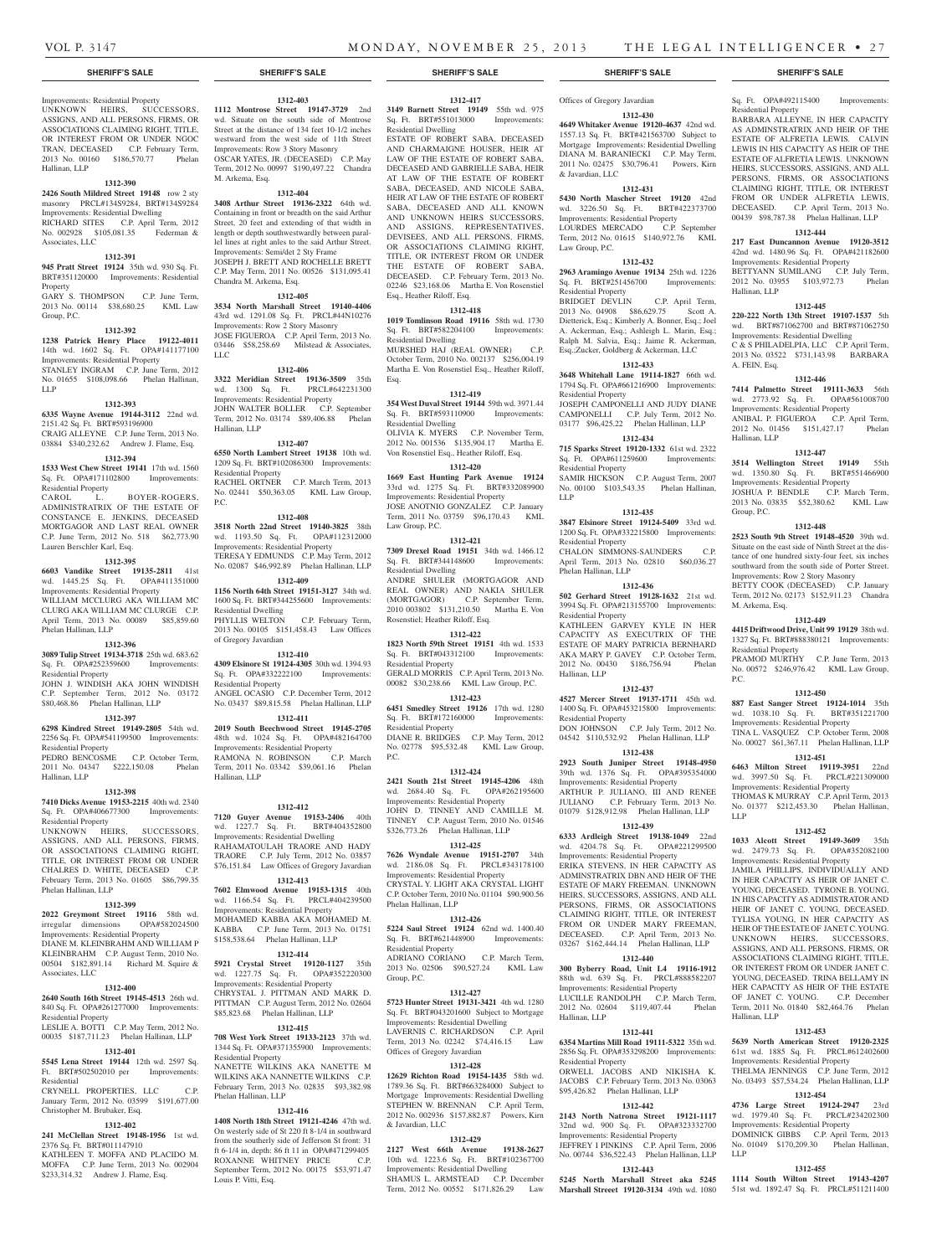#### **SHERIFF'S SALE SHERIFF'S SALE SHERIFF'S SALE SHERIFF'S SALE SHERIFF'S SALE**

## Improvements: Residential Property UNKNOWN HEIRS, SUCCESSORS,

ASSIGNS, AND ALL PERSONS, FIRMS, OR ASSOCIATIONS CLAIMING RIGHT, TITLE, OR INTEREST FROM OR UNDER NGOC TRAN, DECEASED C.P. February Term, 2013 No. 00160 \$186,570.77 Phelan Hallinan, LLP

#### **1312-390**

**2426 South Mildred Street 19148** row 2 sty masonry PRCL#134S9284, BRT#134S9284 Improvements: Residential Dwelling RICHARD SITES C.P. April Term, 2012 No. 002928 \$105,081.35 Federman & Associates, LLC

#### **1312-391**

**945 Pratt Street 19124** 35th wd. 930 Sq. Ft. BRT#351120000 Improvements: Residential

Property GARY S. THOMPSON C.P. June Term, 2013 No. 00114 \$38,680.25 KML Law Group, P.C.

#### **1312-392**

**1238 Patrick Henry Place 19122-4011**  14th wd. 1602 Sq. Ft. OPA#141177100 Improvements: Residential Property STANLEY INGRAM C.P. June Term, 2012 No. 01655 \$108,098.66 Phelan Hallinan, LLP

### **1312-393**

**6335 Wayne Avenue 19144-3112** 22nd wd. 2151.42 Sq. Ft. BRT#593196900 CRAIG ALLEYNE C.P. June Term, 2013 No. 03884 \$340,232.62 Andrew J. Flame, Esq.

#### **1312-394**

**1533 West Chew Street 19141** 17th wd. 1560 Sq. Ft. OPA#171102800 Improvements: Residential Property

CAROL L. BOYER-ROGERS, ADMINISTRATRIX OF THE ESTATE OF CONSTANCE E. JENKINS, DECEASED MORTGAGOR AND LAST REAL OWNER C.P. June Term, 2012 No. 518 \$62,773.90 Lauren Berschler Karl, Esq.

#### **1312-395**

**6603 Vandike Street 19135-2811** 41st wd. 1445.25 Sq. Ft. OPA#411351000 Improvements: Residential Property WILLIAM MCCLURG AKA WILLIAM MC CLURG AKA WILLIAM MC CLURGE C.P. April Term, 2013 No. 00089 \$85,859.60 Phelan Hallinan, LLP

## **1312-396**

**3089 Tulip Street 19134-3718** 25th wd. 683.62 Sq. Ft. OPA#252359600 Improvements:

Residential Property JOHN J. WINDISH AKA JOHN WINDISH C.P. September Term, 2012 No. 03172 \$80,468.86 Phelan Hallinan, LLP

#### **1312-397**

**6298 Kindred Street 19149-2805** 54th wd. 2256 Sq. Ft. OPA#541199500 Improvements: Residential Property

PEDRO BENCOSME C.P. October Term, 2011 No. 04347 \$222,150.08 Phelan Hallinan, LLP

#### **1312-398**

**7410 Dicks Avenue 19153-2215** 40th wd. 2340 Sq. Ft. OPA#406677300 Improvements: Residential Property UNKNOWN HEIRS, SUCCESSORS, ASSIGNS, AND ALL PERSONS, FIRMS, OR ASSOCIATIONS CLAIMING RIGHT,

TITLE, OR INTEREST FROM OR UNDER CHALRES D. WHITE, DECEASED C.P. February Term, 2013 No. 01605 \$86,799.35 Phelan Hallinan, LLP **1312-399**

**2022 Greymont Street 19116** 58th wd.<br>
irregular dimensions OPA#582024500 irregular dimensions Improvements: Residential Property DIANE M. KLEINBRAHM AND WILLIAM P KLEINBRAHM C.P. August Term, 2010 No. 00504 \$182,891.14 Richard M. Squire & Associates, LLC

## **1312-400**

**2640 South 16th Street 19145-4513** 26th wd. 840 Sq. Ft. OPA#261277000 Improvements: Residential Property LESLIE A. BOTTI C.P. May Term, 2012 No.

## 00035 \$187,711.23 Phelan Hallinan, LLP **1312-401**

**5545 Lena Street 19144** 12th wd. 2597 Sq. Ft. BRT#502502010 per Improvements: Residential CRYNELL PROPERTIES, LLC C.P.

## January Term, 2012 No. 03599 \$191,677.00 Christopher M. Brubaker, Esq.

## **1312-402**

**241 McClellan Street 19148-1956** 1st wd. 2376 Sq. Ft. BRT#011147910 KATHLEEN T. MOFFA AND PLACIDO M. MOFFA C.P. June Term, 2013 No. 002904 \$233,314.32 Andrew J. Flame, Esq.

## **1312-403**

**1112 Montrose Street 19147-3729** 2nd wd. Situate on the south side of Montrose Street at the distance of 134 feet 10-1/2 inches westward from the west side of 11th Street Improvements: Row 3 Story Masonry OSCAR YATES, JR. (DECEASED) C.P. May Term, 2012 No. 00997 \$190,497.22 Chandra M. Arkema, Esq.

#### **1312-404**

**3408 Arthur Street 19136-2322** 64th wd. Containing in front or breadth on the said Arthur Street, 20 feet and extending of that width in length or depth southwestwardly between parallel lines at right anles to the said Arthur Street. Improvements: Semi/det 2 Sty Frame JOSEPH J. BRETT AND ROCHELLE BRETT C.P. May Term, 2011 No. 00526 \$131,095.41 Chandra M. Arkema, Esq.

#### **1312-405**

**3534 North Marshall Street 19140-4406**  43rd wd. 1291.08 Sq. Ft. PRCL#44N10276 Improvements: Row 2 Story Masonry JOSE FIGUEROA C.P. April Term, 2013 No. 03446 \$58,258.69 Milstead & Associates, LLC

#### **1312-406**

**3322 Meridian Street 19136-3509** 35th wd. 1300 Sq. Ft. PRCL#642231300 Improvements: Residential Property JOHN WALTER BOLLER C.P. September Term, 2012 No. 03174 \$89,406.88 Phelan Hallinan, LLP

#### **1312-407**

**6550 North Lambert Street 19138** 10th wd. 1209 Sq. Ft. BRT#102086300 Improvements: Residential Property RACHEL ORTNER C.P. March Term, 2013

No. 02441 \$50,363.05 KML Law Group, P.C. **1312-408**

**3518 North 22nd Street 19140-3825** 38th wd. 1193.50 Sq. Ft. OPA#112312000 Improvements: Residential Property TERESA Y EDMUNDS C.P. May Term, 2012 No. 02087 \$46,992.89 Phelan Hallinan, LLP

#### **1312-409**

**1156 North 64th Street 19151-3127** 34th wd. 1600 Sq. Ft. BRT#344255600 Improvements: Residential Dwelling PHYLLIS WELTON C.P. February Term, 2013 No. 00105 \$151,458.43 Law Offices of Gregory Javardian

#### **1312-410**

**4309 Elsinore St 19124-4305** 30th wd. 1394.93 Sq. Ft. OPA#332222100 Improvements: Residential Property ANGEL OCASIO C.P. December Term, 2012 No. 03437 \$89,815.58 Phelan Hallinan, LLP

**1312-411 2019 South Beechwood Street 19145-2705**  48th wd. 1024 Sq. Ft. OPA#482164700 Improvements: Residential Property

RAMONA N. ROBINSON C.P. March Term, 2011 No. 03342 \$39,061.16 Phelan Hallinan, LLP

#### **1312-412**

**7120 Guyer Avenue 19153-2406** 40th wd. 1227.7 Sq. Ft. BRT#404352800 Improvements: Residential Dwelling RAHAMATOULAH TRAORE AND HADY TRAORE C.P. July Term, 2012 No. 03857 \$76,151.84 Law Offices of Gregory Javardian

## **1312-413**

**7602 Elmwood Avenue 19153-1315** 40th wd. 1166.54 Sq. Ft. PRCL#404239500 Improvements: Residential Property MOHAMED KABBA AKA MOHAMED M. KABBA C.P. June Term, 2013 No. 01751 \$158,538.64 Phelan Hallinan, LLP

#### **1312-414**

**5921 Crystal Street 19120-1127** 35th wd. 1227.75 Sq. Ft. OPA#352220300 Improvements: Residential Property CHRYSTAL J. PITTMAN AND MARK D. PITTMAN C.P. August Term, 2012 No. 02604 \$85,823.68 Phelan Hallinan, LLP

#### **1312-415**

**708 West York Street 19133-2123** 37th wd. 1344 Sq. Ft. OPA#371355900 Improvements: Residential Property NANETTE WILKINS AKA NANETTE M WILKINS AKA NANNETTE WILKINS C.P. February Term, 2013 No. 02835 \$93,382.98 Phelan Hallinan, LLP

#### **1312-416**

**1408 North 18th Street 19121-4246** 47th wd. On westerly side of St 220 ft 8-1/4 in southward from the southerly side of Jefferson St front: 31 ft 6-1/4 in, depth: 86 ft 11 in OPA#471299405 ROXANNE WHITNEY PRICE C.P. September Term, 2012 No. 00175 \$53,971.47 Louis P. Vitti, Esq.

**1312-417 3149 Barnett Street 19149** 55th wd. 975 Sq. Ft. BRT#551013000 Improvements: Residential Dwelling

ESTATE OF ROBERT SABA, DECEASED AND CHARMAIGNE HOUSER, HEIR AT LAW OF THE ESTATE OF ROBERT SABA, DECEASED AND GABRIELLE SABA, HEIR AT LAW OF THE ESTATE OF ROBERT SABA, DECEASED, AND NICOLE SABA, HEIR AT LAW OF THE ESTATE OF ROBERT SABA, DECEASED AND ALL KNOWN AND UNKNOWN HEIRS SUCCESSORS, AND ASSIGNS, REPRESENTATIVES, DEVISEES, AND ALL PERSONS, FIRMS, OR ASSOCIATIONS CLAIMING RIGHT TITLE, OR INTEREST FROM OR UNDER THE ESTATE OF ROBERT SABA, DECEASED. C.P. February Term, 2013 No. 02246 \$23,168.06 Martha E. Von Rosenstiel Esq., Heather Riloff, Esq.

## **1312-418**

**1019 Tomlinson Road 19116** 58th wd. 1730 Sq. Ft. BRT#582204100 Improvements: Residential Dwelling MURSHED HAJ (REAL OWNER) C.P. October Term, 2010 No. 002137 \$256,004.19 Martha E. Von Rosenstiel Esq., Heather Riloff, Esq.

#### **1312-419**

**354 West Duval Street 19144** 59th wd. 3971.44 Sq. Ft. BRT#593110900 Improvements: Residential Dwelling OLIVIA K. MYERS C.P. November Term, 2012 No. 001536 \$135,904.17 Martha E. Von Rosenstiel Esq., Heather Riloff, Esq.

## **1312-420**

**1669 East Hunting Park Avenue 19124**  33rd wd. 1275 Sq. Ft. BRT#332089900 Improvements: Residential Property JOSE ANOTNIO GONZALEZ C.P. January Term, 2011 No. 03759 \$96,170.43 KML Law Group, P.C.

## **1312-421**

**7309 Drexel Road 19151** 34th wd. 1466.12 Sq. Ft. BRT#344148600 Improvements: Residential Dwelling ANDRE SHULER (MORTGAGOR AND REAL OWNER) AND NAKIA SHULER (MORTGAGOR) C.P. September Term, 2010 003802 \$131,210.50 Martha E. Von Rosenstiel; Heather Riloff, Esq.

## **1312-422**

**1823 North 59th Street 19151** 4th wd. 1533 Sq. Ft. BRT#043312100 Improvements: Residential Property GERALD MORRIS C.P. April Term, 2013 No. 00082 \$30,238.66 KML Law Group, P.C.

### **1312-423**

**6451 Smedley Street 19126** 17th wd. 1280 Sq. Ft. BRT#172160000 Improvements: Residential Property DIANE R. BRIDGES C.P. May Term, 2012 No. 02778 \$95,532.48 KML Law Group, P.C.

#### **1312-424**

**2421 South 21st Street 19145-4206** 48th wd. 2684.40 Sq. Ft. OPA#262195600 Improvements: Residential Property JOHN D. TINNEY AND CAMILLE M. TINNEY C.P. August Term, 2010 No. 01546 \$326,773.26 Phelan Hallinan, LLP

#### **1312-425**

**7626 Wyndale Avenue 19151-2707** 34th wd. 2186.08 Sq. Ft. PRCL#343178100 Improvements: Residential Property CRYSTAL Y. LIGHT AKA CRYSTAL LIGHT C.P. October Term, 2010 No. 01104 \$90,900.56 Phelan Hallinan, LLP

#### **1312-426**

**5224 Saul Street 19124** 62nd wd. 1400.40 Sq. Ft. BRT#621448900 Improvements: Residential Property ADRIANO CORIANO C.P. March Term, 2013 No. 02506 \$90,527.24 KML Law Group, P.C.

#### **1312-427**

**5723 Hunter Street 19131-3421** 4th wd. 1280 Sq. Ft. BRT#043201600 Subject to Mortgage Improvements: Residential Dwelling LAVERNIS C. RICHARDSON C.P. April Term, 2013 No. 02242 \$74,416.15 Law Offices of Gregory Javardian

#### **1312-428**

**12629 Richton Road 19154-1435** 58th wd. 1789.36 Sq. Ft. BRT#663284000 Subject to Mortgage Improvements: Residential Dwelling STEPHEN W. BRENNAN C.P. April Term, 2012 No. 002936 \$157,882.87 Powers, Kirn & Javardian, LLC

#### **1312-429**

**2127 West 66th Avenue 19138-2627**  10th wd. 1223.6 Sq. Ft. BRT#102367700 Improvements: Residential Dwelling SHAMUS L. ARMSTEAD C.P. December Term, 2012 No. 00552 \$171,826.29 Law

## Offices of Gregory Javardian

**1312-430 4649 Whitaker Avenue 19120-4637** 42nd wd. 1557.13 Sq. Ft. BRT#421563700 Subject to Mortgage Improvements: Residential Dwelling DIANA M. BARANIECKI C.P. May Term, 2011 No. 02475 \$30,796.41 Powers, Kirn & Javardian, LLC

Sq. Ft. OPA#492115400 Improvements:

BARBARA ALLEYNE, IN HER CAPACITY AS ADMINSTRATRIX AND HEIR OF THE ESTATE OF ALFRETIA LEWIS. CALVIN LEWIS IN HIS CAPACITY AS HEIR OF THE ESTATE OF ALFRETIA LEWIS. UNKNOWN HEIRS, SUCCESSORS, ASSIGNS, AND ALL PERSONS, FIRMS, OR ASSOCIATIONS CLAIMING RIGHT, TITLE, OR INTEREST FROM OR UNDER ALFRETIA LEWIS, DECEASED. C.P. April Term, 2013 No. 00439 \$98,787.38 Phelan Hallinan, LLP **1312-444 217 East Duncannon Avenue 19120-3512**  42nd wd. 1480.96 Sq. Ft. OPA#421182600 Improvements: Residential Property BETTYANN SUMILANG C.P. July Term, 2012 No. 03955 \$103,972.73 Phelan

**1312-445 220-222 North 13th Street 19107-1537** 5th wd. BRT#871062700 and BRT#871062750 Improvements: Residential Dwelling C & S PHILADELPIA, LLC C.P. April Term, 2013 No. 03522 \$731,143.98 BARBARA

**1312-446 7414 Palmetto Street 19111-3633** 56th wd. 2773.92 Sq. Ft. OPA#561008700 Improvements: Residential Property ANIBAL P. FIGUEROA C.P. April Term, 2012 No. 01456 \$151,427.17 Phelan

**1312-447 3514 Wellington Street 19149** 55th wd. 1350.80 Sq. Ft. BRT#551466900 Improvements: Residential Property JOSHUA P. BENDLE C.P. March Term, 2013 No. 03835 \$52,380.62 KML Law

**1312-448 2523 South 9th Street 19148-4520** 39th wd. Situate on the east side of Ninth Street at the distance of one hundred sixty-four feet, six inches southward from the south side of Porter Street. Improvements: Row 2 Story Masonry BETTY COOK (DECEASED) C.P. January Term, 2012 No. 02173 \$152,911.23 Chandra

**1312-449 4415 Driftwood Drive, Unit 99 19129** 38th wd. 1327 Sq. Ft. BRT#888380121 Improvements:

PRAMOD MURTHY C.P. June Term, 2013 No. 00572 \$246,976.42 KML Law Group,

**1312-450 887 East Sanger Street 19124-1014** 35th wd. 1038.10 Sq. Ft. BRT#351221700 Improvements: Residential Property TINA L. VASQUEZ C.P. October Term, 2008 No. 00027 \$61,367.11 Phelan Hallinan, LLP **1312-451 6463 Milton Street 19119-3951** 22nd wd. 3997.50 Sq. Ft. PRCL#221309000 Improvements: Residential Property THOMAS K MURRAY C.P. April Term, 2013 No. 01377 \$212,453.30 Phelan Hallinan,

**1312-452 1033 Alcott Street 19149-3609** 35th wd. 2479.73 Sq. Ft. OPA#352082100 Improvements: Residential Property JAMILA PHILLIPS, INDIVIDUALLY AND IN HER CAPACITY AS HEIR OF JANET C. YOUNG, DECEASED. TYRONE B. YOUNG, IN HIS CAPACITY AS ADIMISTRATOR AND HEIR OF JANET C. YOUNG, DECEASED. TYLISA YOUNG, IN HER CAPACITY AS HEIR OF THE ESTATE OF JANET C. YOUNG. UNKNOWN HEIRS, SUCCESSORS, ASSIGNS, AND ALL PERSONS, FIRMS, OR ASSOCIATIONS CLAIMING RIGHT, TITLE, OR INTEREST FROM OR UNDER JANET C. YOUNG, DECEASED. TRINA BELLAMY IN HER CAPACITY AS HEIR OF THE ESTATE OF JANET C. YOUNG. C.P. December Term, 2011 No. 01840 \$82,464.76 Phelan

**1312-453 5639 North American Street 19120-2325**  61st wd. 1885 Sq. Ft. PRCL#612402600 Improvements: Residential Property THELMA JENNINGS C.P. June Term, 2012 No. 03493 \$57,534.24 Phelan Hallinan, LLP **1312-454 4736 Large Street 19124-2947** 23rd wd. 1979.40 Sq. Ft. PRCL#234202300 Improvements: Residential Property DOMINICK GIBBS C.P. April Term, 2013 No. 01049 \$170,209.30 Phelan Hallinan,

**1312-455 1114 South Wilton Street 19143-4207**  51st wd. 1892.47 Sq. Ft. PRCL#511211400

Residential Property

Hallinan, LLP

A. FEIN, Esq.

Hallinan, LLP

Group, P.C.

M. Arkema, Esq.

Residential Property

P.C.

LLP

Hallinan, LLP

LLP

#### **1312-431**

**5430 North Mascher Street 19120** 42nd wd. 3226.50 Sq. Ft. BRT#422373700 Improvements: Residential Property LOURDES MERCADO C.P. September Term, 2012 No. 01615 \$140,972.76 KML Law Group, P.C.

## **1312-432**

**2963 Aramingo Avenue 19134** 25th wd. 1226 Sq. Ft. BRT#251456700 Improvements: Residential Property<br>BRIDGET DEVLIN C.P. April Term, 2013 No. 04908 \$86,629.75 Scott A. Dietterick, Esq.; Kimberly A. Bonner, Esq.; Joel

A. Ackerman, Esq.; Ashleigh L. Marin, Esq.; Ralph M. Salvia, Esq.; Jaime R. Ackerman, Esq.;Zucker, Goldberg & Ackerman, LLC **1312-433**

## **3648 Whitehall Lane 19114-1827** 66th wd. 1794 Sq. Ft. OPA#661216900 Improvements:

JOSEPH CAMPONELLI AND JUDY DIANE CAMPONELLI C.P. July Term, 2012 No. 03177 \$96,425.22 Phelan Hallinan, LLP **1312-434 715 Sparks Street 19120-1332** 61st wd. 2322 Sq. Ft. OPA#611259600 Improvements:

SAMIR HICKSON C.P. August Term, 2007 No. 00100 \$103,543.35 Phelan Hallinan,

**1312-435 3847 Elsinore Street 19124-5409** 33rd wd. 1200 Sq. Ft. OPA#332215800 Improvements:

CHALON SIMMONS-SAUNDERS C.P. April Term, 2013 No. 02810 \$60,036.27

**1312-436 502 Gerhard Street 19128-1632** 21st wd. 3994 Sq. Ft. OPA#213155700 Improvements:

KATHLEEN GARVEY KYLE IN HER CAPACITY AS EXECUTRIX OF THE ESTATE OF MARY PATRICIA BERNHARD AKA MARY P. GAVEY C.P. October Term, 2012 No. 00430 \$186,756.94 Phelan

**1312-437 4527 Mercer Street 19137-1711** 45th wd. 1400 Sq. Ft. OPA#453215800 Improvements:

DON JOHNSON C.P. July Term, 2012 No. 04542 \$110,532.92 Phelan Hallinan, LLP **1312-438 2923 South Juniper Street 19148-4950**  39th wd. 1376 Sq. Ft. OPA#395354000 Improvements: Residential Property ARTHUR P. JULIANO, III AND RENEE JULIANO C.P. February Term, 2013 No. 01079 \$128,912.98 Phelan Hallinan, LLP **1312-439 6333 Ardleigh Street 19138-1049** 22nd wd. 4204.78 Sq. Ft. OPA#221299500 Improvements: Residential Property ERIKA STEVENS, IN HER CAPACITY AS ADMINSTRATRIX DBN AND HEIR OF THE ESTATE OF MARY FREEMAN. UNKNOWN HEIRS, SUCCESSORS, ASSIGNS, AND ALL PERSONS, FIRMS, OR ASSOCIATIONS CLAIMING RIGHT, TITLE, OR INTEREST FROM OR UNDER MARY FREEMAN, DECEASED. C.P. April Term, 2013 No. 03267 \$162,444.14 Phelan Hallinan, LLP **1312-440 300 Byberry Road, Unit L4 19116-1912**  88th wd. 639 Sq. Ft. PRCL#888582207 Improvements: Residential Property LUCILLE RANDOLPH C.P. March Term, 2012 No. 02604 \$119,407.44 Phelan

Residential Property

Residential Property

Residential Property

Phelan Hallinan, LLP

Residential Property

Hallinan, LLP

Hallinan, LLP

Residential Property

**1312-441 6354 Martins Mill Road 19111-5322** 35th wd. 2856 Sq. Ft. OPA#353298200 Improvements:

ORWELL JACOBS AND NIKISHA K. JACOBS C.P. February Term, 2013 No. 03063 \$95,426.82 Phelan Hallinan, LLP **1312-442 2143 North Natrona Street 19121-1117**  32nd wd. 900 Sq. Ft. OPA#323332700 Improvements: Residential Property JEFFREY I PINKINS C.P. April Term, 2006 No. 00744 \$36,522.43 Phelan Hallinan, LLP **1312-443 5245 North Marshall Street aka 5245 Marshall Streeet 19120-3134** 49th wd. 1080

Residential Property

LLP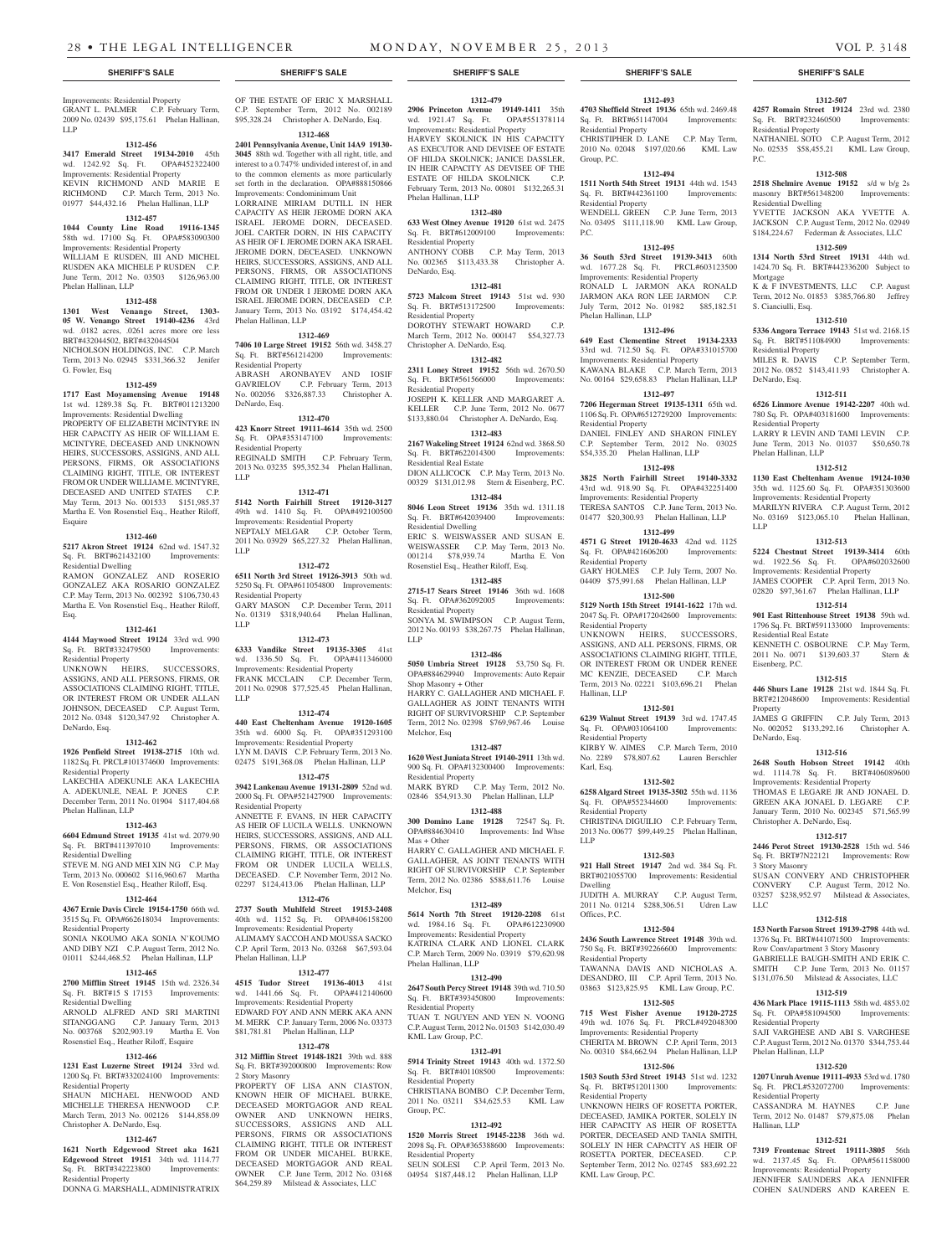Improvements: Residential Property GRANT L. PALMER C.P. February Term, 2009 No. 02439 \$95,175.61 Phelan Hallinan, LLP

#### **1312-456**

**3417 Emerald Street 19134-2010** 45th wd. 1242.92 Sq. Ft. OPA#452322400 Improvements: Residential Property KEVIN RICHMOND AND MARIE E RICHMOND C.P. March Term, 2013 No. 01977 \$44,432.16 Phelan Hallinan, LLP

## **1312-457**

**1044 County Line Road 19116-1345**  58th wd. 17100 Sq. Ft. OPA#583090300 Improvements: Residential Property WILLIAM E RUSDEN, III AND MICHEL RUSDEN AKA MICHELE P RUSDEN C.P. June Term, 2012 No. 03503 \$126,963.00 Phelan Hallinan, LLP

#### **1312-458**

**1301 West Venango Street, 1303- 05 W. Venango Street 19140-4236** 43rd wd. .0182 acres, .0261 acres more ore less BRT#432044502, BRT#432044504 NICHOLSON HOLDINGS, INC. C.P. March Term, 2013 No. 02945 \$331,366.32 Jenifer G. Fowler, Esq

#### **1312-459**

**1717 East Moyamensing Avenue 19148**  1st wd. 1289.38 Sq. Ft. BRT#011213200 Improvements: Residential Dwelling PROPERTY OF ELIZABETH MCINTYRE IN HER CAPACITY AS HEIR OF WILLIAM E. MCINTYRE, DECEASED AND UNKNOWN HEIRS, SUCCESSORS, ASSIGNS, AND ALL PERSONS, FIRMS, OR ASSOCIATIONS CLAIMING RIGHT, TITLE, OR INTEREST FROM OR UNDER WILLIAM E. MCINTYRE, DECEASED AND UNITED STATES C.P. May Term, 2013 No. 001533 \$151,985.37 Martha E. Von Rosenstiel Esq., Heather Riloff, Esquire

#### **1312-460**

**5217 Akron Street 19124** 62nd wd. 1547.32 Sq. Ft. BRT#621432100 Improvements: Residential Dwelling RAMON GONZALEZ AND ROSERIO GONZALEZ AKA ROSARIO GONZALEZ C.P. May Term, 2013 No. 002392 \$106,730.43 Martha E. Von Rosenstiel Esq., Heather Riloff,

#### **1312-461**

Esq.

**4144 Maywood Street 19124** 33rd wd. 990 Sq. Ft. BRT#332479500 Improvements: Residential Property

UNKNOWN HEIRS, SUCCESSORS, ASSIGNS, AND ALL PERSONS, FIRMS, OR ASSOCIATIONS CLAIMING RIGHT, TITLE, OR INTEREST FROM OR UNDER ALLAN JOHNSON, DECEASED C.P. August Term, 2012 No. 0348 \$120,347.92 Christopher A. DeNardo, Esq.

#### **1312-462**

**1926 Penfield Street 19138-2715** 10th wd. 1182 Sq. Ft. PRCL#101374600 Improvements: Residential Property

LAKECHIA ADEKUNLE AKA LAKECHIA A. ADEKUNLE, NEAL P. JONES C.P. December Term, 2011 No. 01904 \$117,404.68 Phelan Hallinan, LLP

#### **1312-463**

**6604 Edmund Street 19135** 41st wd. 2079.90 Sq. Ft. BRT#411397010 Improvements: Residential Dwelling

STEVE M. NG AND MEI XIN NG C.P. May Term, 2013 No. 000602 \$116,960.67 Martha E. Von Rosenstiel Esq., Heather Riloff, Esq.

## **1312-464**

**4367 Ernie Davis Circle 19154-1750** 66th wd. 3515 Sq. Ft. OPA#662618034 Improvements: Residential Property

SONIA NKOUMO AKA SONIA N'KOUMO AND DIBY NZI C.P. August Term, 2012 No. 01011 \$244,468.52 Phelan Hallinan, LLP

### **1312-465**

**2700 Mifflin Street 19145** 15th wd. 2326.34 Sq. Ft. BRT#15 S 17153 Improvements: Residential Dwelling

ARNOLD ALFRED AND SRI MARTINI SITANGGANG C.P. January Term, 2013 No. 003768 \$202,903.19 Martha E. Von Rosenstiel Esq., Heather Riloff, Esquire

### **1312-466**

**1231 East Luzerne Street 19124** 33rd wd. 1200 Sq. Ft. BRT#332024100 Improvements: Residential Property

SHAUN MICHAEL HENWOOD AND MICHELLE THERESA HENWOOD C.P. March Term, 2013 No. 002126 \$144,858.09 Christopher A. DeNardo, Esq.

#### **1312-467**

**1621 North Edgewood Street aka 1621 Edgewood Street 19151** 34th wd. 1114.77 Sq. Ft. BRT#342223800 Improvements: Residential Property DONNA G. MARSHALL, ADMINISTRATRIX

OF THE ESTATE OF ERIC X MARSHALL C.P. September Term, 2012 No. 002189 \$95,328.24 Christopher A. DeNardo, Esq.

## **1312-468**

**2401 Pennsylvania Avenue, Unit 14A9 19130- 3045** 88th wd. Together with all right, title, and interest to a 0.747% undivided interest of, in and to the common elements as more particularly set forth in the declaration. OPA#888150866 Improvements: Condominimum Unit

LORRAINE MIRIAM DUTILL IN HER CAPACITY AS HEIR JEROME DORN AKA ISRAEL JEROME DORN, DECEASED. JOEL CARTER DORN, IN HIS CAPACITY AS HEIR OF I. JEROME DORN AKA ISRAEL JEROME DORN, DECEASED. UNKNOWN HEIRS, SUCCESSORS, ASSIGNS, AND ALL PERSONS, FIRMS, OR ASSOCIATIONS CLAIMING RIGHT, TITLE, OR INTEREST FROM OR UNDER I JEROME DORN AKA ISRAEL JEROME DORN, DECEASED C.P. January Term, 2013 No. 03192 \$174,454.42 Phelan Hallinan, LLP

## **1312-469**

**7406 10 Large Street 19152** 56th wd. 3458.27 Sq. Ft. BRT#561214200 Improvements: Residential Property ABRASH ARONBAYEV AND IOSIF<br>GAVRIELOV C.P. February Term, 2013

C.P. February Term, 2013 No. 002056 \$326,887.33 Christopher A. DeNardo, Esq.

## **1312-470**

**423 Knorr Street 19111-4614** 35th wd. 2500 Sq. Ft. OPA#353147100 Improvements: Residential Property<br>REGINALD SMITH C.P. February Term, 2013 No. 03235 \$95,352.34 Phelan Hallinan, LLP

#### **1312-471**

**5142 North Fairhill Street 19120-3127**  49th wd. 1410 Sq. Ft. OPA#492100500 Improvements: Residential Property NEPTALY MELGAR C.P. October Term, 2011 No. 03929 \$65,227.32 Phelan Hallinan, LLP

**1312-472**

#### **6511 North 3rd Street 19126-3913** 50th wd. 5250 Sq. Ft. OPA#611054800 Improvements:

Residential Property GARY MASON C.P. December Term, 2011 No. 01319 \$318,940.64 Phelan Hallinan, LLP

**1312-473 6333 Vandike Street 19135-3305** 41st wd. 1336.50 Sq. Ft. OPA#411346000 Improvements: Residential Property FRANK MCCLAIN C.P. December Term, 2011 No. 02908 \$77,525.45 Phelan Hallinan, LLP

#### **1312-474**

**440 East Cheltenham Avenue 19120-1605**  35th wd. 6000 Sq. Ft. OPA#351293100 Improvements: Residential Property LYN M. DAVIS C.P. February Term, 2013 No. 02475 \$191,368.08 Phelan Hallinan, LLP

**1312-475**

**3942 Lankenau Avenue 19131-2809** 52nd wd. 2000 Sq. Ft. OPA#521427900 Improvements: Residential Property ANNETTE F. EVANS, IN HER CAPACITY AS HEIR OF LUCILA WELLS. UNKNOWN HEIRS, SUCCESSORS, ASSIGNS, AND ALL PERSONS, FIRMS, OR ASSOCIATIONS CLAIMING RIGHT, TITLE, OR INTEREST FROM OR UNDER LUCILA WELLS, DECEASED. C.P. November Term, 2012 No.

## 02297 \$124,413.06 Phelan Hallinan, LLP **1312-476**

**2737 South Muhlfeld Street 19153-2408**  40th wd. 1152 Sq. Ft. OPA#406158200 Improvements: Residential Property ALIMAMY SACCOH AND MOUSSA SACKO C.P. April Term, 2013 No. 03268 \$67,593.04

## Phelan Hallinan, LLP

**1312-477 4515 Tudor Street 19136-4013** 41st wd. 1441.66 Sq. Ft. OPA#412140600 Improvements: Residential Property EDWARD FOY AND ANN MERK AKA ANN M. MERK C.P. January Term, 2006 No. 03373 \$81,781.81 Phelan Hallinan, LLP

#### **1312-478**

**312 Mifflin Street 19148-1821** 39th wd. 888 Sq. Ft. BRT#392000800 Improvements: Row 2 Story Masonry PROPERTY OF LISA ANN CIASTON, KNOWN HEIR OF MICHAEL BURKE, DECEASED MORTGAGOR AND REAL OWNER AND UNKNOWN HEIRS, SUCCESSORS, ASSIGNS AND ALL PERSONS, FIRMS OR ASSOCIATIONS

CLAIMING RIGHT, TITLE OR INTEREST FROM OR UNDER MICAHEL BURKE, DECEASED MORTGAGOR AND REAL OWNER C.P. June Term, 2012 No. 03168 \$64,259.89 Milstead & Associates, LLC

#### **1312-479**

**2906 Princeton Avenue 19149-1411** 35th wd. 1921.47 Sq. Ft. OPA#551378114 Improvements: Residential Property HARVEY SKOLNICK IN HIS CAPACITY

AS EXECUTOR AND DEVISEE OF ESTATE OF HILDA SKOLNICK; JANICE DASSLER, IN HEIR CAPACITY AS DEVISEE OF THE ESTATE OF HILDA SKOLNICK C.P. February Term, 2013 No. 00801 \$132,265.31 Phelan Hallinan, LLP

#### **1312-480**

**633 West Olney Avenue 19120** 61st wd. 2475 Sq. Ft. BRT#612009100 Improvements: Residential Property<br>ANTHONY COBB C.P. May Term, 2013 No. 002365 \$113,433.38 Christopher A.

DeNardo, Esq. **1312-481**

#### **5723 Malcom Street 19143** 51st wd. 930 Sq. Ft. BRT#513172500 Improvements: Residential Property DOROTHY STEWART HOWARD C.P. March Term, 2012 No. 000147 \$54,327.73

Christopher A. DeNardo, Esq. **1312-482**

**2311 Loney Street 19152** 56th wd. 2670.50 Sq. Ft. BRT#561566000 Improvements: Residential Property JOSEPH K. KELLER AND MARGARET A.

KELLER C.P. June Term, 2012 No. 0677 \$133,880.04 Christopher A. DeNardo, Esq.

## **1312-483**

**2167 Wakeling Street 19124** 62nd wd. 3868.50 Sq. Ft. BRT#622014300 Improvements: Sq. Ft. BRT#622014300 Residential Real Estate DION ALLICOCK C.P. May Term, 2013 No.

00329 \$131,012.98 Stern & Eisenberg, P.C. **1312-484 8046 Leon Street 19136** 35th wd. 1311.18 Sq. Ft. BRT#642039400 Improvements:

Residential Dwelling ERIC S. WEISWASSER AND SUSAN E. WEISWASSER C.P. May Term, 2013 No. 001214 \$78,939.74 Martha E. Von Rosenstiel Esq., Heather Riloff, Esq.

#### **1312-485**

**2715-17 Sears Street 19146** 36th wd. 1608 Sq. Ft. OPA#362092005 Residential Property SONYA M. SWIMPSON C.P. August Term, 2012 No. 00193 \$38,267.75 Phelan Hallinan,

#### **1312-486**

LLP

**5050 Umbria Street 19128** 53,750 Sq. Ft. OPA#884629940 Improvements: Auto Repair Shop Masonry + Other HARRY C. GALLAGHER AND MICHAEL F. GALLAGHER AS JOINT TENANTS WITH RIGHT OF SURVIVORSHIP C.P. September Term, 2012 No. 02398 \$769,967.46 Louise Melchor, Esq

## **1312-487**

**1620 West Juniata Street 19140-2911** 13th wd. 900 Sq. Ft. OPA#132300400 Improvements: Residential Property MARK BYRD C.P. May Term, 2012 No. 02846 \$54,913.30 Phelan Hallinan, LLP

## **1312-488**

**300 Domino Lane 19128** 72547 Sq. Ft. OPA#884630410 Improvements: Ind Whse Mas + Other HARRY C. GALLAGHER AND MICHAEL F. GALLAGHER, AS JOINT TENANTS WITH RIGHT OF SURVIVORSHIP C.P. September Term, 2012 No. 02386 \$588,611.76 Louise Melchor, Esq

#### **1312-489**

**5614 North 7th Street 19120-2208** 61st wd. 1984.16 Sq. Ft. OPA#612230900 Improvements: Residential Property KATRINA CLARK AND LIONEL CLARK C.P. March Term, 2009 No. 03919 \$79,620.98 Phelan Hallinan, LLP

#### **1312-490**

**2647 South Percy Street 19148** 39th wd. 710.50<br> **Sq. Ft.** BRT#393450800 Improvements: Sq. Ft. BRT#393450800 Residential Property TUAN T. NGUYEN AND YEN N. VOONG

C.P. August Term, 2012 No. 01503 \$142,030.49 KML Law Group, P.C.

### **1312-491**

**5914 Trinity Street 19143** 40th wd. 1372.50 Sq. Ft. BRT#401108500 Improvements: Residential Property CHRISTIANA BOMBO C.P. December Term 2011 No. 03211 \$34,625.53 KML Law

#### **1312-492**

Group, P.C.

**1520 Morris Street 19145-2238** 36th wd. 2098 Sq. Ft. OPA#365388600 Improvements: Residential Property SEUN SOLESI C.P. April Term, 2013 No. 04954 \$187,448.12 Phelan Hallinan, LLP

#### **SHERIFF'S SALE SHERIFF'S SALE SHERIFF'S SALE SHERIFF'S SALE SHERIFF'S SALE**

**1312-493 4703 Sheffield Street 19136** 65th wd. 2469.48 Sq. Ft. BRT#651147004 Improvements: Residential Property

**1312-507 4257 Romain Street 19124** 23rd wd. 2380 Sq. Ft. BRT#232460500 Improvements:

NATHANIEL SOTO C.P. August Term, 2012 No. 02535 \$58,455.21 KML Law Group,

**1312-508 2518 Shelmire Avenue 19152** s/d w b/g 2s masonry BRT#561348200 Improvements:

YVETTE JACKSON AKA YVETTE A. JACKSON C.P. August Term, 2012 No. 02949 \$184,224.67 Federman & Associates, LLC **1312-509 1314 North 53rd Street 19131** 44th wd. 1424.70 Sq. Ft. BRT#442336200 Subject to

K & F INVESTMENTS, LLC C.P. August Term, 2012 No. 01853 \$385,766.80 Jeffrey

**1312-510 5336 Angora Terrace 19143** 51st wd. 2168.15

2012 No. 0852 \$143,411.93 Christopher A.

**1312-511 6526 Linmore Avenue 19142-2207** 40th wd. 780 Sq. Ft. OPA#403181600 Improvements:

LARRY R LEVIN AND TAMI LEVIN C.P. June Term, 2013 No. 01037 \$50,650.78

**1312-512 1130 East Cheltenham Avenue 19124-1030**  35th wd. 1125.60 Sq. Ft. OPA#351303600 Improvements: Residential Property MARILYN RIVERA C.P. August Term, 2012 No. 03169 \$123,065.10 Phelan Hallinan,

**1312-513 5224 Chestnut Street 19139-3414** 60th wd. 1922.56 Sq. Ft. OPA#602032600 Improvements: Residential Property JAMES COOPER C.P. April Term, 2013 No. 02820 \$97,361.67 Phelan Hallinan, LLP **1312-514 901 East Rittenhouse Street 19138** 59th wd. 1796 Sq. Ft. BRT#591133000 Improvements:

KENNETH C. OSBOURNE C.P. May Term, 2011 No. 0071 \$139,603.37 Stern &

**1312-515 446 Shurs Lane 19128** 21st wd. 1844 Sq. Ft. BRT#212048600 Improvements: Residential

JAMES G GRIFFIN C.P. July Term, 2013 No. 002052 \$133,292.16 Christopher A.

**1312-516 2648 South Hobson Street 19142** 40th wd. 1114.78 Sq. Ft. BRT#406089600 Improvements: Residential Property THOMAS E LEGARE JR AND JONAEL D. GREEN AKA JONAEL D. LEGARE C.P. January Term, 2010 No. 002345 \$71,565.99

**1312-517 2446 Perot Street 19130-2528** 15th wd. 546 Sq. Ft. BRT#7N22121 Improvements: Row

SUSAN CONVERY AND CHRISTOPHER CONVERY C.P. August Term, 2012 No. 03257 \$238,952.97 Milstead & Associates,

**1312-518 153 North Farson Street 19139-2798** 44th wd. 1376 Sq. Ft. BRT#441071500 Improvements: Row Conv/apartment 3 Story Masonry GABRIELLE BAUGH-SMITH AND ERIK C. SMITH C.P. June Term, 2013 No. 01157 \$131,076.50 Milstead & Associates, LLC **1312-519 436 Mark Place 19115-1113** 58th wd. 4853.02 Sq. Ft. OPA#581094500 Improvements:

SAJI VARGHESE AND ABI S. VARGHESE C.P. August Term, 2012 No. 01370 \$344,753.44

**1312-520 1207 Unruh Avenue 19111-4933** 53rd wd. 1780 Sq. Ft. PRCL#532072700 Improvements:

CASSANDRA M. HAYNES C.P. June Term, 2012 No. 01487 \$79,875.08 Phelan

**1312-521 7319 Frontenac Street 19111-3805** 56th wd. 2137.45 Sq. Ft. OPA#561158000 Improvements: Residential Property JENNIFER SAUNDERS AKA JENNIFER COHEN SAUNDERS AND KAREEN E.

Christopher A. DeNardo, Esq.

C.P. September Term,

Residential Property

Residential Dwelling

P.C.

Mortgage

S. Cianciulli, Esq.

DeNardo, Esq.

Residential Property

Phelan Hallinan, LLP

Residential Real Estate

Eisenberg, P.C.

DeNardo, Esq.

3 Story Masonry

Residential Property

Phelan Hallinan, LLP

Residential Property

Hallinan, LLP

LLC

Property

LLP

Sq. Ft. BRT#511084900 Residential Property<br>MILES R. DAVIS

CHRISTIPHER D. LANE C.P. May Term, 2010 No. 02048 \$197,020.66 KML Law Group, P.C. **1312-494**

**1511 North 54th Street 19131** 44th wd. 1543 Sq. Ft. BRT#442361100 Improvements: Residential Property WENDELL GREEN C.P. June Term, 2013

No. 03495 \$111,118.90 KML Law Group, P.C.

## **1312-495**

**36 South 53rd Street 19139-3413** 60th wd. 1677.28 Sq. Ft. PRCL#603123500 Improvements: Residential Property RONALD L JARMON AKA RONALD JARMON AKA RON LEE JARMON C.P. July Term, 2012 No. 01982 \$85,182.51 Phelan Hallinan, LLP

**1312-496 649 East Clementine Street 19134-2333**  33rd wd. 712.50 Sq. Ft. OPA#331015700 Improvements: Residential Property KAWANA BLAKE C.P. March Term, 2013 No. 00164 \$29,658.83 Phelan Hallinan, LLP **1312-497 7206 Hegerman Street 19135-1311** 65th wd. 1106 Sq. Ft. OPA#6512729200 Improvements:

DANIEL FINLEY AND SHARON FINLEY C.P. September Term, 2012 No. 03025 \$54,335.20 Phelan Hallinan, LLP **1312-498 3825 North Fairhill Street 19140-3332**  43rd wd. 918.90 Sq. Ft. OPA#432251400 Improvements: Residential Property TERESA SANTOS C.P. June Term, 2013 No. 01477 \$20,300.93 Phelan Hallinan, LLP **1312-499 4571 G Street 19120-4633** 42nd wd. 1125 Sq. Ft. OPA#421606200 Improvements:

GARY HOLMES C.P. July Term, 2007 No. 04409 \$75,991.68 Phelan Hallinan, LLP **1312-500 5129 North 15th Street 19141-1622** 17th wd. 2047 Sq. Ft. OPA#172042600 Improvements:

UNKNOWN HEIRS, SUCCESSORS, ASSIGNS, AND ALL PERSONS, FIRMS, OR ASSOCIATIONS CLAIMING RIGHT, TITLE, OR INTEREST FROM OR UNDER RENEE MC KENZIE, DECEASED C.P. March Term, 2013 No. 02221 \$103,696.21 Phelan

**1312-501 6239 Walnut Street 19139** 3rd wd. 1747.45<br>Sq. Ft. OPA#031064100 Improvements:

KIRBY W. AIMES C.P. March Term, 2010 No. 2289 \$78,807.62 Lauren Berschler

**1312-502 6258 Algard Street 19135-3502** 55th wd. 1136 Sq. Ft. OPA#552344600 Improvements:

CHRISTINA DIGUILIO C.P. February Term, 2013 No. 00677 \$99,449.25 Phelan Hallinan,

**1312-503 921 Hall Street 19147** 2nd wd. 384 Sq. Ft. BRT#021055700 Improvements: Residential

JUDITH A. MURRAY C.P. August Term, 2011 No. 01214 \$288,306.51 Udren Law

**1312-504 2436 South Lawrence Street 19148** 39th wd. 750 Sq. Ft. BRT#392266600 Improvements:

TAWANNA DAVIS AND NICHOLAS A. DESANDRO, III C.P. April Term, 2013 No. 03863 \$123,825.95 KML Law Group, P.C. **1312-505 715 West Fisher Avenue 19120-2725**  49th wd. 1076 Sq. Ft. PRCL#492048300 Improvements: Residential Property CHERITA M. BROWN C.P. April Term, 2013 No. 00310 \$84,662.94 Phelan Hallinan, LLP **1312-506 1503 South 53rd Street 19143** 51st wd. 1232 Sq. Ft. BRT#512011300 Improvements:

UNKNOWN HEIRS OF ROSETTA PORTER, DECEASED, JAMIKA PORTER, SOLELY IN HER CAPACITY AS HEIR OF ROSETTA PORTER, DECEASED AND TANIA SMITH, SOLELY IN HER CAPACITY AS HEIR OF ROSETTA PORTER, DECEASED. C.P. September Term, 2012 No. 02745 \$83,692.22

Residential Property

Residential Property

Residential Property

Hallinan, LLP

Karl, Esq.

LLP

Dwelling

Offices, P.C.

Residential Property

Residential Property

KML Law Group, P.C.

Residential Property

Sq. Ft. OPA#031064100 Residential Property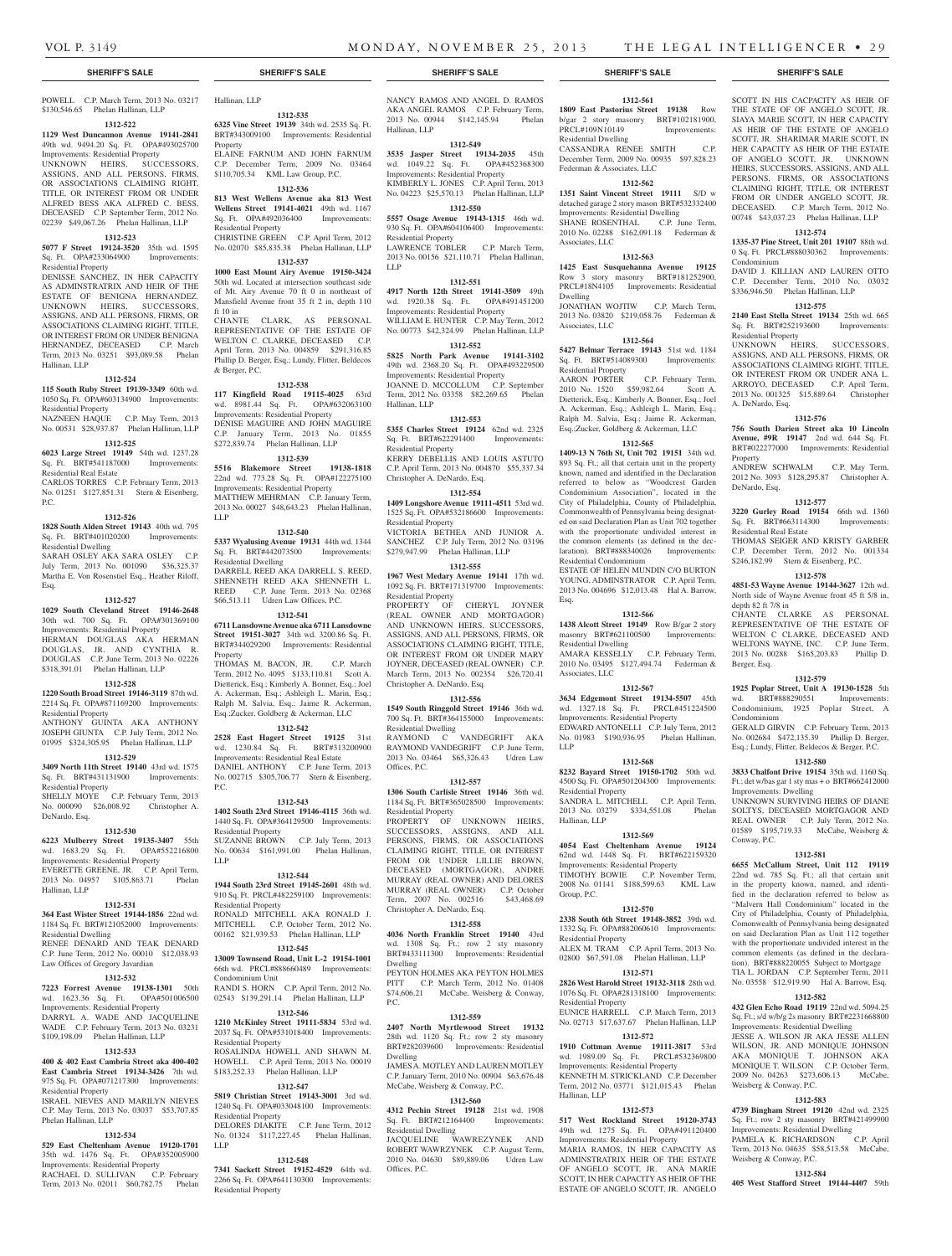#### **SHERIFF'S SALE SHERIFF'S SALE SHERIFF'S SALE SHERIFF'S SALE SHERIFF'S SALE**

POWELL C.P. March Term, 2013 No. 03217 Hallinan, LLP \$130,546.65 Phelan Hallinan, LLP

#### **1312-522**

**1129 West Duncannon Avenue 19141-2841**  49th wd. 9494.20 Sq. Ft. OPA#493025700 Improvements: Residential Property UNKNOWN HEIRS, SUCCESSORS, ASSIGNS, AND ALL PERSONS, FIRMS, OR ASSOCIATIONS CLAIMING RIGHT. TITLE, OR INTEREST FROM OR UNDER ALFRED BESS AKA ALFRED C. BESS, DECEASED C.P. September Term, 2012 No. 02239 \$49,067.26 Phelan Hallinan, LLP

#### **1312-523**

**5077 F Street 19124-3520** 35th wd. 1595 Sq. Ft. OPA#233064900 Improvements: Residential Property

DENISSE SANCHEZ, IN HER CAPACITY AS ADMINSTRATRIX AND HEIR OF THE ESTATE OF BENIGNA HERNANDEZ. UNKNOWN HEIRS, SUCCESSORS, ASSIGNS, AND ALL PERSONS, FIRMS, OR ASSOCIATIONS CLAIMING RIGHT, TITLE, OR INTEREST FROM OR UNDER BENIGNA HERNANDEZ, DECEASED C.P. March Term, 2013 No. 03251 \$93,089.58 Phelan Hallinan, LLP

#### **1312-524**

**115 South Ruby Street 19139-3349** 60th wd. 1050 Sq. Ft. OPA#603134900 Improvements: Residential Property NAZNEEN HAQUE C.P. May Term, 2013 No. 00531 \$28,937.87 Phelan Hallinan, LLP

#### **1312-525**

P.C.

Esq.

**6023 Large Street 19149** 54th wd. 1237.28 Sq. Ft. BRT#541187000 Improvements:

Residential Real Estate CARLOS TORRES C.P. February Term, 2013 No. 01251 \$127,851.31 Stern & Eisenberg,

#### **1312-526**

**1828 South Alden Street 19143** 40th wd. 795 Sq. Ft. BRT#401020200 Improvements: Residential Dwelling

SARAH OSLEY AKA SARA OSLEY C.P. July Term, 2013 No. 001090 \$36,325.37 Martha E. Von Rosenstiel Esq., Heather Riloff,

#### **1312-527**

**1029 South Cleveland Street 19146-2648**  30th wd. 700 Sq. Ft. OPA#301369100 Improvements: Residential Property HERMAN DOUGLAS AKA HERMAN DOUGLAS, JR. AND CYNTHIA R. DOUGLAS C.P. June Term, 2013 No. 02226 \$318,391.01 Phelan Hallinan, LLP

## **1312-528**

**1220 South Broad Street 19146-3119** 87th wd. 2214 Sq. Ft. OPA#871169200 Improvements: Residential Property ANTHONY GUINTA AKA ANTHONY

JOSEPH GIUNTA C.P. July Term, 2012 No. 01995 \$324,305.95 Phelan Hallinan, LLP **1312-529 3409 North 11th Street 19140** 43rd wd. 1575

Sq. Ft. BRT#431131900 Improvements: Residential Property SHELLY MOYE C.P. February Term, 2013

No. 000090 \$26,008.92 Christopher A. DeNardo, Esq.

## **1312-530**

**6223 Mulberry Street 19135-3407** 55th wd. 1683.29 Sq. Ft. OPA#552216800 Improvements: Residential Property EVERETTE GREENE, JR. C.P. April Term, 2013 No. 04957 \$105,863.71 Phelan Hallinan, LLP

#### **1312-531**

**364 East Wister Street 19144-1856** 22nd wd. 1184 Sq. Ft. BRT#121052000 Improvements: Residential Dwelling RENEE DENARD AND TEAK DENARD

C.P. June Term, 2012 No. 00010 \$12,038.93 Law Offices of Gregory Javardian **1312-532**

**7223 Forrest Avenue 19138-1301** 50th wd. 1623.36 Sq. Ft. OPA#501006500 Improvements: Residential Property DARRYL A. WADE AND JACQUELINE WADE C.P. February Term, 2013 No. 03231 \$109,198.09 Phelan Hallinan, LLP

#### **1312-533**

**400 & 402 East Cambria Street aka 400-402 East Cambria Street 19134-3426** 7th wd. 975 Sq. Ft. OPA#071217300 Improvements: Residential Property

ISRAEL NIEVES AND MARILYN NIEVES C.P. May Term, 2013 No. 03037 \$53,707.85 Phelan Hallinan, LLP

#### **1312-534**

**529 East Cheltenham Avenue 19120-1701**  35th wd. 1476 Sq. Ft. OPA#352005900 Improvements: Residential Property RACHAEL D. SULLIVAN C.P. February Term, 2013 No. 02011 \$60,782.75 Phelan

**1312-535**

**6325 Vine Street 19139** 34th wd. 2535 Sq. Ft. BRT#343009100 Improvements: Residential Property ELAINE FARNUM AND JOHN FARNUM

C.P. December Term, 2009 No. 03464 \$110,705.34 KML Law Group, P.C. **1312-536**

#### **813 West Wellens Avenue aka 813 West Wellens Street 19141-4021** 49th wd. 1167 Sq. Ft. OPA#492036400 Improvements: Residential Property

CHRISTINE GREEN C.P. April Term, 2012 No. 02070 \$85,835.38 Phelan Hallinan, LLP **1312-537**

## **1000 East Mount Airy Avenue 19150-3424**

50th wd. Located at intersection southeast side of Mt. Airy Avenue 70 ft 0 in northeast of Mansfield Avenue front 35 ft 2 in, depth 110 ft 10 in

CHANTE CLARK, AS PERSONAL REPRESENTATIVE OF THE ESTATE OF WELTON C. CLARKE, DECEASED C.P. April Term, 2013 No. 004859 \$291,316.85 Phillip D. Berger, Esq.; Lundy, Flitter, Beldecos & Berger, P.C.

#### **1312-538**

**117 Kingfield Road 19115-4025** 63rd wd. 8981.44 Sq. Ft. OPA#632063100 Improvements: Residential Property DENISE MAGUIRE AND JOHN MAGUIRE C.P. January Term, 2013 No. 01855 \$272,839.74 Phelan Hallinan, LLP

#### **1312-539**

**5516 Blakemore Street 19138-1818**  22nd wd. 773.28 Sq. Ft. OPA#122275100 Improvements: Residential Property MATTHEW MEHRMAN C.P. January Term, 2013 No. 00027 \$48,643.23 Phelan Hallinan, LLP

#### **1312-540**

**5337 Wyalusing Avenue 19131** 44th wd. 1344 Sq. Ft. BRT#442073500 Improvements: Residential Dwelling DARRELL REED AKA DARRELL S. REED, SHENNETH REED AKA SHENNETH L. REED C.P. June Term, 2013 No. 02368 \$66,513.11 Udren Law Offices, P.C.

#### **1312-541**

**6711 Lansdowne Avenue aka 6711 Lansdowne Street 19151-3027** 34th wd. 3200.86 Sq. Ft. BRT#344029200 Improvements: Residential Property

THOMAS M. BACON, JR. C.P. March Term, 2012 No. 4095 \$133,110.81 Scott A. Dietterick, Esq.; Kimberly A. Bonner, Esq.; Joel A. Ackerman, Esq.; Ashleigh L. Marin, Esq.; Ralph M. Salvia, Esq.; Jaime R. Ackerman, Esq.;Zucker, Goldberg & Ackerman, LLC

### **1312-542**

**2528 East Hagert Street 19125** 31st wd. 1230.84 Sq. Ft. BRT#313200900 Improvements: Residential Real Estate DANIEL ANTHONY C.P. June Term, 2013 No. 002715 \$305,706.77 Stern & Eisenberg,  $P C$ 

**1312-543**

## **1402 South 23rd Street 19146-4115** 36th wd. 1440 Sq. Ft. OPA#364129500 Improvements: Residential Property SUZANNE BROWN C.P. July Term, 2013

No. 00634 \$161,991.00 Phelan Hallinan, LLP

## **1312-544**

**1944 South 23rd Street 19145-2601** 48th wd. 910 Sq. Ft. PRCL#482259100 Improvements: Residential Property RONALD MITCHELL AKA RONALD J. MITCHELL C.P. October Term, 2012 No. 00162 \$21,939.53 Phelan Hallinan, LLP

## **1312-545**

**13009 Townsend Road, Unit L-2 19154-1001**  66th wd. PRCL#888660489 Improvements: Condominium Unit RANDI S. HORN C.P. April Term, 2012 No.

02543 \$139,291.14 Phelan Hallinan, LLP

## **1312-546**

**1210 McKinley Street 19111-5834** 53rd wd. 2037 Sq. Ft. OPA#531018400 Improvements: Residential Property ROSALINDA HOWELL AND SHAWN M. HOWELL C.P. April Term, 2013 No. 00019 \$183,252.33 Phelan Hallinan, LLP

#### **1312-547**

**5819 Christian Street 19143-3001** 3rd wd. 1240 Sq. Ft. OPA#033048100 Improvements: Residential Property

DELORES DIAKITE C.P. June Term, 2012 No. 01324 \$117,227.45 Phelan Hallinan, LLP

#### **1312-548**

**7341 Sackett Street 19152-4529** 64th wd. 2266 Sq. Ft. OPA#641130300 Improvements: Residential Property

NANCY RAMOS AND ANGEL D. RAMOS AKA ANGEL RAMOS C.P. February Term, 2013 No. 00944 \$142,145.94 Phelan Hallinan, LLP

#### **1312-549**

**3535 Jasper Street 19134-2035** 45th wd. 1049.22 Sq. Ft. OPA#452368300 Improvements: Residential Property KIMBERLY L. JONES C.P. April Term, 2013 No. 04223 \$25,570.13 Phelan Hallinan, LLP

#### **1312-550**

**5557 Osage Avenue 19143-1315** 46th wd. 930 Sq. Ft. OPA#604106400 Improvements: Residential Property LAWRENCE TOBLER C.P. March Term, 2013 No. 00156 \$21,110.71 Phelan Hallinan, LLP

### **1312-551**

**4917 North 12th Street 19141-3509** 49th wd. 1920.38 Sq. Ft. OPA#491451200 Improvements: Residential Property WILLIAM E. HUNTER C.P. May Term, 2012 No. 00773 \$42,324.99 Phelan Hallinan, LLP

## **1312-552**

**5825 North Park Avenue 19141-3102**  49th wd. 2368.20 Sq. Ft. OPA#493229500 Improvements: Residential Property JOANNE D. MCCOLLUM C.P. September Term, 2012 No. 03358 \$82,269.65 Phelan Hallinan, LLP

## **1312-553**

**5355 Charles Street 19124** 62nd wd. 2325 Sq. Ft. BRT#622291400 Improvements: Residential Property KERRY DEBELLIS AND LOUIS ASTUTO C.P. April Term, 2013 No. 004870 \$55,337.34 Christopher A. DeNardo, Esq.

#### **1312-554**

**1409 Longshore Avenue 19111-4511** 53rd wd. 1525 Sq. Ft. OPA#532186600 Improvements: Residential Property VICTORIA BETHEA AND JUNIOR A. SANCHEZ C.P. July Term, 2012 No. 03196 \$279,947.99 Phelan Hallinan, LLP

## **1312-555**

**1967 West Medary Avenue 19141** 17th wd. 1092 Sq. Ft. BRT#171319700 Improvements: Residential Property PROPERTY OF CHERYL JOYNER (REAL OWNER AND MORTGAGOR)

AND UNKNOWN HEIRS, SUCCESSORS, ASSIGNS, AND ALL PERSONS, FIRMS, OR ASSOCIATIONS CLAIMING RIGHT, TITLE, OR INTEREST FROM OR UNDER MARY JOYNER, DECEASED (REAL OWNER) C.P. March Term, 2013 No. 002354 \$26,720.41 Christopher A. DeNardo, Esq.

#### **1312-556**

**1549 South Ringgold Street 19146** 36th wd. 700 Sq. Ft. BRT#364155000 Improvements: Residential Dwelling RAYMOND C VANDEGRIFT AKA

RAYMOND VANDEGRIFT C.P. June Term, 2013 No. 03464 \$65,326.43 Udren Law Offices, P.C.

## **1312-557**

**1306 South Carlisle Street 19146** 36th wd. 1184 Sq. Ft. BRT#365028500 Improvements: Residential Property PROPERTY OF UNKNOWN HEIRS, SUCCESSORS, ASSIGNS, AND ALL PERSONS, FIRMS, OR ASSOCIATIONS CLAIMING RIGHT, TITLE, OR INTEREST FROM OR UNDER LILLIE BROWN, DECEASED (MORTGAGOR), ANDRE MURRAY (REAL OWNER) AND DELORES MURRAY (REAL OWNER) C.P. October Term, 2007 No. 002516 \$43,468.69 Christopher A. DeNardo, Esq.

#### **1312-558**

**4036 North Franklin Street 19140** 43rd wd. 1308 Sq. Ft.; row 2 sty masonry BRT#433111300 Improvements: Residential Dwelling

PEYTON HOLMES AKA PEYTON HOLMES PITT C.P. March Term, 2012 No. 01408 \$74,606.21 McCabe, Weisberg & Conway, P.C.

#### **1312-559 2407 North Myrtlewood Street 19132**

28th wd. 1120 Sq. Ft.; row 2 sty masonry<br>BRT#282039600 Improvements: Residential Improvements: Residenti Dwelling JAMES A. MOTLEY AND LAUREN MOTLEY

C.P. January Term, 2010 No. 00904 \$63,676.48 McCabe, Weisberg & Conway, P.C.

## **1312-560**

**4312 Pechin Street 19128** 21st wd. 1908 Sq. Ft. BRT#212164400 Improvements: Residential Dwelling JACQUELINE WAWREZYNEK AND ROBERT WAWRZYNEK C.P. August Term,

2010 No. 04630 \$89,889.06 Udren Law

Offices, P.C.

## **1312-561**

Residential Dwelling

Associates, LLC

Associates, LLC

Residential Property<br>AARON PORTER

Residential Condominium

Residential Dwelling

Associates, LLC

Residential Property

Hallinan, LLP

Group, P.C.

Residential Property

Residential Property

**1910 Cottman Avenue** 

Hallinan, LLP

Esq.

LLP

Dwelling

Federman & Associates, LLC

**1809 East Pastorius Street 19138** Row b/gar 2 story masonry BRT#102181900, PRCL#109N10149 Improvements:

SCOTT IN HIS CACPACITY AS HEIR OF THE STATE OF OF ANGELO SCOTT, JR. SIAYA MARIE SCOTT, IN HER CAPACITY AS HEIR OF THE ESTATE OF ANGELO SCOTT, JR. SHARIMAR MARIE SCOTT, IN HER CAPACITY AS HEIR OF THE ESTATE OF ANGELO SCOTT, JR. UNKNOWN HEIRS, SUCCESSORS, ASSIGNS, AND ALL PERSONS, FIRMS, OR ASSOCIATIONS CLAIMING RIGHT, TITLE, OR INTEREST FROM OR UNDER ANGELO SCOTT, JR. DECEASED. C.P. March Term, 2012 No. 00748 \$43,037.23 Phelan Hallinan, LLP **1312-574 1335-37 Pine Street, Unit 201 19107** 88th wd. 0 Sq. Ft. PRCL#888030362 Improvements:

DAVID J. KILLIAN AND LAUREN OTTO C.P. December Term, 2010 No. 03032 \$336,946.50 Phelan Hallinan, LLP **1312-575 2140 East Stella Street 19134** 25th wd. 665 Sq. Ft. BRT#252193600 Improvements:

UNKNOWN HEIRS, SUCCESSORS, ASSIGNS, AND ALL PERSONS, FIRMS, OR ASSOCIATIONS CLAIMING RIGHT, TITLE, OR INTEREST FROM OR UNDER ANA L. ARROYO, DECEASED C.P. April Term, 2013 No. 001325 \$15,889.64 Christopher

**1312-576 756 South Darien Street aka 10 Lincoln Avenue, #9R 19147** 2nd wd. 644 Sq. Ft. BRT#022277000 Improvements: Residential

ANDREW SCHWALM C.P. May Term, 2012 No. 3093 \$128,295.87 Christopher A.

**1312-577 3220 Gurley Road 19154** 66th wd. 1360 Sq. Ft. BRT#663114300 Improvements:

THOMAS SEIGER AND KRISTY GARBER C.P. December Term, 2012 No. 001334 \$246,182.99 Stern & Eisenberg, P.C. **1312-578 4851-53 Wayne Avenue 19144-3627** 12th wd. North side of Wayne Avenue front 45 ft 5/8 in,

CHANTE CLARKE AS PERSONAL REPRESENTATIVE OF THE ESTATE OF WELTON C CLARKE, DECEASED AND WELTONS WAYNE, INC. C.P. June Term, 2013 No. 00288 \$165,203.83 Phillip D.

**1312-579 1925 Poplar Street, Unit A 19130-1528** 5th wd. BRT#888290551 Improvements: Condominium, 1925 Poplar Street, A

GERALD GIRVIN C.P. February Term, 2013 No. 002684 \$472,135.39 Phillip D. Berger, Esq.; Lundy, Flitter, Beldecos & Berger, P.C. **1312-580 3833 Chalfont Drive 19154** 35th wd. 1160 Sq. Ft.; det w/bas gar 1 sty mas + o BRT#662412000

UNKNOWN SURVIVING HEIRS OF DIANE SOLTYS, DECEASED MORTGAGOR AND REAL OWNER C.P. July Term, 2012 No. 01589 \$195,719.33 McCabe, Weisberg &

**1312-581 6655 McCallum Street, Unit 112 19119**  22nd wd. 785 Sq. Ft.; all that certain unit in the property known, named, and identified in the declaration referred to below as "Malvern Hall Condominium" located in the City of Philadelphia, County of Philadelphia, Comonwealth of Pennsylvania being designated on said Declaration Plan as Unit 112 together with the proportionate undivided interest in the common elements (as defined in the declaration). BRT#888220055 Subject to Mortgage TIA L. JORDAN C.P. September Term, 2011 No. 03558 \$12,919.90 Hal A. Barrow, Esq. **1312-582 432 Glen Echo Road 19119** 22nd wd. 5094.25 Sq. Ft.; s/d w/b/g 2s masonry BRT#2231668800 Improvements: Residential Dwelling JESSE A. WILSON JR AKA JESSE ALLEN WILSON, JR. AND MONIQUE JOHNSON AKA MONIQUE T. JOHNSON AKA MONIQUE T. WILSON C.P. October Term, 2009 No. 04263 \$273,606.13 McCabe,

Condominium

Residential Property

A. DeNardo, Esq.

Property

DeNardo, Esq.

Residential Real Estate

depth 82 ft 7/8 in

Berger, Esq.

Condominium

Conway, P.C.

Improvements: Dwelling

Weisberg & Conway, P.C.

Weisberg & Conway, P.C.

PAMELA K. RICHARDSON

**1312-583 4739 Bingham Street 19120** 42nd wd. 2325 Sq. Ft.; row 2 sty masonry BRT#421499900 Improvements: Residential Dwelling<br>
PAMELA K. RICHARDSON C.P. April

Term, 2013 No. 04635 \$58,513.58 McCabe,

**1312-584 405 West Stafford Street 19144-4407** 59th

CASSANDRA RENEE SMITH C.P. December Term, 2009 No. 00935 \$97,828.23

**1312-562 1351 Saint Vincent Street 19111** S/D w detached garage 2 story mason BRT#532332400 Improvements: Residential Dwelling SHANE ROSENTHAL C.P. June Term, 2010 No. 02288 \$162,091.18 Federman &

**1312-563 1425 East Susquehanna Avenue 19125**  Row 3 story masonry BRT#181252900, PRCL#18N4105 Improvements: Residential

JONATHAN WOJTIW C.P. March Term 2013 No. 03820 \$219,058.76 Federman &

**1312-564 5427 Belmar Terrace 19143** 51st wd. 1184 Sq. Ft. BRT#514089300 Improvements:

2010 No. 1520 \$59,982.64 Scott A. Dietterick, Esq.; Kimberly A. Bonner, Esq.; Joel A. Ackerman, Esq.; Ashleigh L. Marin, Esq.; Ralph M. Salvia, Esq.; Jaime R. Ackerman, Esq.;Zucker, Goldberg & Ackerman, LLC **1312-565 1409-13 N 76th St, Unit 702 19151** 34th wd. 893 Sq. Ft.; all that certain unit in the property known, named and identified in the Declaration referred to below as "Woodcrest Garden Condominium Association", located in the City of Philadelphia, County of Philadelphia, Commonwealth of Pennsylvania being designated on said Declaration Plan as Unit 702 together with the proportionate undivided interest in the common elements (as defined in the declaration). BRT#888340026 Improvements:

ESTATE OF HELEN MUNDIN C/O BURTON YOUNG, ADMINSTRATOR C.P. April Term, 2013 No. 004696 \$12,013.48 Hal A. Barrow,

**1312-566 1438 Alcott Street 19149** Row B/gar 2 story masonry BRT#621100500 Improvements:

AMARA KESSELLY C.P. February Term, 2010 No. 03495 \$127,494.74 Federman &

**1312-567 3634 Edgemont Street 19134-5507** 45th wd. 1327.18 Sq. Ft. PRCL#451224500 Improvements: Residential Property EDWARD ANTONELLI C.P. July Term, 2012 No. 01983 \$190,936.95 Phelan Hallinan,

**1312-568 8232 Bayard Street 19150-1702** 50th wd. 4500 Sq. Ft. OPA#501204300 Improvements:

SANDRA L. MITCHELL C.P. April Term, 2013 No. 03279 \$334,551.08 Phelan

**1312-569 4054 East Cheltenham Avenue 19124**  62nd wd. 1448 Sq. Ft. BRT#622159320 Improvements: Residential Property TIMOTHY BOWIE C.P. November Term, 2008 No. 01141 \$188,599.63 KML Law

**1312-570 2338 South 6th Street 19148-3852** 39th wd. 1332 Sq. Ft. OPA#882060610 Improvements:

ALEX M. TRAM C.P. April Term, 2013 No. 02800 \$67,591.08 Phelan Hallinan, LLP **1312-571 2826 West Harold Street 19132-3118** 28th wd. 1076 Sq. Ft. OPA#281318100 Improvements:

EUNICE HARRELL C.P. March Term, 2013 No. 02713 \$17,637.67 Phelan Hallinan, LLP

wd. 1989.09 Sq. Ft. PRCL#532369800 Improvements: Residential Property KENNETH M. STRICKLAND C.P. December Term, 2012 No. 03771 \$121,015.43 Phelan

**1312-573 517 West Rockland Street 19120-3743**  49th wd. 1275 Sq. Ft. OPA#491120400 Improvements: Residential Property MARIA RAMOS, IN HER CAPACITY AS ADMINSTRATRIX HEIR OF THE ESTATE OF ANGELO SCOTT, JR. ANA MARIE SCOTT, IN HER CAPACITY AS HEIR OF THE ESTATE OF ANGELO SCOTT, JR. ANGELO

**1312-572**

C.P. February Term,